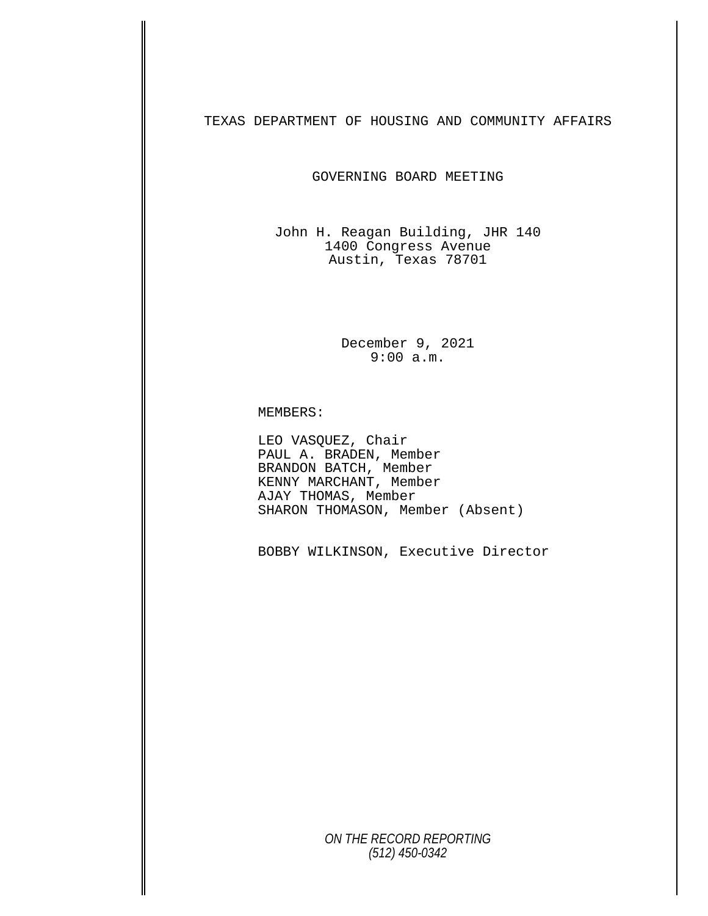TEXAS DEPARTMENT OF HOUSING AND COMMUNITY AFFAIRS

GOVERNING BOARD MEETING

John H. Reagan Building, JHR 140 1400 Congress Avenue Austin, Texas 78701

> December 9, 2021 9:00 a.m.

MEMBERS:

LEO VASQUEZ, Chair<br>PAUL A. BRADEN, Member BRANDON BATCH, Member KENNY MARCHANT, Member AJAY THOMAS, Member SHARON THOMASON, Member (Absent)

BOBBY WILKINSON, Executive Director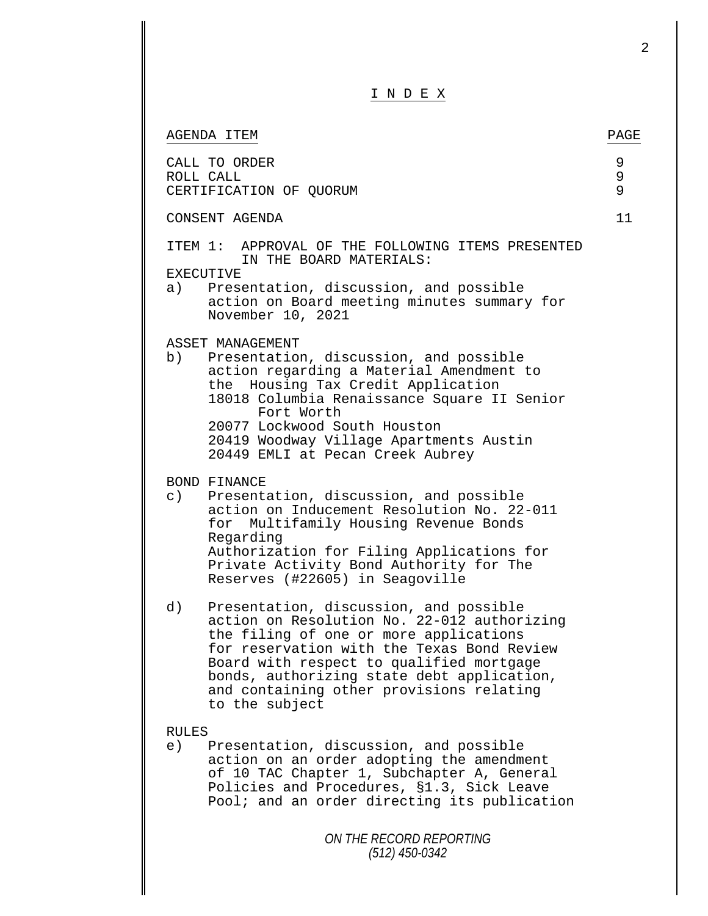|                                                                                                                                                                                                                                                                                                                                             | 2           |
|---------------------------------------------------------------------------------------------------------------------------------------------------------------------------------------------------------------------------------------------------------------------------------------------------------------------------------------------|-------------|
| I N D E X                                                                                                                                                                                                                                                                                                                                   |             |
| AGENDA ITEM                                                                                                                                                                                                                                                                                                                                 | PAGE        |
| CALL TO ORDER<br>ROLL CALL<br>CERTIFICATION OF QUORUM                                                                                                                                                                                                                                                                                       | 9<br>9<br>9 |
| CONSENT AGENDA                                                                                                                                                                                                                                                                                                                              | 11          |
| ITEM 1: APPROVAL OF THE FOLLOWING ITEMS PRESENTED<br>IN THE BOARD MATERIALS:<br>EXECUTIVE                                                                                                                                                                                                                                                   |             |
| Presentation, discussion, and possible<br>a)<br>action on Board meeting minutes summary for<br>November 10, 2021                                                                                                                                                                                                                            |             |
| ASSET MANAGEMENT<br>b)<br>Presentation, discussion, and possible<br>action regarding a Material Amendment to<br>Housing Tax Credit Application<br>the<br>18018 Columbia Renaissance Square II Senior<br>Fort Worth<br>20077 Lockwood South Houston<br>20419 Woodway Village Apartments Austin<br>20449 EMLI at Pecan Creek Aubrey           |             |
| BOND FINANCE<br>$\circ$ )<br>Presentation, discussion, and possible<br>action on Inducement Resolution No. 22-011<br>Multifamily Housing Revenue Bonds<br>for<br>Regarding<br>Authorization for Filing Applications for<br>Private Activity Bond Authority for The<br>Reserves (#22605) in Seagoville                                       |             |
| d)<br>Presentation, discussion, and possible<br>action on Resolution No. 22-012 authorizing<br>the filing of one or more applications<br>for reservation with the Texas Bond Review<br>Board with respect to qualified mortgage<br>bonds, authorizing state debt application,<br>and containing other provisions relating<br>to the subject |             |
| <b>RULES</b><br>e)<br>Presentation, discussion, and possible<br>action on an order adopting the amendment<br>of 10 TAC Chapter 1, Subchapter A, General<br>Policies and Procedures, §1.3, Sick Leave<br>Pool; and an order directing its publication                                                                                        |             |
| ON THE RECORD REPORTING<br>$(512)$ 450-0342                                                                                                                                                                                                                                                                                                 |             |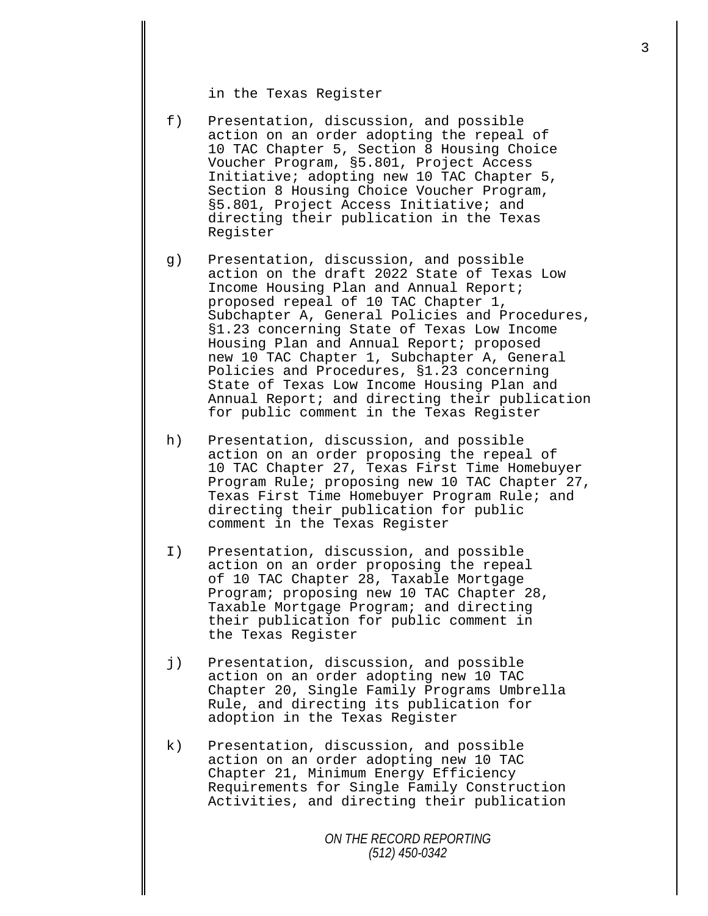in the Texas Register

- f) Presentation, discussion, and possible action on an order adopting the repeal of 10 TAC Chapter 5, Section 8 Housing Choice Voucher Program, §5.801, Project Access Initiative; adopting new 10 TAC Chapter 5, Section 8 Housing Choice Voucher Program, §5.801, Project Access Initiative; and directing their publication in the Texas Register
- g) Presentation, discussion, and possible action on the draft 2022 State of Texas Low Income Housing Plan and Annual Report; proposed repeal of 10 TAC Chapter 1, Subchapter A, General Policies and Procedures, §1.23 concerning State of Texas Low Income Housing Plan and Annual Report; proposed new 10 TAC Chapter 1, Subchapter A, General Policies and Procedures, §1.23 concerning State of Texas Low Income Housing Plan and Annual Report; and directing their publication for public comment in the Texas Register
- h) Presentation, discussion, and possible action on an order proposing the repeal of 10 TAC Chapter 27, Texas First Time Homebuyer Program Rule; proposing new 10 TAC Chapter 27, Texas First Time Homebuyer Program Rule; and directing their publication for public comment in the Texas Register
- I) Presentation, discussion, and possible action on an order proposing the repeal of 10 TAC Chapter 28, Taxable Mortgage Program; proposing new 10 TAC Chapter 28, Taxable Mortgage Program; and directing their publication for public comment in the Texas Register
- j) Presentation, discussion, and possible action on an order adopting new 10 TAC Chapter 20, Single Family Programs Umbrella Rule, and directing its publication for adoption in the Texas Register
- k) Presentation, discussion, and possible action on an order adopting new 10 TAC Chapter 21, Minimum Energy Efficiency Requirements for Single Family Construction Activities, and directing their publication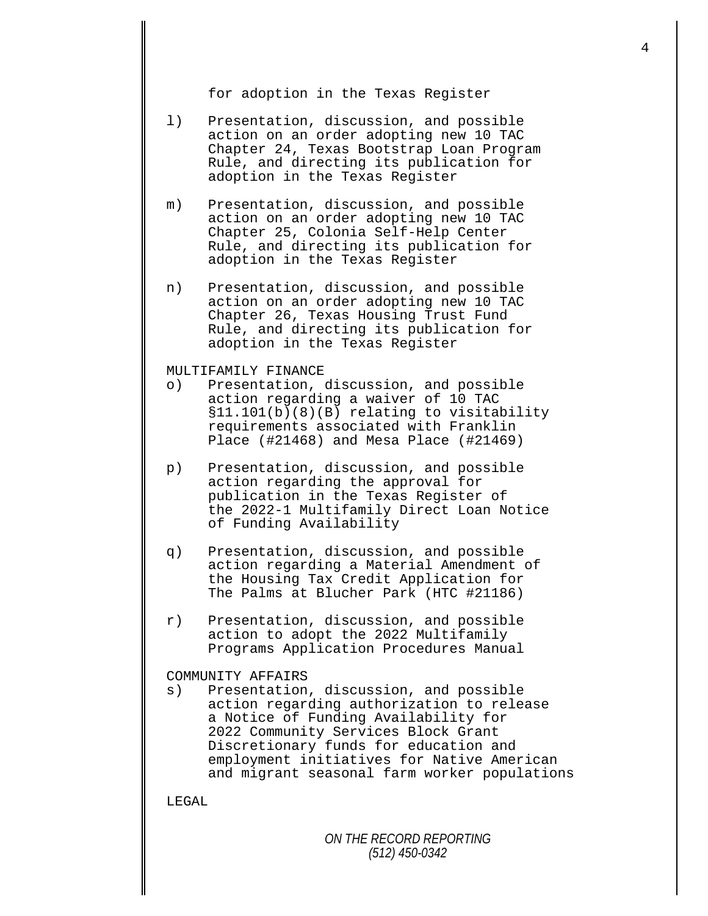for adoption in the Texas Register

- l) Presentation, discussion, and possible action on an order adopting new 10 TAC Chapter 24, Texas Bootstrap Loan Program Rule, and directing its publication for adoption in the Texas Register
- m) Presentation, discussion, and possible action on an order adopting new 10 TAC Chapter 25, Colonia Self-Help Center Rule, and directing its publication for adoption in the Texas Register
- n) Presentation, discussion, and possible action on an order adopting new 10 TAC Chapter 26, Texas Housing Trust Fund Rule, and directing its publication for adoption in the Texas Register

## MULTIFAMILY FINANCE<br>o) Presentation,

- Presentation, discussion, and possible action regarding a waiver of 10 TAC §11.101(b)(8)(B) relating to visitability requirements associated with Franklin Place (#21468) and Mesa Place (#21469)
- p) Presentation, discussion, and possible action regarding the approval for publication in the Texas Register of the 2022-1 Multifamily Direct Loan Notice of Funding Availability
- q) Presentation, discussion, and possible action regarding a Material Amendment of the Housing Tax Credit Application for The Palms at Blucher Park (HTC #21186)
- r) Presentation, discussion, and possible action to adopt the 2022 Multifamily Programs Application Procedures Manual

## COMMUNITY AFFAIRS<br>s) Presentation

Presentation, discussion, and possible action regarding authorization to release a Notice of Funding Availability for 2022 Community Services Block Grant Discretionary funds for education and employment initiatives for Native American and migrant seasonal farm worker populations

LEGAL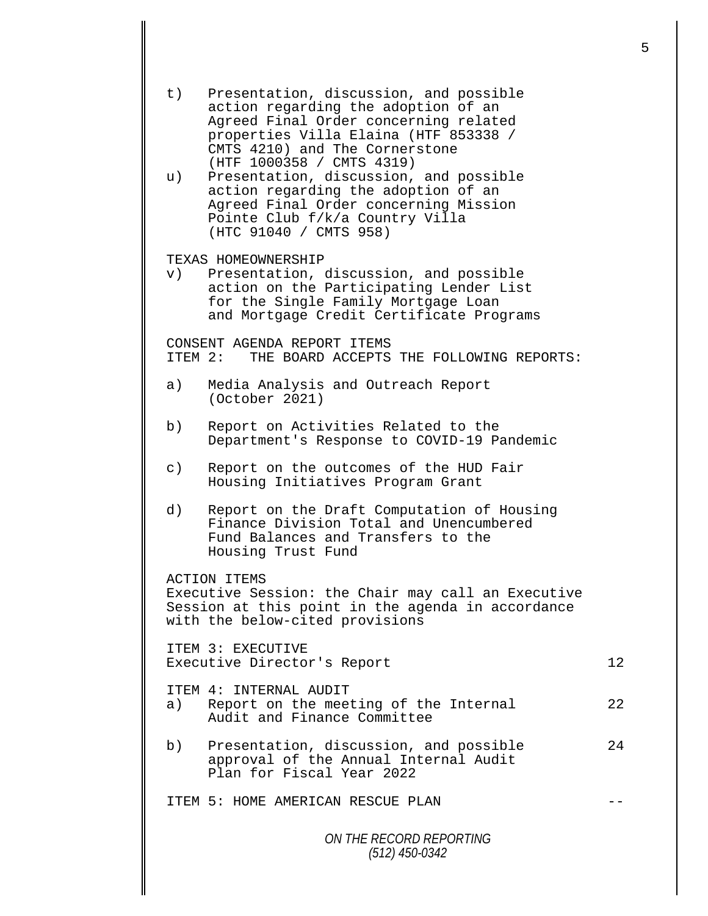| t)             | Presentation, discussion, and possible<br>action regarding the adoption of an<br>Agreed Final Order concerning related<br>properties Villa Elaina (HTF 853338 /<br>CMTS 4210) and The Cornerstone                |    |
|----------------|------------------------------------------------------------------------------------------------------------------------------------------------------------------------------------------------------------------|----|
| u)             | (HTF 1000358 / CMTS 4319)<br>Presentation, discussion, and possible<br>action regarding the adoption of an<br>Agreed Final Order concerning Mission<br>Pointe Club f/k/a Country Villa<br>(HTC 91040 / CMTS 958) |    |
| $\mathbf{v}$ ) | TEXAS HOMEOWNERSHIP<br>Presentation, discussion, and possible<br>action on the Participating Lender List<br>for the Single Family Mortgage Loan<br>and Mortgage Credit Certificate Programs                      |    |
|                | CONSENT AGENDA REPORT ITEMS<br>ITEM 2: THE BOARD ACCEPTS THE FOLLOWING REPORTS:                                                                                                                                  |    |
| a)             | Media Analysis and Outreach Report<br>(October 2021)                                                                                                                                                             |    |
| b)             | Report on Activities Related to the<br>Department's Response to COVID-19 Pandemic                                                                                                                                |    |
| $\circ$ )      | Report on the outcomes of the HUD Fair<br>Housing Initiatives Program Grant                                                                                                                                      |    |
| d)             | Report on the Draft Computation of Housing<br>Finance Division Total and Unencumbered<br>Fund Balances and Transfers to the<br>Housing Trust Fund                                                                |    |
|                | <b>ACTION ITEMS</b><br>Executive Session: the Chair may call an Executive<br>Session at this point in the agenda in accordance<br>with the below-cited provisions                                                |    |
|                | ITEM 3: EXECUTIVE<br>Executive Director's Report                                                                                                                                                                 | 12 |
|                | <b>TTEM 4: INTERNAL AUDIT</b><br>a) Report on the meeting of the Internal<br>Audit and Finance Committee                                                                                                         | 22 |
| b)             | Presentation, discussion, and possible<br>approval of the Annual Internal Audit<br>Plan for Fiscal Year 2022                                                                                                     | 24 |
|                | ITEM 5: HOME AMERICAN RESCUE PLAN                                                                                                                                                                                |    |
|                | ON THE RECORD REPORTING                                                                                                                                                                                          |    |

*(512) 450-0342*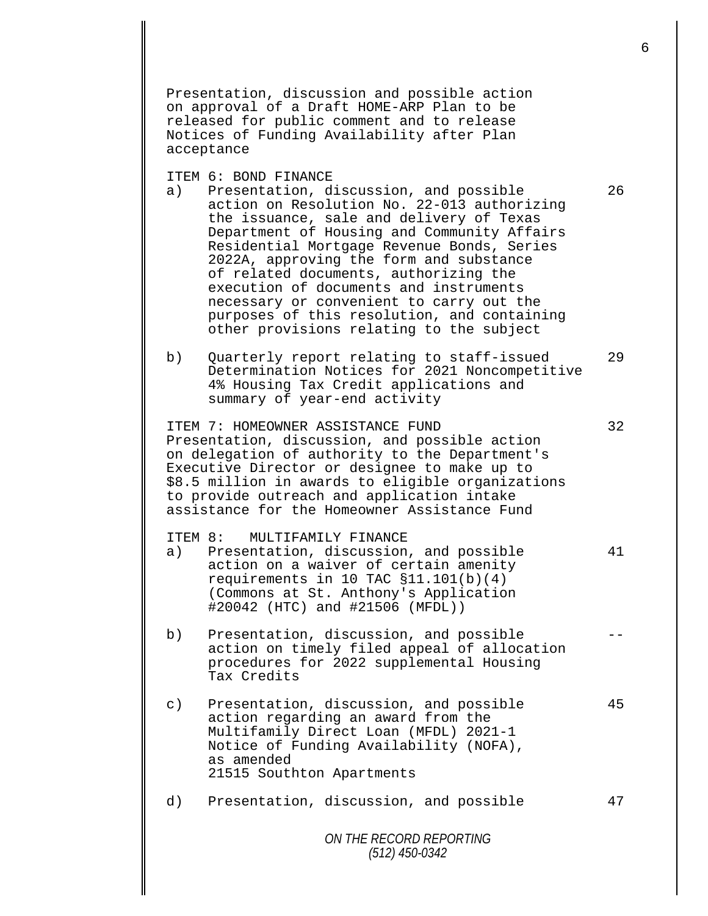Presentation, discussion and possible action on approval of a Draft HOME-ARP Plan to be released for public comment and to release Notices of Funding Availability after Plan acceptance

ITEM 6: BOND FINANCE<br>a) Presentation, d

- Presentation, discussion, and possible 26 action on Resolution No. 22-013 authorizing the issuance, sale and delivery of Texas Department of Housing and Community Affairs Residential Mortgage Revenue Bonds, Series 2022A, approving the form and substance of related documents, authorizing the execution of documents and instruments necessary or convenient to carry out the purposes of this resolution, and containing other provisions relating to the subject
- b) Quarterly report relating to staff-issued 29 Determination Notices for 2021 Noncompetitive 4% Housing Tax Credit applications and summary of year-end activity

ITEM 7: HOMEOWNER ASSISTANCE FUND 32 Presentation, discussion, and possible action on delegation of authority to the Department's Executive Director or designee to make up to \$8.5 million in awards to eligible organizations to provide outreach and application intake assistance for the Homeowner Assistance Fund

## ITEM 8: MULTIFAMILY FINANCE<br>a) Presentation, discussion

- Presentation, discussion, and possible 41 action on a waiver of certain amenity requirements in 10 TAC §11.101(b)(4) (Commons at St. Anthony's Application #20042 (HTC) and #21506 (MFDL))
- b) Presentation, discussion, and possible action on timely filed appeal of allocation procedures for 2022 supplemental Housing Tax Credits
- c) Presentation, discussion, and possible 45 action regarding an award from the Multifamily Direct Loan (MFDL) 2021-1 Notice of Funding Availability (NOFA), as amended 21515 Southton Apartments
- d) Presentation, discussion, and possible 47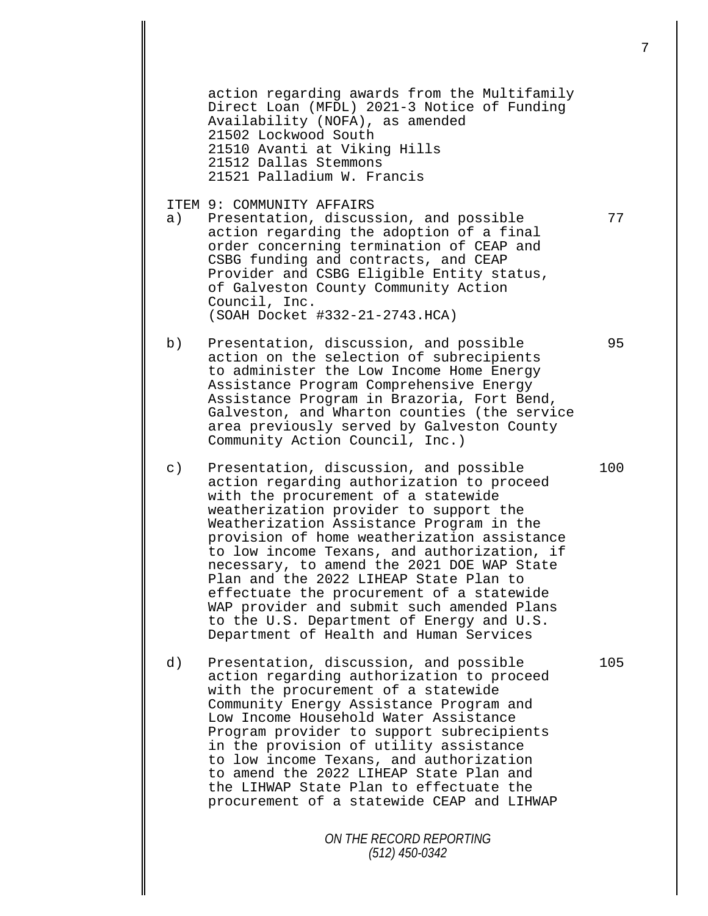action regarding awards from the Multifamily Direct Loan (MFDL) 2021-3 Notice of Funding Availability (NOFA), as amended 21502 Lockwood South 21510 Avanti at Viking Hills 21512 Dallas Stemmons 21521 Palladium W. Francis

ITEM 9: COMMUNITY AFFAIRS<br>a) Presentation, discus

- Presentation, discussion, and possible 77 action regarding the adoption of a final order concerning termination of CEAP and CSBG funding and contracts, and CEAP Provider and CSBG Eligible Entity status, of Galveston County Community Action Council, Inc. (SOAH Docket #332-21-2743.HCA)
- b) Presentation, discussion, and possible 95 action on the selection of subrecipients to administer the Low Income Home Energy Assistance Program Comprehensive Energy Assistance Program in Brazoria, Fort Bend, Galveston, and Wharton counties (the service area previously served by Galveston County Community Action Council, Inc.)
- c) Presentation, discussion, and possible 100 action regarding authorization to proceed with the procurement of a statewide weatherization provider to support the Weatherization Assistance Program in the provision of home weatherization assistance to low income Texans, and authorization, if necessary, to amend the 2021 DOE WAP State Plan and the 2022 LIHEAP State Plan to effectuate the procurement of a statewide WAP provider and submit such amended Plans to the U.S. Department of Energy and U.S. Department of Health and Human Services
- d) Presentation, discussion, and possible 105 action regarding authorization to proceed with the procurement of a statewide Community Energy Assistance Program and Low Income Household Water Assistance Program provider to support subrecipients in the provision of utility assistance to low income Texans, and authorization to amend the 2022 LIHEAP State Plan and the LIHWAP State Plan to effectuate the procurement of a statewide CEAP and LIHWAP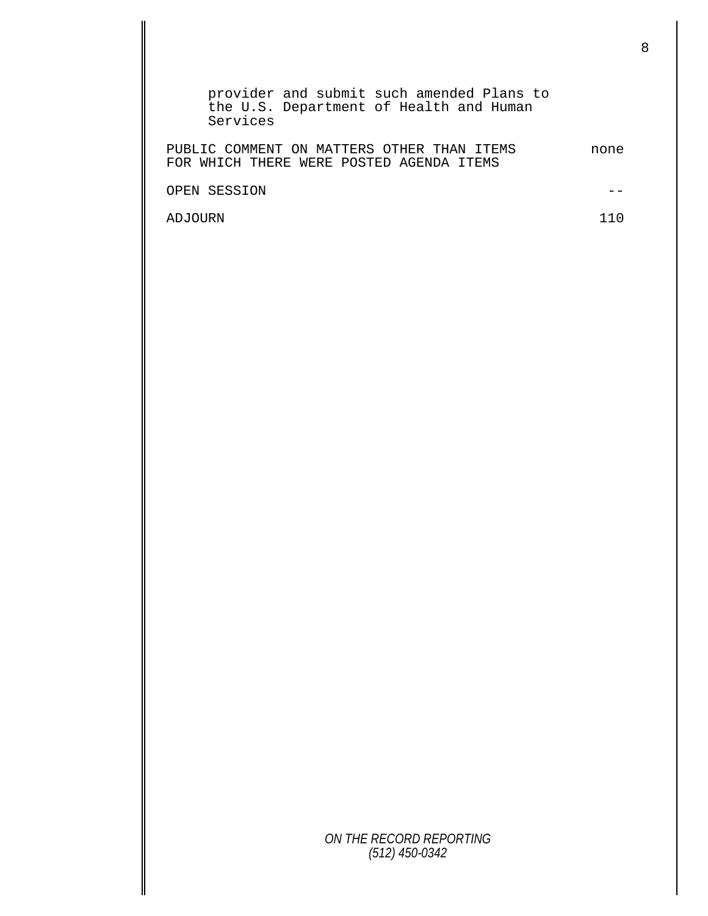| provider and submit such amended Plans to<br>the U.S. Department of Health and Human<br>Services |      |
|--------------------------------------------------------------------------------------------------|------|
| PUBLIC COMMENT ON MATTERS OTHER THAN ITEMS<br>FOR WHICH THERE WERE POSTED AGENDA ITEMS           | none |
| OPEN SESSION                                                                                     |      |
| ADJOURN                                                                                          |      |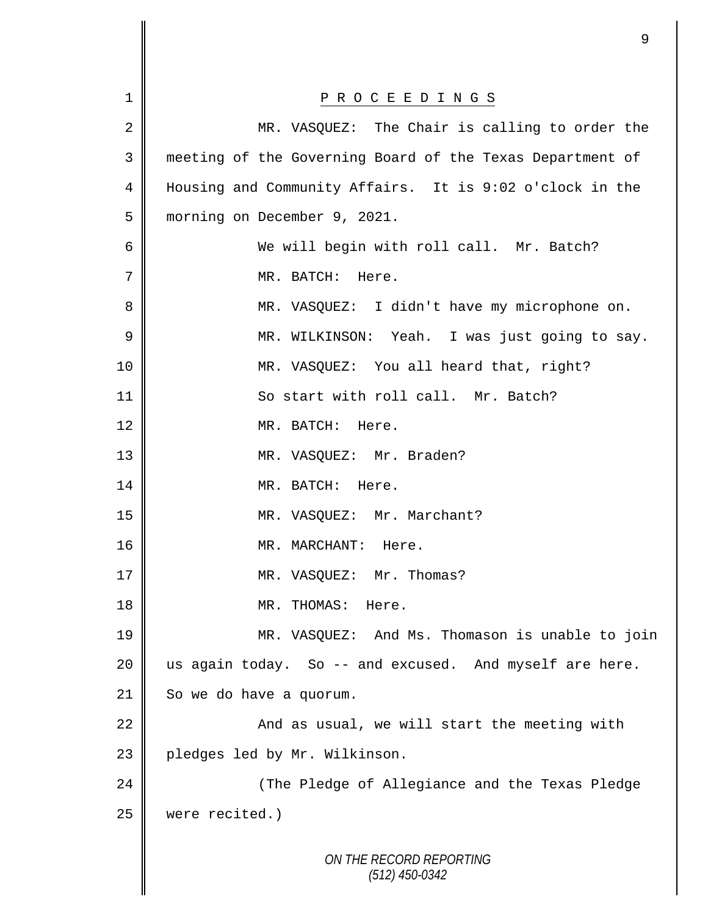| $\mathbf 1$    | P R O C E E D I N G S                                     |
|----------------|-----------------------------------------------------------|
| 2              | MR. VASQUEZ: The Chair is calling to order the            |
| 3              | meeting of the Governing Board of the Texas Department of |
| $\overline{4}$ | Housing and Community Affairs. It is 9:02 o'clock in the  |
| 5              | morning on December 9, 2021.                              |
| 6              | We will begin with roll call. Mr. Batch?                  |
| 7              | MR. BATCH: Here.                                          |
| 8              | MR. VASQUEZ: I didn't have my microphone on.              |
| $\mathsf 9$    | MR. WILKINSON: Yeah. I was just going to say.             |
| 10             | MR. VASQUEZ: You all heard that, right?                   |
| 11             | So start with roll call. Mr. Batch?                       |
| 12             | MR. BATCH: Here.                                          |
| 13             | MR. VASQUEZ: Mr. Braden?                                  |
| 14             | MR. BATCH: Here.                                          |
| 15             | MR. VASQUEZ: Mr. Marchant?                                |
| 16             | MR. MARCHANT:<br>Here.                                    |
| 17             | MR. VASQUEZ: Mr. Thomas?                                  |
| 18             | MR. THOMAS: Here.                                         |
| 19             | MR. VASQUEZ: And Ms. Thomason is unable to join           |
| 20             | us again today. So -- and excused. And myself are here.   |
| 21             | So we do have a quorum.                                   |
| 22             | And as usual, we will start the meeting with              |
| 23             | pledges led by Mr. Wilkinson.                             |
| 24             | (The Pledge of Allegiance and the Texas Pledge            |
| 25             | were recited.)                                            |
|                | ON THE RECORD REPORTING<br>$(512)$ 450-0342               |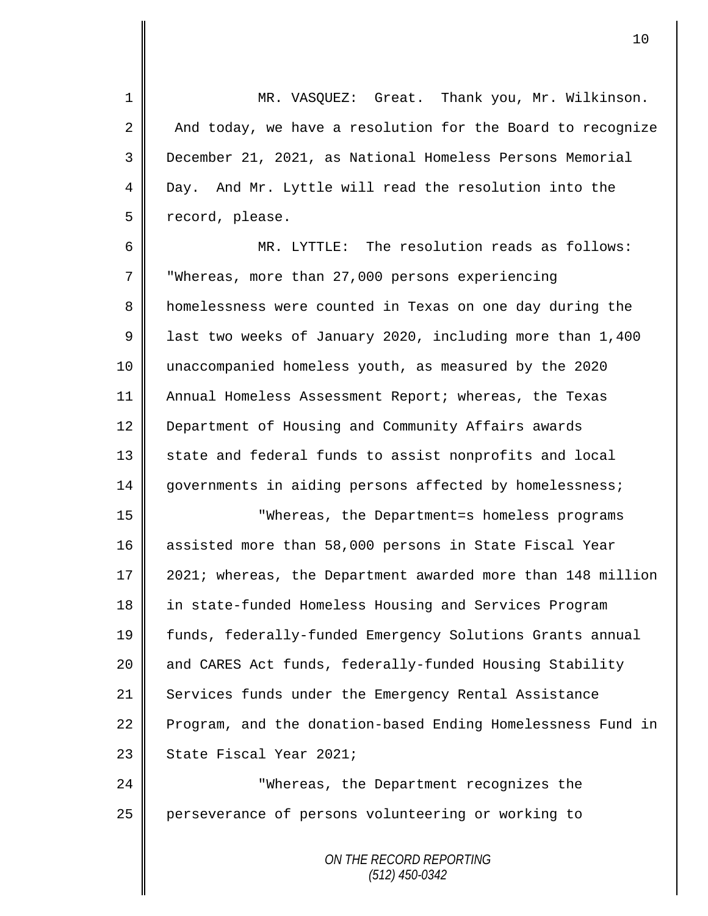1 MR. VASQUEZ: Great. Thank you, Mr. Wilkinson. 2 And today, we have a resolution for the Board to recognize 3 December 21, 2021, as National Homeless Persons Memorial 4 Day. And Mr. Lyttle will read the resolution into the 5 | record, please.

6 MR. LYTTLE: The resolution reads as follows: 7 Whereas, more than 27,000 persons experiencing 8 homelessness were counted in Texas on one day during the 9 dll last two weeks of January 2020, including more than 1,400 10 unaccompanied homeless youth, as measured by the 2020 11 Annual Homeless Assessment Report; whereas, the Texas 12 | Department of Housing and Community Affairs awards 13 state and federal funds to assist nonprofits and local 14 governments in aiding persons affected by homelessness;

 "Whereas, the Department=s homeless programs assisted more than 58,000 persons in State Fiscal Year 2021; whereas, the Department awarded more than 148 million in state-funded Homeless Housing and Services Program funds, federally-funded Emergency Solutions Grants annual 20 and CARES Act funds, federally-funded Housing Stability 21 Services funds under the Emergency Rental Assistance 22 Program, and the donation-based Ending Homelessness Fund in | State Fiscal Year 2021;

24 **||** "Whereas, the Department recognizes the 25 perseverance of persons volunteering or working to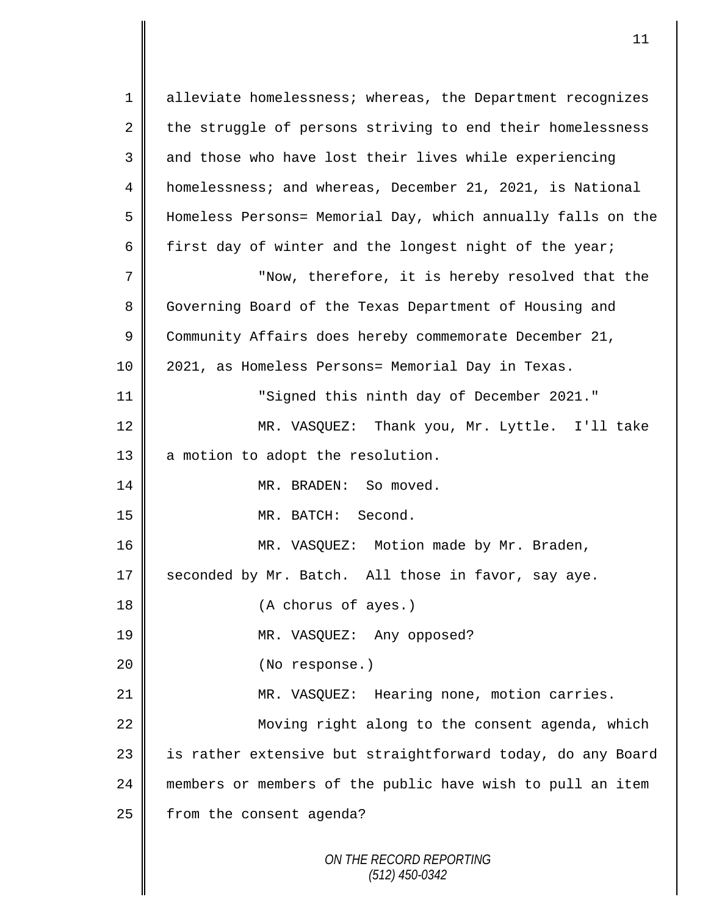*ON THE RECORD REPORTING (512) 450-0342* 1 || alleviate homelessness; whereas, the Department recognizes 2 the struggle of persons striving to end their homelessness 3 and those who have lost their lives while experiencing 4 homelessness; and whereas, December 21, 2021, is National 5 Homeless Persons= Memorial Day, which annually falls on the 6 first day of winter and the longest night of the year; 7 || "Now, therefore, it is hereby resolved that the 8 Governing Board of the Texas Department of Housing and 9 Community Affairs does hereby commemorate December 21, 10 | 2021, as Homeless Persons= Memorial Day in Texas. 11 "Signed this ninth day of December 2021." 12 MR. VASQUEZ: Thank you, Mr. Lyttle. I'll take 13 a motion to adopt the resolution. 14 MR. BRADEN: So moved. 15 MR. BATCH: Second. 16 | MR. VASQUEZ: Motion made by Mr. Braden, 17  $\parallel$  seconded by Mr. Batch. All those in favor, say aye. 18 || (A chorus of ayes.) 19 MR. VASQUEZ: Any opposed? 20 || (No response.) 21 MR. VASQUEZ: Hearing none, motion carries. 22 | Moving right along to the consent agenda, which 23 || is rather extensive but straightforward today, do any Board 24 members or members of the public have wish to pull an item  $25$  | from the consent agenda?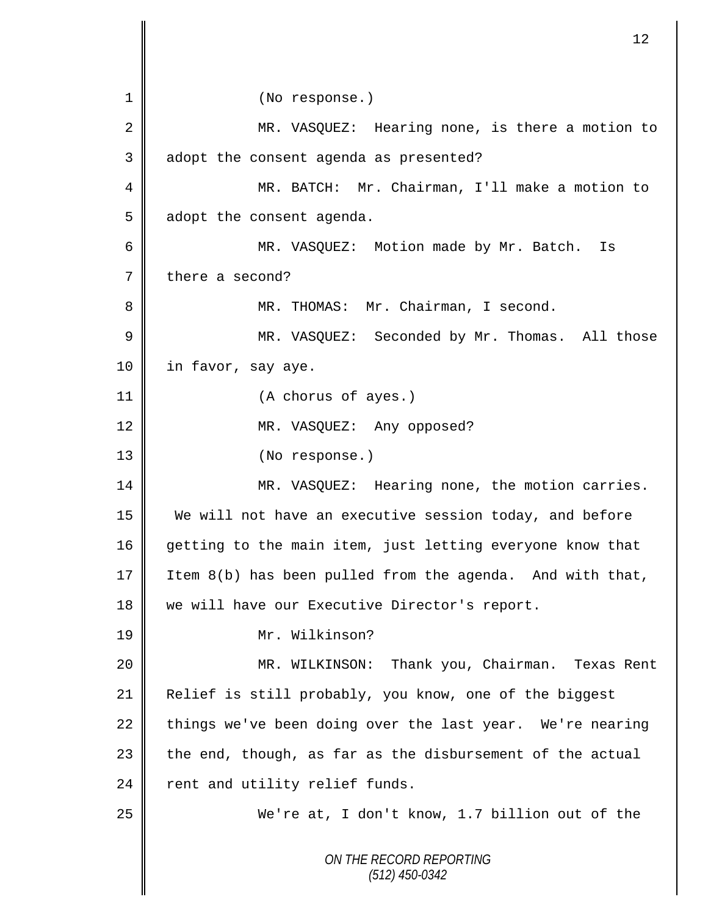*ON THE RECORD REPORTING (512) 450-0342* 1 || (No response.) 2 || MR. VASQUEZ: Hearing none, is there a motion to 3 adopt the consent agenda as presented? 4 MR. BATCH: Mr. Chairman, I'll make a motion to  $5 \parallel$  adopt the consent agenda. 6 MR. VASQUEZ: Motion made by Mr. Batch. Is 7 there a second? 8 || MR. THOMAS: Mr. Chairman, I second. 9 MR. VASQUEZ: Seconded by Mr. Thomas. All those 10 | in favor, say aye. 11 (A chorus of ayes.) 12 || MR. VASQUEZ: Any opposed? 13 || (No response.) 14 MR. VASQUEZ: Hearing none, the motion carries. 15 We will not have an executive session today, and before 16 getting to the main item, just letting everyone know that 17 Item  $8(b)$  has been pulled from the agenda. And with that, 18 we will have our Executive Director's report. 19 Mr. Wilkinson? 20 || MR. WILKINSON: Thank you, Chairman. Texas Rent 21 | Relief is still probably, you know, one of the biggest 22  $\parallel$  things we've been doing over the last year. We're nearing  $23$  the end, though, as far as the disbursement of the actual  $24$  rent and utility relief funds. 25 We're at, I don't know, 1.7 billion out of the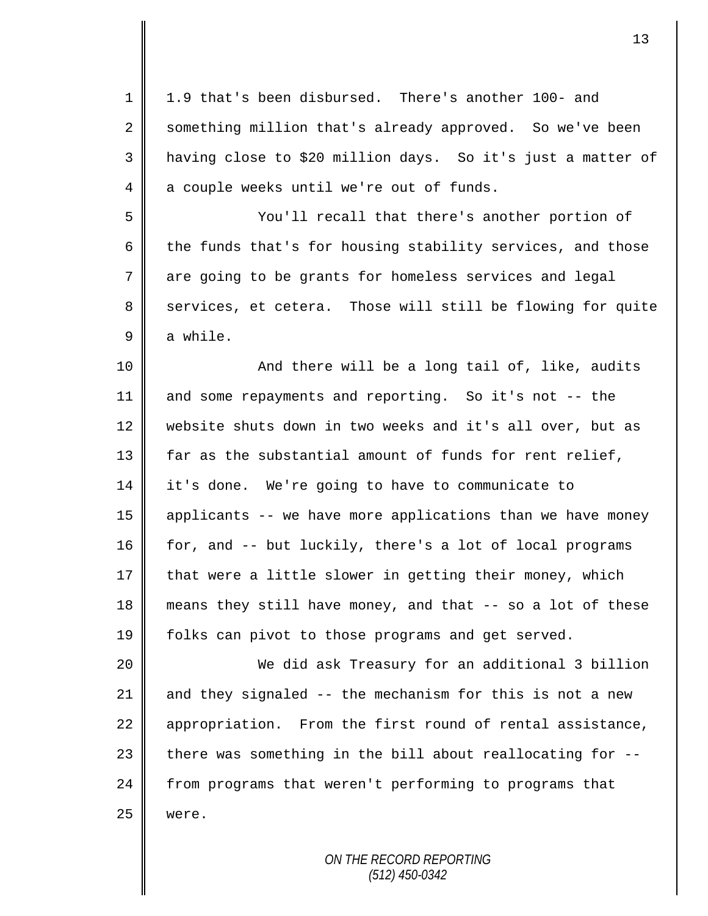| $\mathbf 1$ | 1.9 that's been disbursed. There's another 100- and         |
|-------------|-------------------------------------------------------------|
| 2           | something million that's already approved. So we've been    |
| 3           | having close to \$20 million days. So it's just a matter of |
| 4           | a couple weeks until we're out of funds.                    |
| 5           | You'll recall that there's another portion of               |
| 6           | the funds that's for housing stability services, and those  |
| 7           | are going to be grants for homeless services and legal      |
| 8           | services, et cetera. Those will still be flowing for quite  |
| 9           | a while.                                                    |
| 10          | And there will be a long tail of, like, audits              |
| 11          | and some repayments and reporting. So it's not -- the       |
| 12          | website shuts down in two weeks and it's all over, but as   |
| 13          | far as the substantial amount of funds for rent relief,     |
| 14          | it's done. We're going to have to communicate to            |
| 15          | applicants -- we have more applications than we have money  |
| 16          | for, and -- but luckily, there's a lot of local programs    |
| 17          | that were a little slower in getting their money, which     |
| 18          | means they still have money, and that -- so a lot of these  |
| 19          | folks can pivot to those programs and get served.           |
| 20          | We did ask Treasury for an additional 3 billion             |
| 21          | and they signaled -- the mechanism for this is not a new    |
| 22          | appropriation. From the first round of rental assistance,   |
| 23          | there was something in the bill about reallocating for --   |
| 24          | from programs that weren't performing to programs that      |
| 25          | were.                                                       |
|             |                                                             |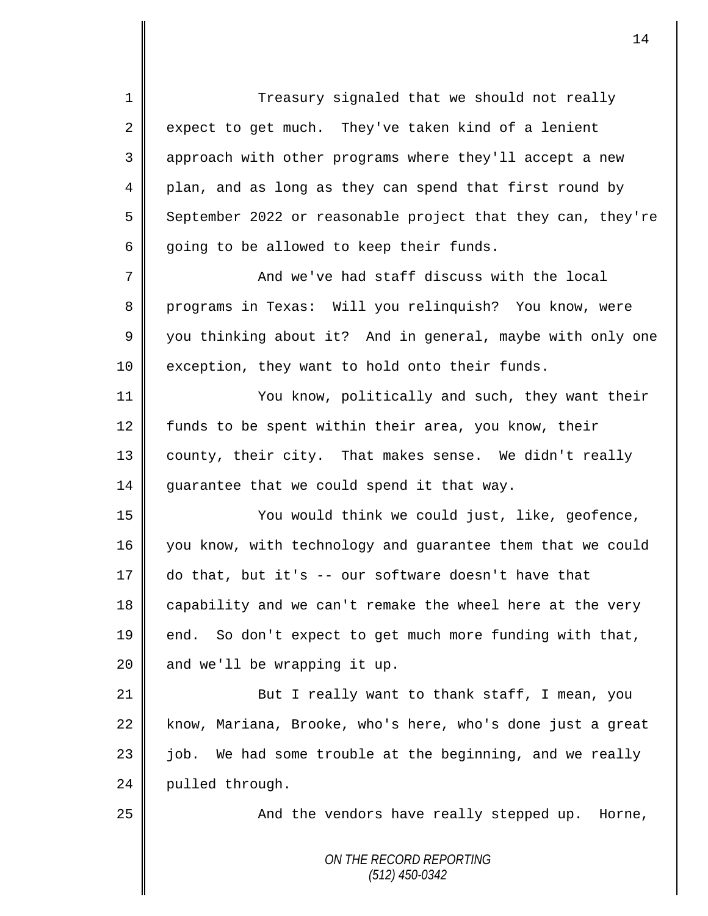*ON THE RECORD REPORTING (512) 450-0342* 1 Treasury signaled that we should not really  $2 \parallel$  expect to get much. They've taken kind of a lenient 3 || approach with other programs where they'll accept a new 4 plan, and as long as they can spend that first round by 5 September 2022 or reasonable project that they can, they're 6 going to be allowed to keep their funds. 7 || And we've had staff discuss with the local 8 programs in Texas: Will you relinquish? You know, were 9 you thinking about it? And in general, maybe with only one 10 exception, they want to hold onto their funds. 11 You know, politically and such, they want their 12 funds to be spent within their area, you know, their 13 || county, their city. That makes sense. We didn't really  $14$  guarantee that we could spend it that way. 15 You would think we could just, like, geofence, 16 you know, with technology and guarantee them that we could 17 do that, but it's -- our software doesn't have that 18 capability and we can't remake the wheel here at the very 19 || end. So don't expect to get much more funding with that,  $20$  | and we'll be wrapping it up. 21 || But I really want to thank staff, I mean, you 22 know, Mariana, Brooke, who's here, who's done just a great  $23$  | job. We had some trouble at the beginning, and we really 24 pulled through. 25 || And the vendors have really stepped up. Horne,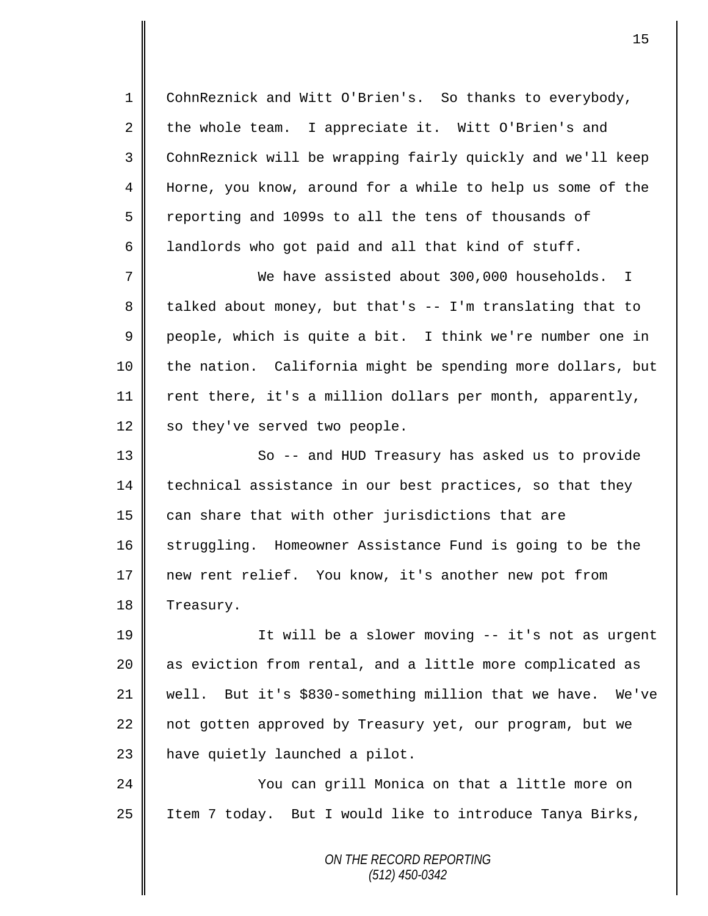1 CohnReznick and Witt O'Brien's. So thanks to everybody, 2 the whole team. I appreciate it. Witt O'Brien's and 3 || CohnReznick will be wrapping fairly quickly and we'll keep 4 Horne, you know, around for a while to help us some of the  $5 \parallel$  reporting and 1099s to all the tens of thousands of 6 || landlords who got paid and all that kind of stuff.

7 We have assisted about 300,000 households. I 8 | talked about money, but that's  $-$  I'm translating that to 9 people, which is quite a bit. I think we're number one in 10 || the nation. California might be spending more dollars, but 11  $\parallel$  rent there, it's a million dollars per month, apparently, 12 | so they've served two people.

13 || So -- and HUD Treasury has asked us to provide 14 technical assistance in our best practices, so that they  $15$  can share that with other jurisdictions that are 16 Struggling. Homeowner Assistance Fund is going to be the 17 new rent relief. You know, it's another new pot from 18 | Treasury.

19 || It will be a slower moving -- it's not as urgent 20 | as eviction from rental, and a little more complicated as 21 well. But it's \$830-something million that we have. We've 22 || not gotten approved by Treasury yet, our program, but we  $23$  | have quietly launched a pilot.

24 You can grill Monica on that a little more on 25 | Item 7 today. But I would like to introduce Tanya Birks,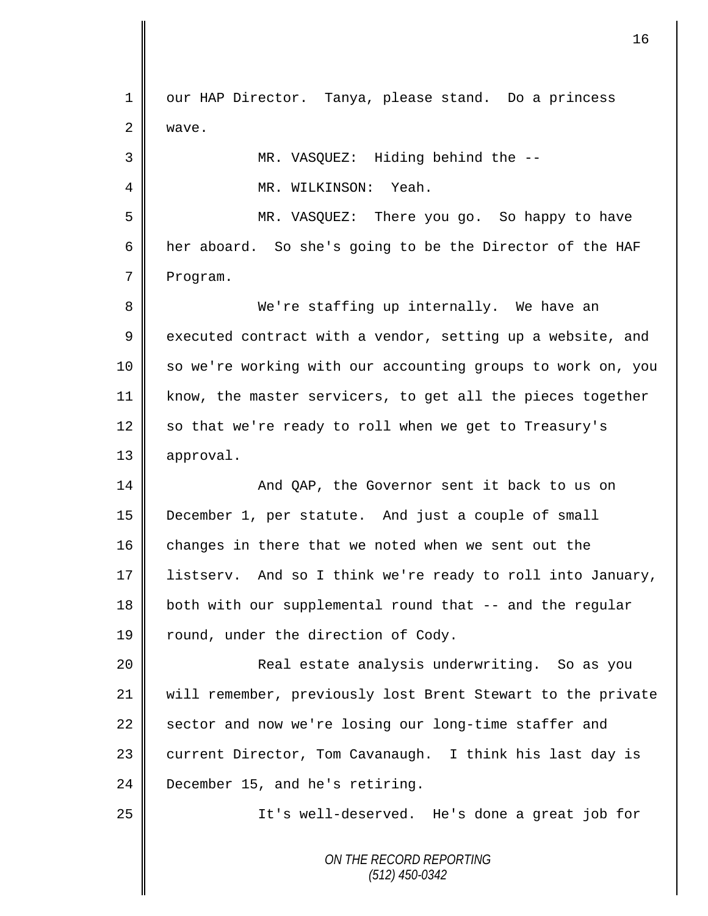*ON THE RECORD REPORTING (512) 450-0342* 1 | our HAP Director. Tanya, please stand. Do a princess 2 | wave. 3 MR. VASQUEZ: Hiding behind the -- 4 MR. WILKINSON: Yeah. 5 MR. VASQUEZ: There you go. So happy to have 6 her aboard. So she's going to be the Director of the HAF 7 Program. 8 We're staffing up internally. We have an  $9 \parallel$  executed contract with a vendor, setting up a website, and 10 || so we're working with our accounting groups to work on, you 11 know, the master servicers, to get all the pieces together 12 so that we're ready to roll when we get to Treasury's 13 | approval. 14 And QAP, the Governor sent it back to us on 15 December 1, per statute. And just a couple of small  $16$  changes in there that we noted when we sent out the 17 listserv. And so I think we're ready to roll into January, 18 || both with our supplemental round that -- and the regular 19 | round, under the direction of Cody. 20 || Real estate analysis underwriting. So as you 21 will remember, previously lost Brent Stewart to the private  $22$  sector and now we're losing our long-time staffer and 23 current Director, Tom Cavanaugh. I think his last day is 24 **December 15, and he's retiring.** 25 || It's well-deserved. He's done a great job for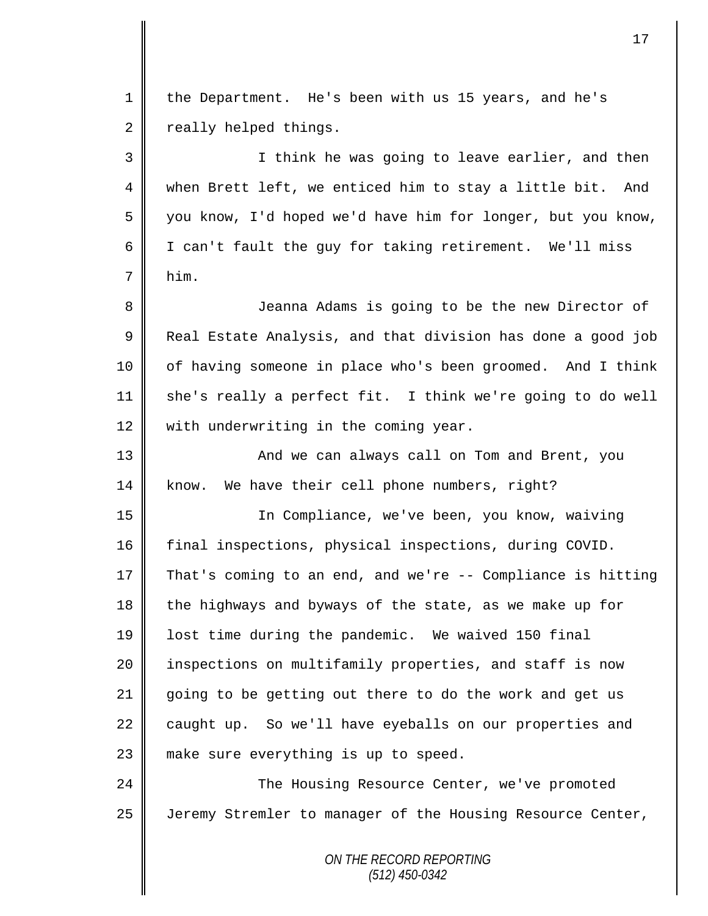*ON THE RECORD REPORTING* 1 the Department. He's been with us 15 years, and he's  $2 \parallel$  really helped things. 3 || I think he was going to leave earlier, and then 4 when Brett left, we enticed him to stay a little bit. And 5 you know, I'd hoped we'd have him for longer, but you know, 6 | I can't fault the guy for taking retirement. We'll miss  $7 \parallel$  him. 8 || Jeanna Adams is going to be the new Director of 9 | Real Estate Analysis, and that division has done a good job 10 | of having someone in place who's been groomed. And I think  $11$  she's really a perfect fit. I think we're going to do well 12 with underwriting in the coming year. 13 || And we can always call on Tom and Brent, you 14 know. We have their cell phone numbers, right? 15 In Compliance, we've been, you know, waiving 16 final inspections, physical inspections, during COVID. 17 That's coming to an end, and we're -- Compliance is hitting 18 the highways and byways of the state, as we make up for 19 | lost time during the pandemic. We waived 150 final 20 | inspections on multifamily properties, and staff is now 21 going to be getting out there to do the work and get us 22  $\parallel$  caught up. So we'll have eyeballs on our properties and 23 || make sure everything is up to speed. 24 **The Housing Resource Center, we've promoted** 25 | Jeremy Stremler to manager of the Housing Resource Center,

*(512) 450-0342*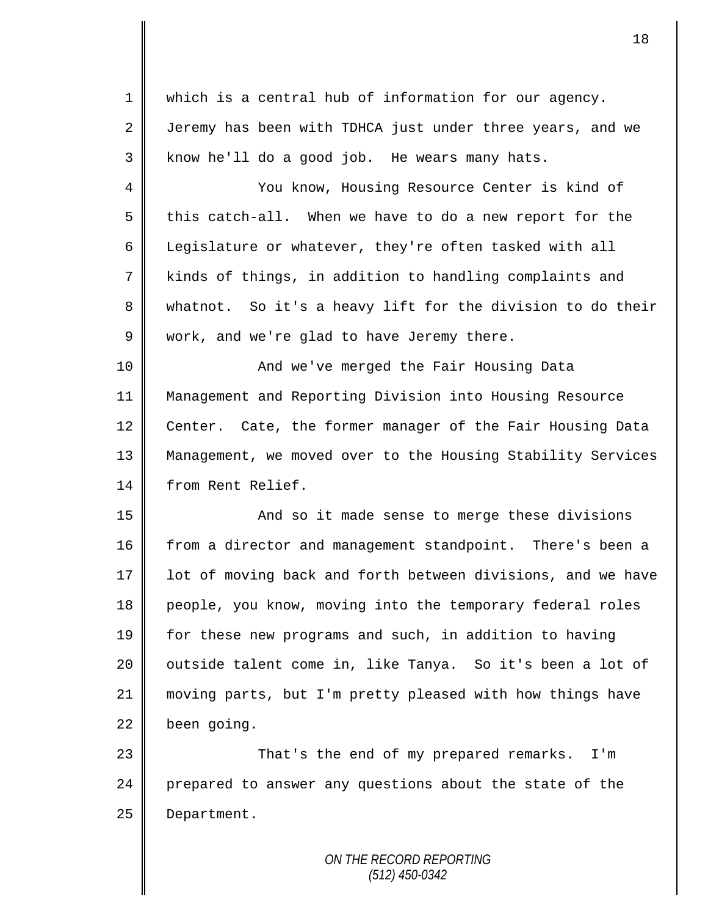| $\mathbf 1$ | which is a central hub of information for our agency.       |
|-------------|-------------------------------------------------------------|
| 2           | Jeremy has been with TDHCA just under three years, and we   |
| 3           | know he'll do a good job. He wears many hats.               |
| 4           | You know, Housing Resource Center is kind of                |
| 5           | this catch-all. When we have to do a new report for the     |
| 6           | Legislature or whatever, they're often tasked with all      |
| 7           | kinds of things, in addition to handling complaints and     |
| 8           | whatnot. So it's a heavy lift for the division to do their  |
| 9           | work, and we're glad to have Jeremy there.                  |
| 10          | And we've merged the Fair Housing Data                      |
| 11          | Management and Reporting Division into Housing Resource     |
| 12          | Center. Cate, the former manager of the Fair Housing Data   |
| 13          | Management, we moved over to the Housing Stability Services |
| 14          | from Rent Relief.                                           |
| 15          | And so it made sense to merge these divisions               |
| 16          | from a director and management standpoint. There's been a   |
| 17          | lot of moving back and forth between divisions, and we have |
| 18          | people, you know, moving into the temporary federal roles   |
| 19          | for these new programs and such, in addition to having      |
| 20          | outside talent come in, like Tanya. So it's been a lot of   |
| 21          | moving parts, but I'm pretty pleased with how things have   |
| 22          | been going.                                                 |
| 23          | That's the end of my prepared remarks.<br>I'm               |
| 24          | prepared to answer any questions about the state of the     |
| 25          | Department.                                                 |
|             |                                                             |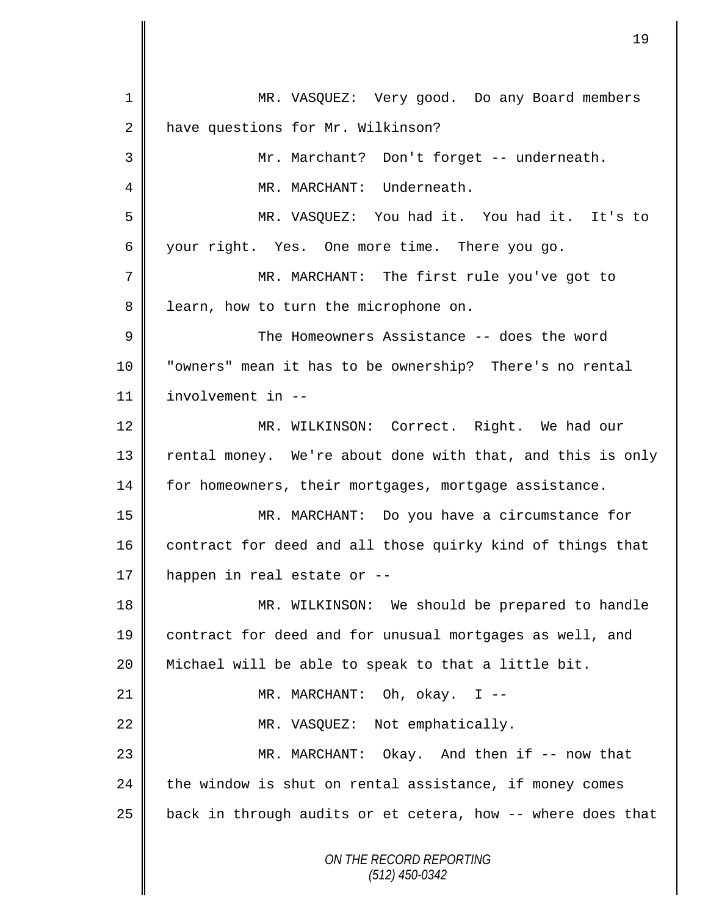| $\mathbf{1}$   | MR. VASQUEZ: Very good. Do any Board members                |
|----------------|-------------------------------------------------------------|
| 2              | have questions for Mr. Wilkinson?                           |
| 3              | Mr. Marchant? Don't forget -- underneath.                   |
| 4              | MR. MARCHANT: Underneath.                                   |
| 5              | MR. VASQUEZ: You had it. You had it. It's to                |
| 6              | your right. Yes. One more time. There you go.               |
| 7              | MR. MARCHANT: The first rule you've got to                  |
| 8              | learn, how to turn the microphone on.                       |
| $\overline{9}$ | The Homeowners Assistance -- does the word                  |
| 10             | "owners" mean it has to be ownership? There's no rental     |
| 11             | involvement in --                                           |
| 12             | MR. WILKINSON: Correct. Right. We had our                   |
| 13             | rental money. We're about done with that, and this is only  |
| 14             | for homeowners, their mortgages, mortgage assistance.       |
| 15             | MR. MARCHANT: Do you have a circumstance for                |
| 16             | contract for deed and all those quirky kind of things that  |
| 17             | happen in real estate or --                                 |
| 18             | MR. WILKINSON: We should be prepared to handle              |
| 19             | contract for deed and for unusual mortgages as well, and    |
| 20             | Michael will be able to speak to that a little bit.         |
| 21             | MR. MARCHANT: Oh, okay. I --                                |
| 22             | MR. VASQUEZ: Not emphatically.                              |
| 23             | MR. MARCHANT: Okay. And then if -- now that                 |
| 24             | the window is shut on rental assistance, if money comes     |
| 25             | back in through audits or et cetera, how -- where does that |
|                | ON THE RECORD REPORTING<br>$(512)$ 450-0342                 |

II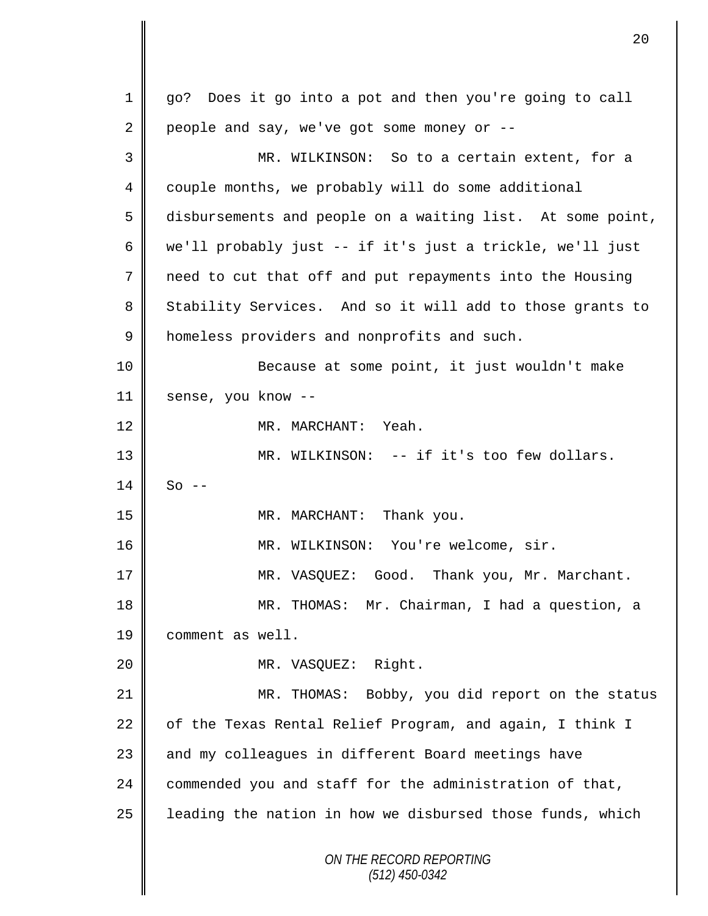*ON THE RECORD REPORTING (512) 450-0342* 1 go? Does it go into a pot and then you're going to call 2 people and say, we've got some money or  $-$ -3 MR. WILKINSON: So to a certain extent, for a 4 couple months, we probably will do some additional 5 disbursements and people on a waiting list. At some point, 6 we'll probably just -- if it's just a trickle, we'll just 7 need to cut that off and put repayments into the Housing 8 Stability Services. And so it will add to those grants to 9 | homeless providers and nonprofits and such. 10 Because at some point, it just wouldn't make 11 sense, you know --12 || MR. MARCHANT: Yeah. 13 || MR. WILKINSON: -- if it's too few dollars.  $14 \parallel$  So --15 || MR. MARCHANT: Thank you. 16 MR. WILKINSON: You're welcome, sir. 17 || MR. VASQUEZ: Good. Thank you, Mr. Marchant. 18 MR. THOMAS: Mr. Chairman, I had a question, a 19 comment as well. 20 MR. VASQUEZ: Right. 21 MR. THOMAS: Bobby, you did report on the status 22  $\parallel$  of the Texas Rental Relief Program, and again, I think I 23 || and my colleagues in different Board meetings have 24  $\parallel$  commended you and staff for the administration of that,  $25$  | leading the nation in how we disbursed those funds, which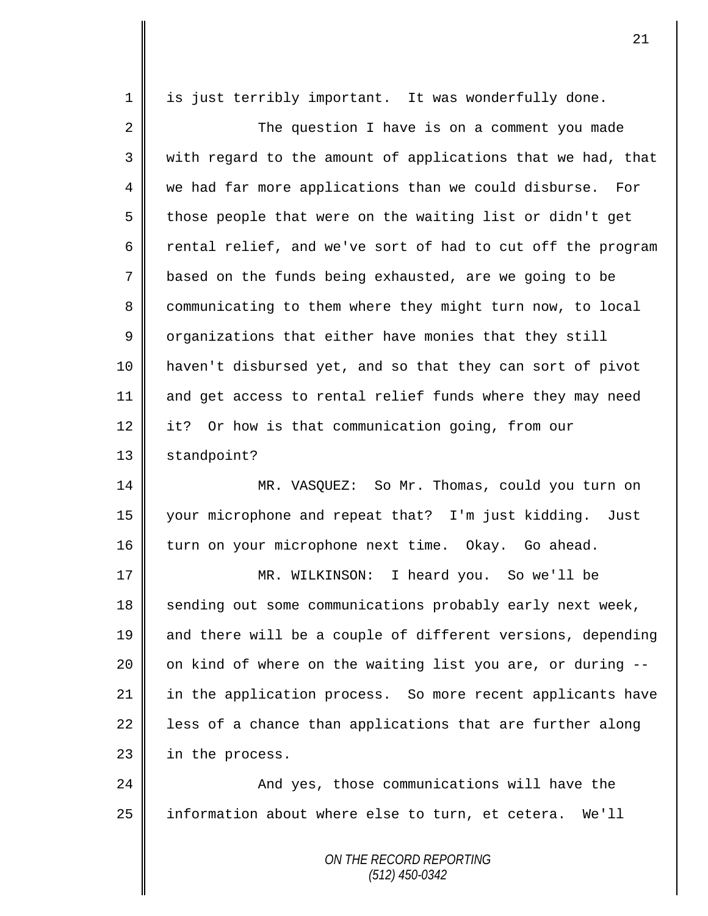| 1  | is just terribly important. It was wonderfully done.        |
|----|-------------------------------------------------------------|
| 2  | The question I have is on a comment you made                |
| 3  | with regard to the amount of applications that we had, that |
| 4  | we had far more applications than we could disburse. For    |
| 5  | those people that were on the waiting list or didn't get    |
| 6  | rental relief, and we've sort of had to cut off the program |
| 7  | based on the funds being exhausted, are we going to be      |
| 8  | communicating to them where they might turn now, to local   |
| 9  | organizations that either have monies that they still       |
| 10 | haven't disbursed yet, and so that they can sort of pivot   |
| 11 | and get access to rental relief funds where they may need   |
| 12 | it? Or how is that communication going, from our            |
| 13 | standpoint?                                                 |
| 14 | MR. VASQUEZ: So Mr. Thomas, could you turn on               |
| 15 | your microphone and repeat that? I'm just kidding. Just     |
| 16 | turn on your microphone next time. Okay. Go ahead.          |
| 17 | MR. WILKINSON:<br>I heard you. So we'll be                  |
| 18 | sending out some communications probably early next week,   |
| 19 | and there will be a couple of different versions, depending |
| 20 | on kind of where on the waiting list you are, or during --  |
| 21 | in the application process. So more recent applicants have  |
| 22 | less of a chance than applications that are further along   |
| 23 | in the process.                                             |
| 24 | And yes, those communications will have the                 |
| 25 | information about where else to turn, et cetera. We'll      |
|    | ON THE RECORD REPORTING                                     |

*(512) 450-0342*

Ι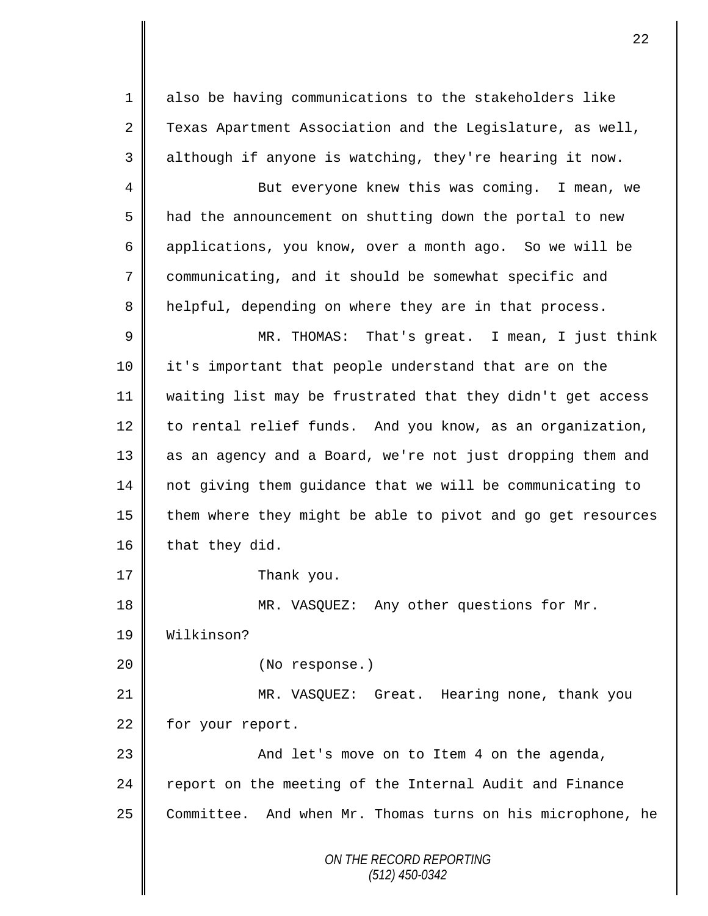1 also be having communications to the stakeholders like 2 Texas Apartment Association and the Legislature, as well, 3 || although if anyone is watching, they're hearing it now.

4 || But everyone knew this was coming. I mean, we 5 | had the announcement on shutting down the portal to new 6 applications, you know, over a month ago. So we will be 7 communicating, and it should be somewhat specific and 8 | helpful, depending on where they are in that process.

9 || MR. THOMAS: That's great. I mean, I just think 10 it's important that people understand that are on the 11 waiting list may be frustrated that they didn't get access 12 to rental relief funds. And you know, as an organization, 13 as an agency and a Board, we're not just dropping them and 14 not giving them guidance that we will be communicating to 15  $\parallel$  them where they might be able to pivot and go get resources 16 that they did.

17 Thank you.

18 || MR. VASQUEZ: Any other questions for Mr.

19 Wilkinson?

20 || (No response.)

21 MR. VASQUEZ: Great. Hearing none, thank you 22 for your report.

23 And let's move on to Item 4 on the agenda, 24 report on the meeting of the Internal Audit and Finance 25 Committee. And when Mr. Thomas turns on his microphone, he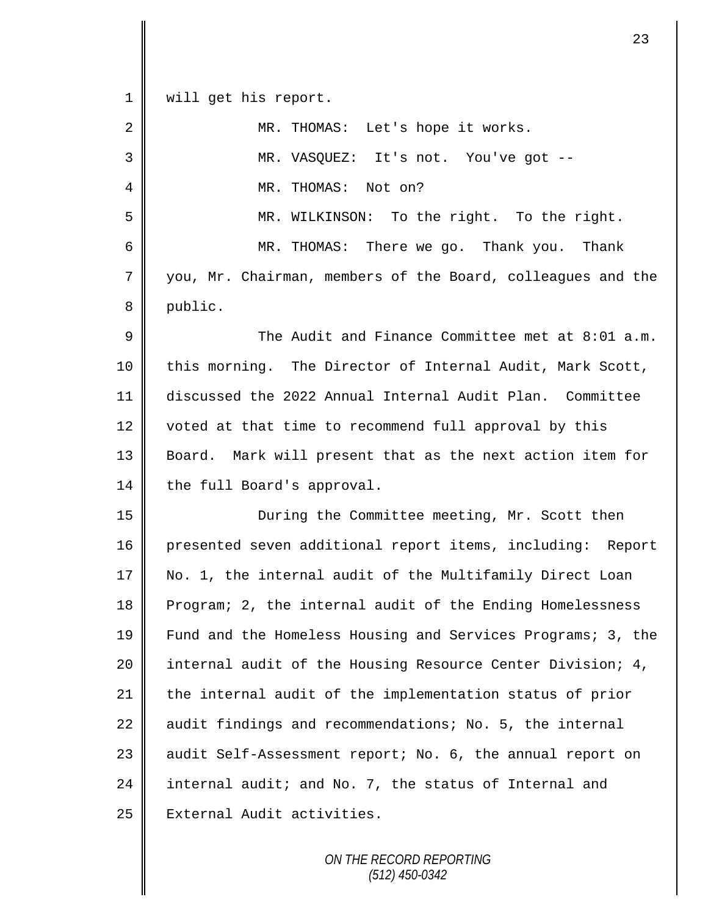| $1\,$       | will get his report.                                        |
|-------------|-------------------------------------------------------------|
| 2           | MR. THOMAS: Let's hope it works.                            |
| 3           | MR. VASQUEZ: It's not. You've got --                        |
| 4           | MR. THOMAS: Not on?                                         |
| 5           | MR. WILKINSON: To the right. To the right.                  |
| 6           | MR. THOMAS: There we go. Thank you.<br>Thank                |
| $\sqrt{ }$  | you, Mr. Chairman, members of the Board, colleagues and the |
| 8           | public.                                                     |
| $\mathsf 9$ | The Audit and Finance Committee met at 8:01 a.m.            |
| 10          | this morning. The Director of Internal Audit, Mark Scott,   |
| 11          | discussed the 2022 Annual Internal Audit Plan. Committee    |
| 12          | voted at that time to recommend full approval by this       |
| 13          | Board. Mark will present that as the next action item for   |
| 14          | the full Board's approval.                                  |
| 15          | During the Committee meeting, Mr. Scott then                |
| 16          | presented seven additional report items, including: Report  |
| 17          | No. 1, the internal audit of the Multifamily Direct Loan    |
| 18          | Program; 2, the internal audit of the Ending Homelessness   |
| 19          | Fund and the Homeless Housing and Services Programs; 3, the |
| 20          | internal audit of the Housing Resource Center Division; 4,  |
| 21          | the internal audit of the implementation status of prior    |
| 22          | audit findings and recommendations; No. 5, the internal     |
| 23          | audit Self-Assessment report; No. 6, the annual report on   |
| 24          | internal audit; and No. 7, the status of Internal and       |
| 25          | External Audit activities.                                  |

 $\mathbf{I}$ II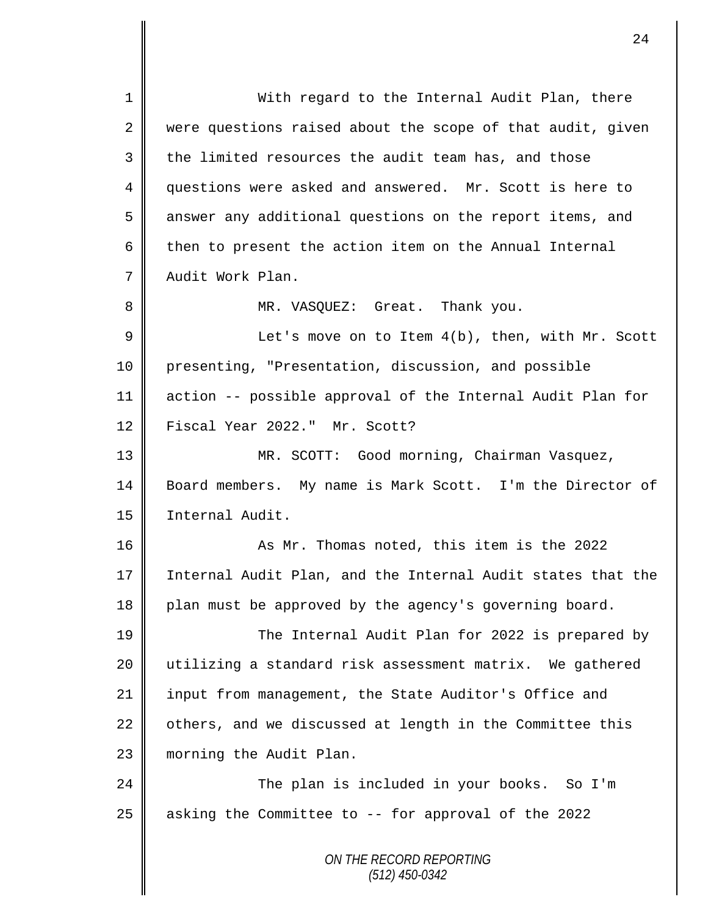*ON THE RECORD REPORTING (512) 450-0342* 1 With regard to the Internal Audit Plan, there  $2 \parallel$  were questions raised about the scope of that audit, given  $3 \parallel$  the limited resources the audit team has, and those 4 questions were asked and answered. Mr. Scott is here to 5 answer any additional questions on the report items, and 6 then to present the action item on the Annual Internal 7 Audit Work Plan. 8 MR. VASQUEZ: Great. Thank you. 9 || Let's move on to Item 4(b), then, with Mr. Scott 10 presenting, "Presentation, discussion, and possible 11 action -- possible approval of the Internal Audit Plan for 12 Fiscal Year 2022." Mr. Scott? 13 MR. SCOTT: Good morning, Chairman Vasquez, 14 Board members. My name is Mark Scott. I'm the Director of 15 | Internal Audit. 16 As Mr. Thomas noted, this item is the 2022 17 Internal Audit Plan, and the Internal Audit states that the 18 plan must be approved by the agency's governing board. 19 The Internal Audit Plan for 2022 is prepared by 20 utilizing a standard risk assessment matrix. We gathered 21 | input from management, the State Auditor's Office and 22  $\parallel$  others, and we discussed at length in the Committee this 23 | morning the Audit Plan. 24 The plan is included in your books. So I'm 25 asking the Committee to -- for approval of the 2022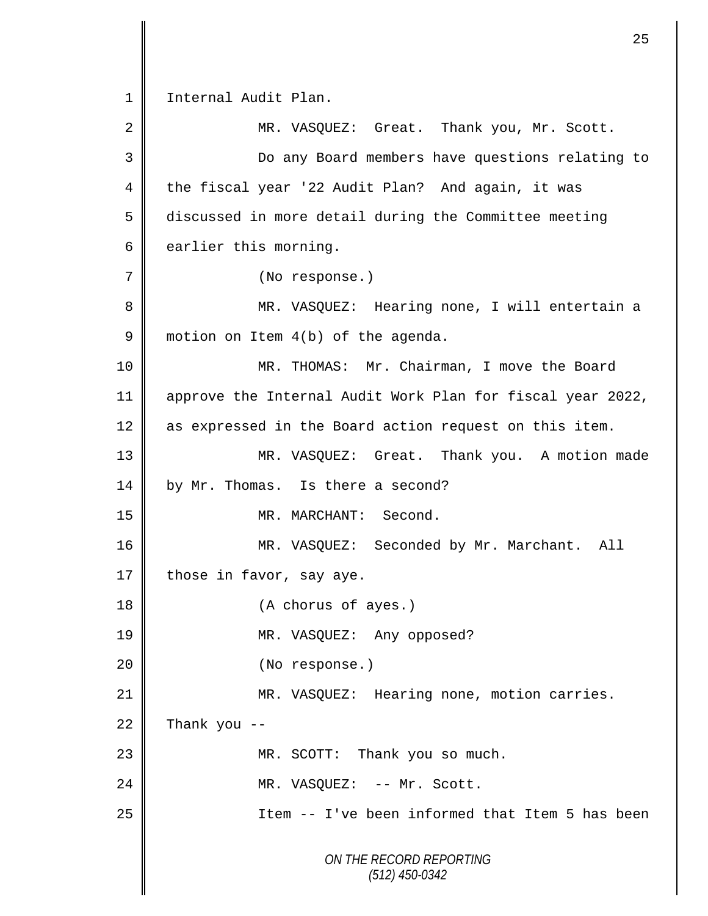*ON THE RECORD REPORTING (512) 450-0342* 1 | Internal Audit Plan. 2 MR. VASQUEZ: Great. Thank you, Mr. Scott. 3 Do any Board members have questions relating to 4 the fiscal year '22 Audit Plan? And again, it was 5 discussed in more detail during the Committee meeting  $6 \parallel$  earlier this morning. 7 (No response.) 8 MR. VASQUEZ: Hearing none, I will entertain a 9 motion on Item 4(b) of the agenda. 10 MR. THOMAS: Mr. Chairman, I move the Board 11 approve the Internal Audit Work Plan for fiscal year 2022, 12 as expressed in the Board action request on this item. 13 MR. VASQUEZ: Great. Thank you. A motion made 14 by Mr. Thomas. Is there a second? 15 || MR. MARCHANT: Second. 16 MR. VASQUEZ: Seconded by Mr. Marchant. All 17 those in favor, say aye. 18 (A chorus of ayes.) 19 MR. VASQUEZ: Any opposed? 20 || (No response.) 21 | MR. VASQUEZ: Hearing none, motion carries.  $22$  Thank you --23 || MR. SCOTT: Thank you so much. 24 || MR. VASQUEZ: -- Mr. Scott. 25 Item -- I've been informed that Item 5 has been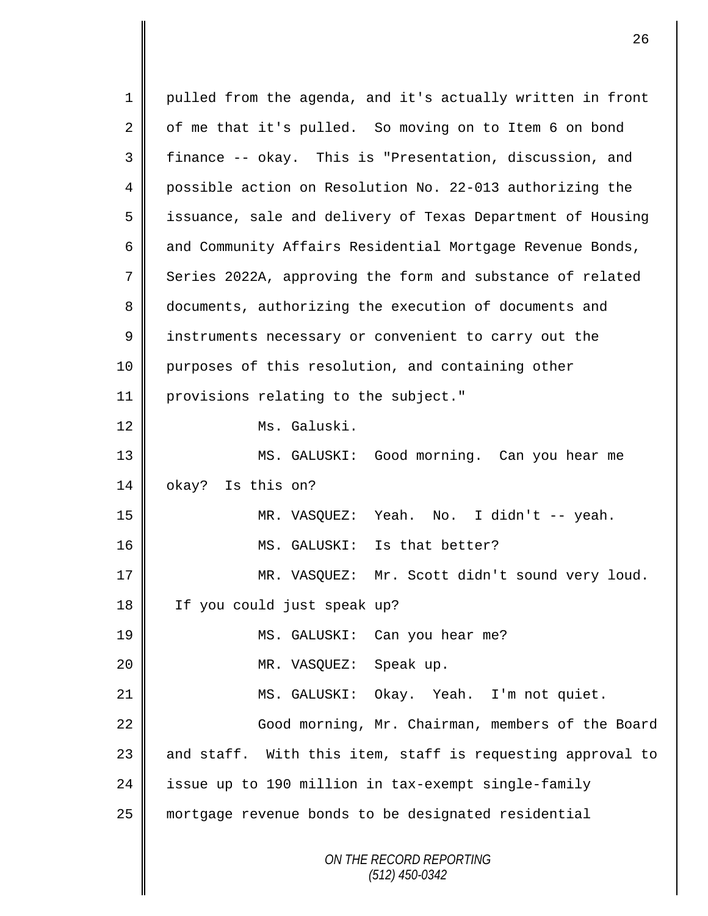*ON THE RECORD REPORTING (512) 450-0342* 1 || pulled from the agenda, and it's actually written in front  $2 \parallel$  of me that it's pulled. So moving on to Item 6 on bond 3 finance -- okay. This is "Presentation, discussion, and 4 possible action on Resolution No. 22-013 authorizing the 5 || issuance, sale and delivery of Texas Department of Housing 6 and Community Affairs Residential Mortgage Revenue Bonds, 7 Series 2022A, approving the form and substance of related 8 documents, authorizing the execution of documents and 9 | instruments necessary or convenient to carry out the 10 purposes of this resolution, and containing other 11 provisions relating to the subject." 12 Ms. Galuski. 13 MS. GALUSKI: Good morning. Can you hear me 14 | okay? Is this on? 15 MR. VASQUEZ: Yeah. No. I didn't -- yeah. 16 || MS. GALUSKI: Is that better? 17 MR. VASQUEZ: Mr. Scott didn't sound very loud. 18 If you could just speak up? 19 MS. GALUSKI: Can you hear me? 20 MR. VASQUEZ: Speak up. 21 MS. GALUSKI: Okay. Yeah. I'm not quiet. 22 | Good morning, Mr. Chairman, members of the Board 23  $\parallel$  and staff. With this item, staff is requesting approval to 24 issue up to 190 million in tax-exempt single-family 25 mortgage revenue bonds to be designated residential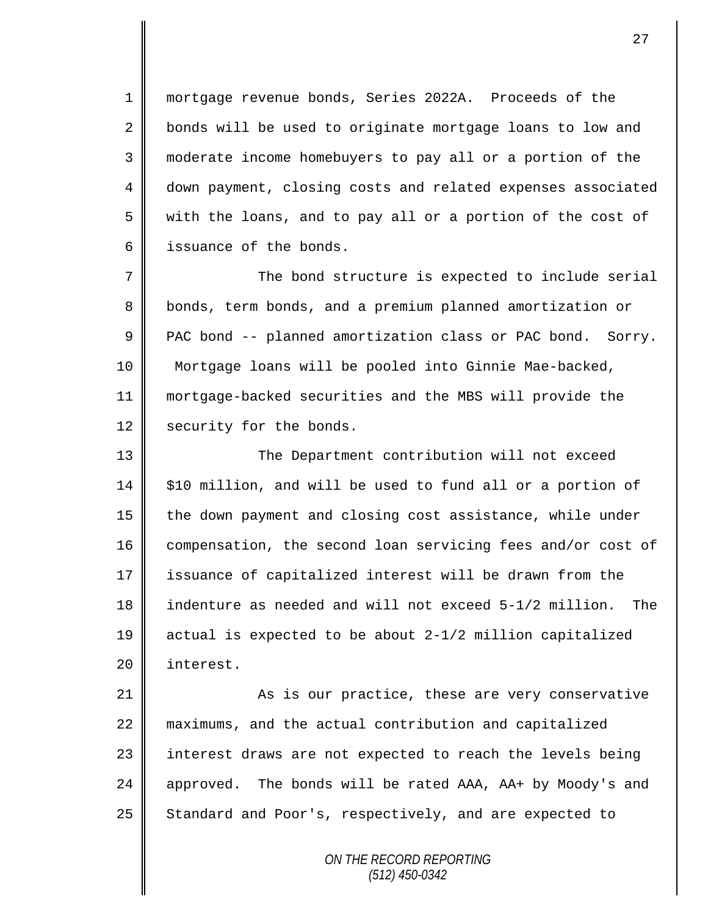mortgage revenue bonds, Series 2022A. Proceeds of the 2 bonds will be used to originate mortgage loans to low and moderate income homebuyers to pay all or a portion of the 4 down payment, closing costs and related expenses associated with the loans, and to pay all or a portion of the cost of **i** issuance of the bonds.

 The bond structure is expected to include serial 8 bonds, term bonds, and a premium planned amortization or  $\parallel$  PAC bond -- planned amortization class or PAC bond. Sorry. Mortgage loans will be pooled into Ginnie Mae-backed, mortgage-backed securities and the MBS will provide the 12 security for the bonds.

13 || The Department contribution will not exceed  $14$  | \$10 million, and will be used to fund all or a portion of 15 the down payment and closing cost assistance, while under 16 compensation, the second loan servicing fees and/or cost of 17 issuance of capitalized interest will be drawn from the 18 indenture as needed and will not exceed 5-1/2 million. The 19 actual is expected to be about 2-1/2 million capitalized 20 | interest.

21 As is our practice, these are very conservative 22 maximums, and the actual contribution and capitalized 23 || interest draws are not expected to reach the levels being 24 approved. The bonds will be rated AAA, AA+ by Moody's and 25 Standard and Poor's, respectively, and are expected to

> *ON THE RECORD REPORTING (512) 450-0342*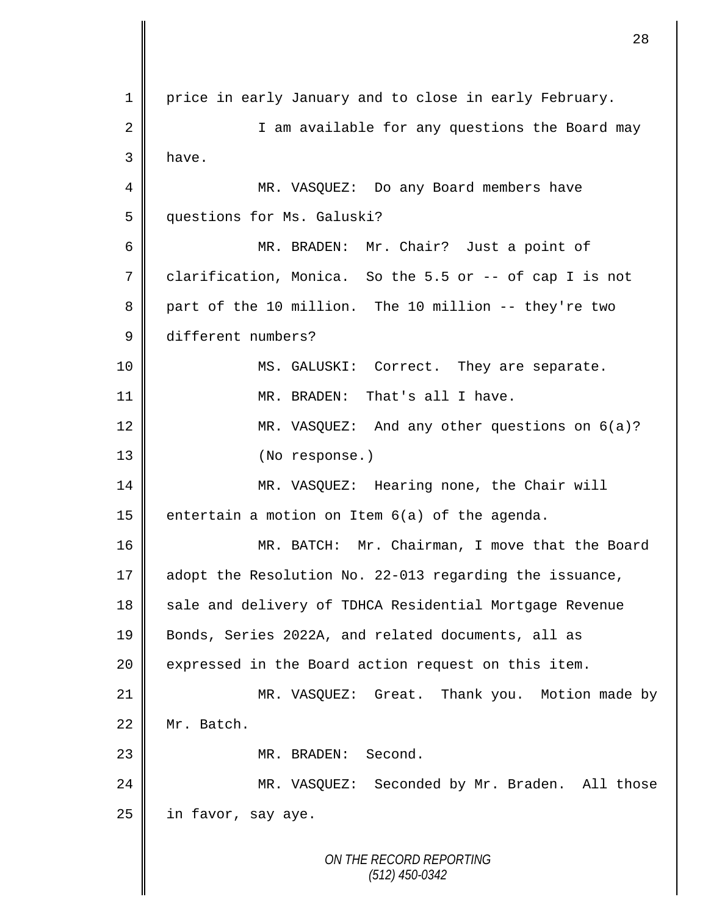*ON THE RECORD REPORTING (512) 450-0342* 1 price in early January and to close in early February. 2 || I am available for any questions the Board may 3 have. 4 || MR. VASQUEZ: Do any Board members have 5 | questions for Ms. Galuski? 6 MR. BRADEN: Mr. Chair? Just a point of 7 clarification, Monica. So the 5.5 or -- of cap I is not 8 part of the 10 million. The 10 million -- they're two 9 different numbers? 10 || MS. GALUSKI: Correct. They are separate. 11 MR. BRADEN: That's all I have. 12 MR. VASQUEZ: And any other questions on 6(a)? 13 || (No response.) 14 MR. VASQUEZ: Hearing none, the Chair will 15 entertain a motion on Item  $6(a)$  of the agenda. 16 MR. BATCH: Mr. Chairman, I move that the Board 17 adopt the Resolution No. 22-013 regarding the issuance, 18 sale and delivery of TDHCA Residential Mortgage Revenue 19 Bonds, Series 2022A, and related documents, all as 20 expressed in the Board action request on this item. 21 MR. VASQUEZ: Great. Thank you. Motion made by 22 Mr. Batch. 23 || MR. BRADEN: Second. 24 MR. VASQUEZ: Seconded by Mr. Braden. All those  $25$  | in favor, say aye.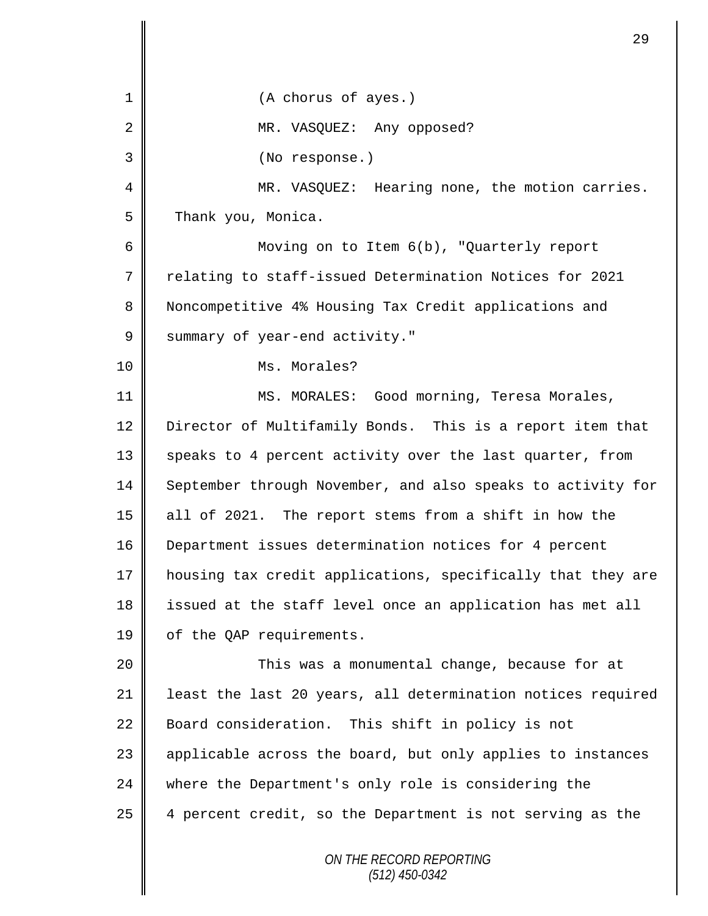*ON THE RECORD REPORTING (512) 450-0342* 1 || (A chorus of ayes.) 2 MR. VASQUEZ: Any opposed? 3 (No response.) 4 | MR. VASOUEZ: Hearing none, the motion carries. 5 Thank you, Monica. 6 Moving on to Item 6(b), "Quarterly report 7 relating to staff-issued Determination Notices for 2021 8 Noncompetitive 4% Housing Tax Credit applications and 9 Summary of year-end activity." 10 || Ms. Morales? 11 | MS. MORALES: Good morning, Teresa Morales, 12 Director of Multifamily Bonds. This is a report item that 13 || speaks to 4 percent activity over the last quarter, from 14 September through November, and also speaks to activity for 15 all of 2021. The report stems from a shift in how the 16 Department issues determination notices for 4 percent 17 housing tax credit applications, specifically that they are 18 issued at the staff level once an application has met all 19 | of the QAP requirements. 20 This was a monumental change, because for at 21 | least the last 20 years, all determination notices required 22 Board consideration. This shift in policy is not 23 | applicable across the board, but only applies to instances 24 where the Department's only role is considering the 25  $\parallel$  4 percent credit, so the Department is not serving as the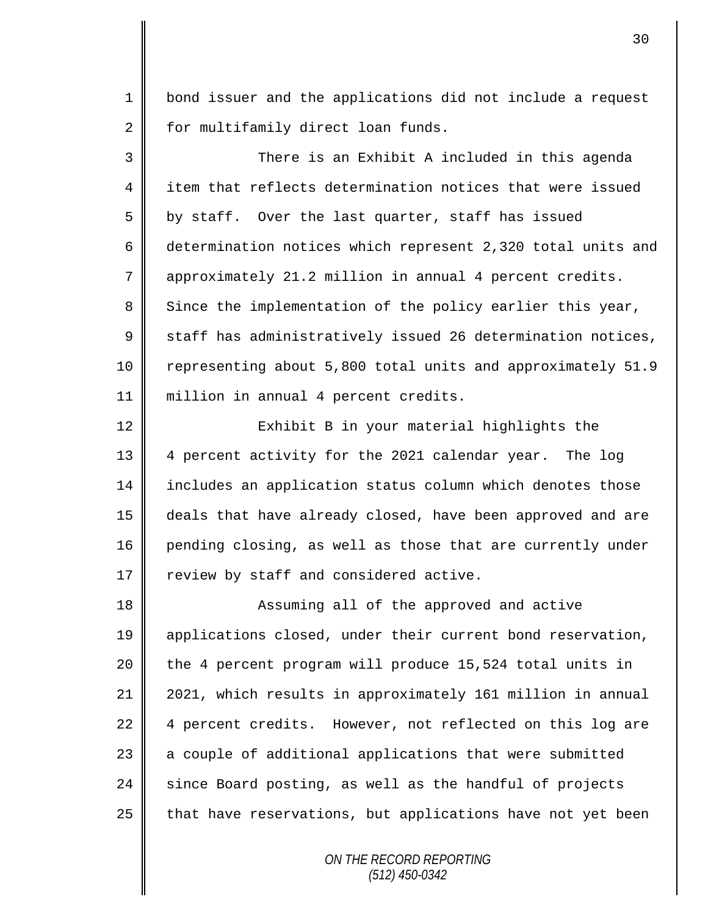1 | bond issuer and the applications did not include a request 2 | for multifamily direct loan funds.

3 There is an Exhibit A included in this agenda 4 item that reflects determination notices that were issued  $5 \parallel$  by staff. Over the last quarter, staff has issued 6 determination notices which represent 2,320 total units and 7 approximately 21.2 million in annual 4 percent credits.  $8 \parallel$  Since the implementation of the policy earlier this year,  $9 \parallel$  staff has administratively issued 26 determination notices, 10 | representing about 5,800 total units and approximately 51.9 11 million in annual 4 percent credits.

12 || Exhibit B in your material highlights the 13 4 percent activity for the 2021 calendar year. The log 14 includes an application status column which denotes those 15 deals that have already closed, have been approved and are 16 pending closing, as well as those that are currently under  $17 \parallel$  review by staff and considered active.

18 || Assuming all of the approved and active 19 || applications closed, under their current bond reservation,  $20$  | the 4 percent program will produce 15,524 total units in 21 2021, which results in approximately 161 million in annual 22 4 percent credits. However, not reflected on this log are 23 a couple of additional applications that were submitted  $24$  since Board posting, as well as the handful of projects  $25$  that have reservations, but applications have not yet been

> *ON THE RECORD REPORTING (512) 450-0342*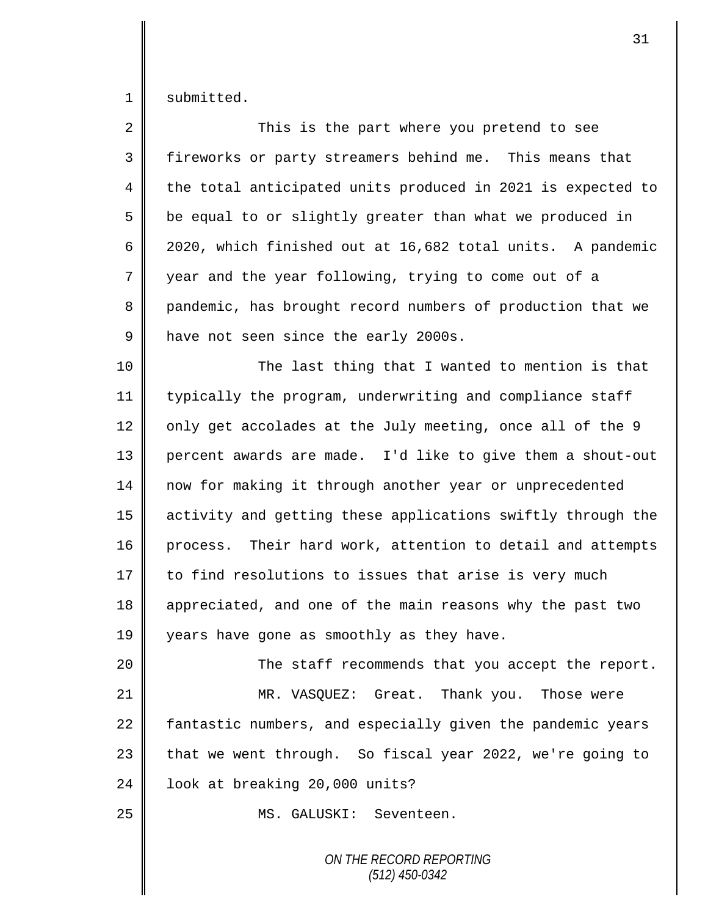1 submitted.

| $\overline{2}$ | This is the part where you pretend to see                   |
|----------------|-------------------------------------------------------------|
| 3              | fireworks or party streamers behind me. This means that     |
| 4              | the total anticipated units produced in 2021 is expected to |
| 5              | be equal to or slightly greater than what we produced in    |
| 6              | 2020, which finished out at 16,682 total units. A pandemic  |
| 7              | year and the year following, trying to come out of a        |
| 8              | pandemic, has brought record numbers of production that we  |
| 9              | have not seen since the early 2000s.                        |
| 10             | The last thing that I wanted to mention is that             |
| 11             | typically the program, underwriting and compliance staff    |
| 12             | only get accolades at the July meeting, once all of the 9   |
| 13             | percent awards are made. I'd like to give them a shout-out  |
| 14             | now for making it through another year or unprecedented     |
| 15             | activity and getting these applications swiftly through the |
| 16             | process. Their hard work, attention to detail and attempts  |
| 17             | to find resolutions to issues that arise is very much       |
| 18             | appreciated, and one of the main reasons why the past two   |
| 19             | years have gone as smoothly as they have.                   |
| 20             | The staff recommends that you accept the report.            |
| 21             | MR. VASQUEZ: Great. Thank you. Those were                   |
| 22             | fantastic numbers, and especially given the pandemic years  |
| 23             | that we went through. So fiscal year 2022, we're going to   |
| 24             | look at breaking 20,000 units?                              |
| 25             | MS. GALUSKI: Seventeen.                                     |
|                |                                                             |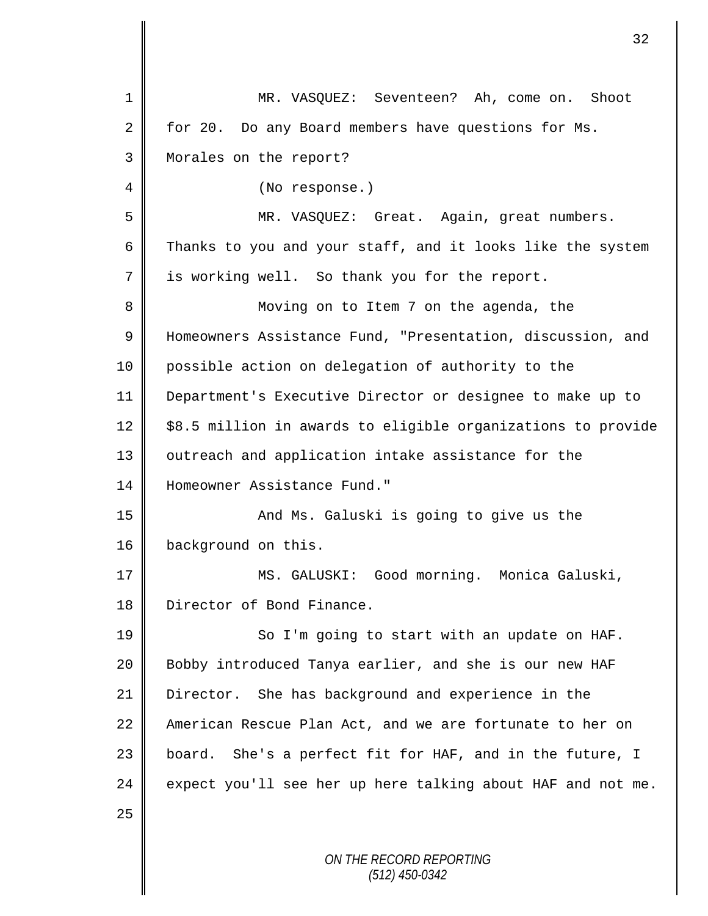| $\mathbf 1$ | MR. VASQUEZ: Seventeen? Ah, come on. Shoot                   |
|-------------|--------------------------------------------------------------|
| 2           | for 20. Do any Board members have questions for Ms.          |
| 3           | Morales on the report?                                       |
| 4           | (No response.)                                               |
| 5           | MR. VASQUEZ: Great. Again, great numbers.                    |
| 6           | Thanks to you and your staff, and it looks like the system   |
| 7           | is working well. So thank you for the report.                |
| 8           | Moving on to Item 7 on the agenda, the                       |
| 9           | Homeowners Assistance Fund, "Presentation, discussion, and   |
| 10          | possible action on delegation of authority to the            |
| 11          | Department's Executive Director or designee to make up to    |
| 12          | \$8.5 million in awards to eligible organizations to provide |
| 13          | outreach and application intake assistance for the           |
| 14          | Homeowner Assistance Fund."                                  |
| 15          | And Ms. Galuski is going to give us the                      |
| 16          | background on this.                                          |
| 17          | MS. GALUSKI: Good morning. Monica Galuski,                   |
| 18          | Director of Bond Finance.                                    |
| 19          | So I'm going to start with an update on HAF.                 |
| 20          | Bobby introduced Tanya earlier, and she is our new HAF       |
| 21          | Director. She has background and experience in the           |
| 22          | American Rescue Plan Act, and we are fortunate to her on     |
| 23          | She's a perfect fit for HAF, and in the future, I<br>board.  |
| 24          | expect you'll see her up here talking about HAF and not me.  |
| 25          |                                                              |
|             | ON THE RECORD REPORTING<br>$(512)$ 450-0342                  |

 $\mathbf l$ ∥

II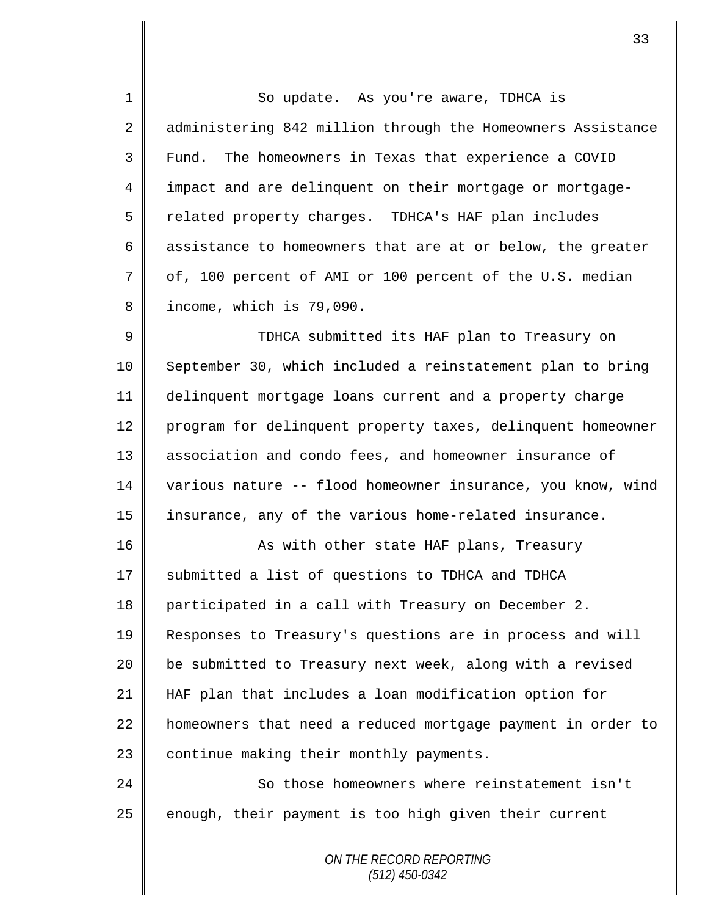1 So update. As you're aware, TDHCA is 2 administering 842 million through the Homeowners Assistance 3 Fund. The homeowners in Texas that experience a COVID 4 impact and are delinquent on their mortgage or mortgage-5 Telated property charges. TDHCA's HAF plan includes 6 assistance to homeowners that are at or below, the greater  $7 \parallel$  of, 100 percent of AMI or 100 percent of the U.S. median 8 income, which is 79,090.

9 TDHCA submitted its HAF plan to Treasury on 10 September 30, which included a reinstatement plan to bring 11 delinquent mortgage loans current and a property charge 12 program for delinquent property taxes, delinquent homeowner 13 association and condo fees, and homeowner insurance of 14 various nature -- flood homeowner insurance, you know, wind 15 insurance, any of the various home-related insurance.

16 || As with other state HAF plans, Treasury 17 Submitted a list of questions to TDHCA and TDHCA 18 participated in a call with Treasury on December 2. 19 Responses to Treasury's questions are in process and will 20 | be submitted to Treasury next week, along with a revised 21 HAF plan that includes a loan modification option for  $22$  | homeowners that need a reduced mortgage payment in order to  $23$  | continue making their monthly payments.

24 | So those homeowners where reinstatement isn't  $25$  enough, their payment is too high given their current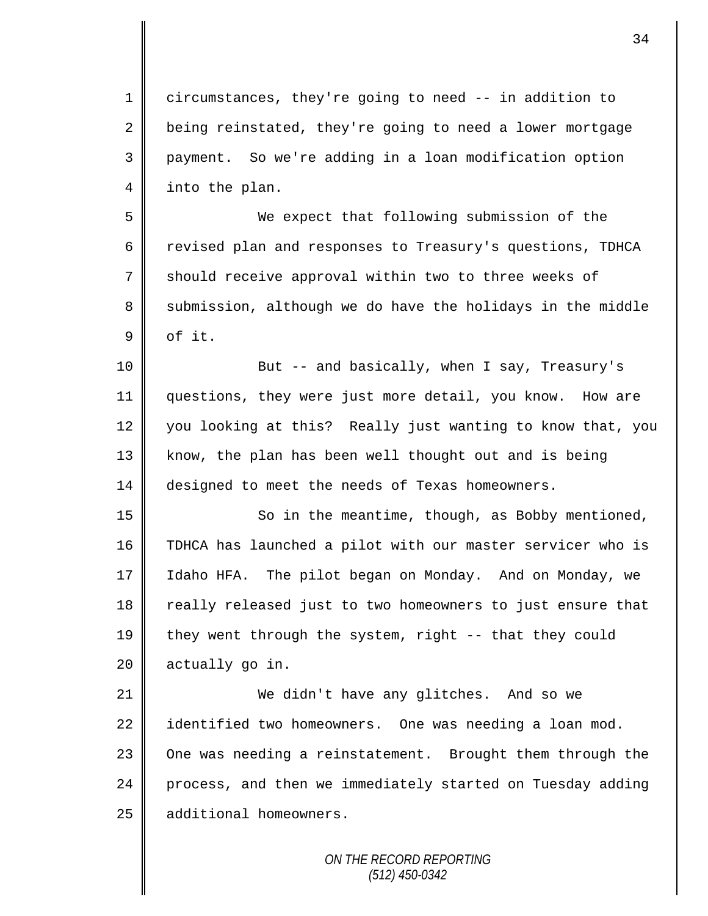1 circumstances, they're going to need -- in addition to 2 being reinstated, they're going to need a lower mortgage 3 payment. So we're adding in a loan modification option 4 | into the plan.

5 We expect that following submission of the 6 Tevised plan and responses to Treasury's questions, TDHCA 7 Should receive approval within two to three weeks of 8 Submission, although we do have the holidays in the middle  $9 \parallel$  of it.

10 But -- and basically, when I say, Treasury's 11 questions, they were just more detail, you know. How are 12 you looking at this? Really just wanting to know that, you 13 || know, the plan has been well thought out and is being 14 designed to meet the needs of Texas homeowners.

15 || So in the meantime, though, as Bobby mentioned, 16 TDHCA has launched a pilot with our master servicer who is 17 Idaho HFA. The pilot began on Monday. And on Monday, we 18 really released just to two homeowners to just ensure that 19  $\parallel$  they went through the system, right -- that they could 20 actually go in.

21 We didn't have any glitches. And so we  $22$  identified two homeowners. One was needing a loan mod. 23 | One was needing a reinstatement. Brought them through the 24 process, and then we immediately started on Tuesday adding 25 additional homeowners.

> *ON THE RECORD REPORTING (512) 450-0342*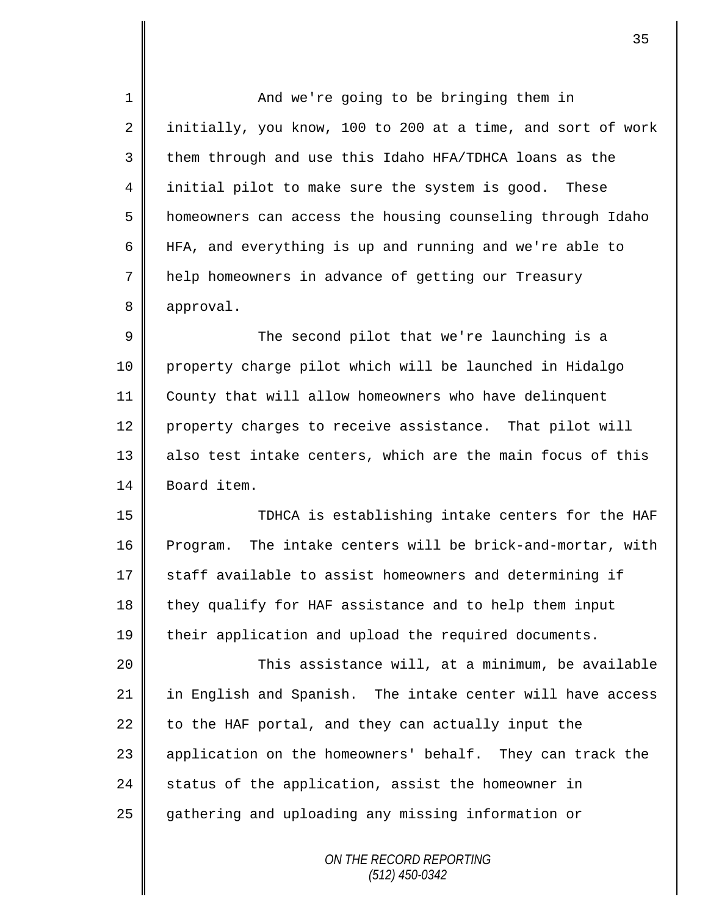1 || And we're going to be bringing them in 2 initially, you know, 100 to 200 at a time, and sort of work  $3 \parallel$  them through and use this Idaho HFA/TDHCA loans as the 4 initial pilot to make sure the system is good. These 5 | homeowners can access the housing counseling through Idaho 6 HFA, and everything is up and running and we're able to 7 help homeowners in advance of getting our Treasury 8 approval. 9 The second pilot that we're launching is a 10 property charge pilot which will be launched in Hidalgo 11 County that will allow homeowners who have delinquent 12 property charges to receive assistance. That pilot will 13 also test intake centers, which are the main focus of this 14 Board item. 15 TDHCA is establishing intake centers for the HAF 16 Program. The intake centers will be brick-and-mortar, with  $17$  staff available to assist homeowners and determining if 18 they qualify for HAF assistance and to help them input 19 their application and upload the required documents. 20 This assistance will, at a minimum, be available 21 in English and Spanish. The intake center will have access  $22$  to the HAF portal, and they can actually input the 23 | application on the homeowners' behalf. They can track the  $24$  status of the application, assist the homeowner in 25 gathering and uploading any missing information or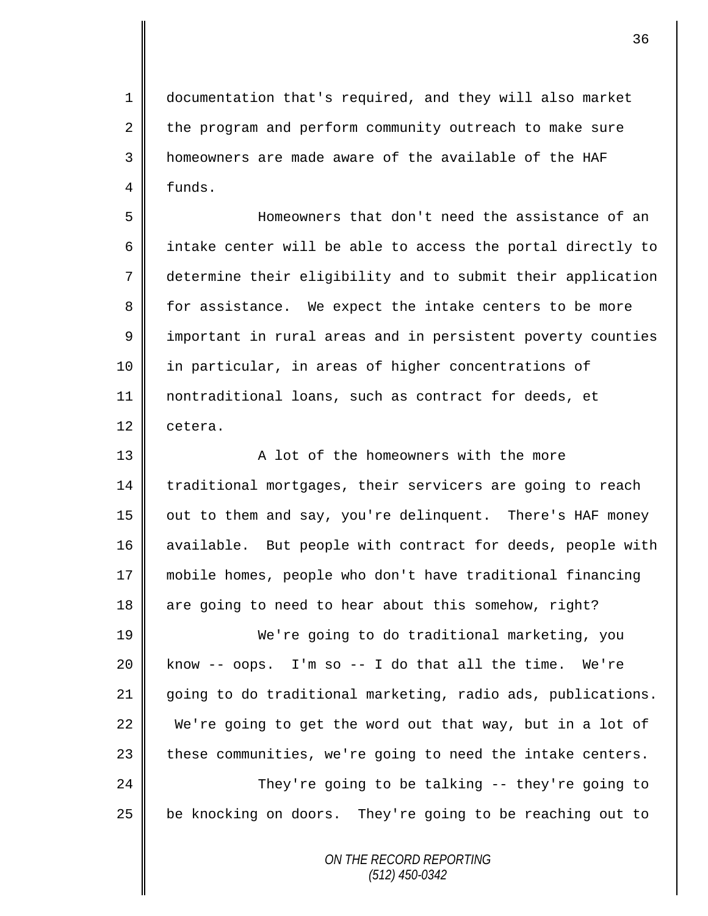1 documentation that's required, and they will also market 2 the program and perform community outreach to make sure 3 homeowners are made aware of the available of the HAF  $4 \parallel$  funds.

5 Homeowners that don't need the assistance of an 6 | intake center will be able to access the portal directly to 7 determine their eligibility and to submit their application 8 for assistance. We expect the intake centers to be more 9 | important in rural areas and in persistent poverty counties 10 in particular, in areas of higher concentrations of 11 nontraditional loans, such as contract for deeds, et 12 cetera.

13 || The Solomon a lot of the homeowners with the more 14 traditional mortgages, their servicers are going to reach 15 | out to them and say, you're delinquent. There's HAF money 16 available. But people with contract for deeds, people with 17 mobile homes, people who don't have traditional financing 18 are going to need to hear about this somehow, right?

19 We're going to do traditional marketing, you  $20$  know -- oops. I'm so -- I do that all the time. We're 21 going to do traditional marketing, radio ads, publications. 22 We're going to get the word out that way, but in a lot of  $23$  | these communities, we're going to need the intake centers. 24 They're going to be talking -- they're going to 25 | be knocking on doors. They're going to be reaching out to

> *ON THE RECORD REPORTING (512) 450-0342*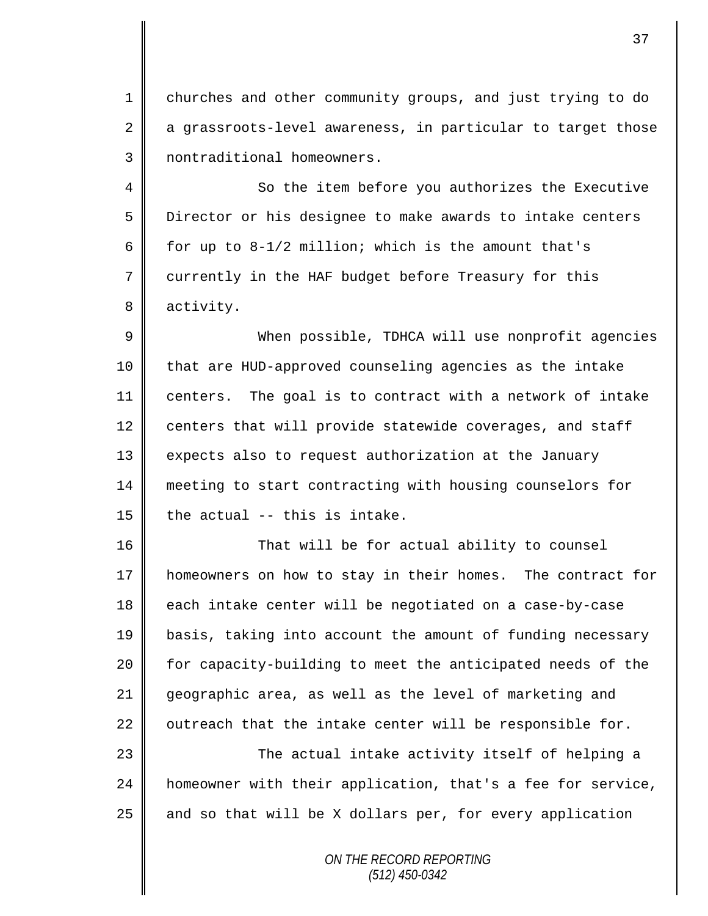1 | churches and other community groups, and just trying to do  $2 \parallel$  a grassroots-level awareness, in particular to target those 3 | nontraditional homeowners.

4 So the item before you authorizes the Executive 5 Director or his designee to make awards to intake centers 6  $\parallel$  for up to 8-1/2 million; which is the amount that's 7 currently in the HAF budget before Treasury for this 8 activity.

 When possible, TDHCA will use nonprofit agencies that are HUD-approved counseling agencies as the intake centers. The goal is to contract with a network of intake 12 centers that will provide statewide coverages, and staff 13 | expects also to request authorization at the January meeting to start contracting with housing counselors for  $\parallel$  the actual -- this is intake.

16 That will be for actual ability to counsel 17 | homeowners on how to stay in their homes. The contract for 18 each intake center will be negotiated on a case-by-case 19 basis, taking into account the amount of funding necessary 20 | for capacity-building to meet the anticipated needs of the 21 geographic area, as well as the level of marketing and 22  $\parallel$  outreach that the intake center will be responsible for.

23 The actual intake activity itself of helping a 24 homeowner with their application, that's a fee for service,  $25$  and so that will be X dollars per, for every application

> *ON THE RECORD REPORTING (512) 450-0342*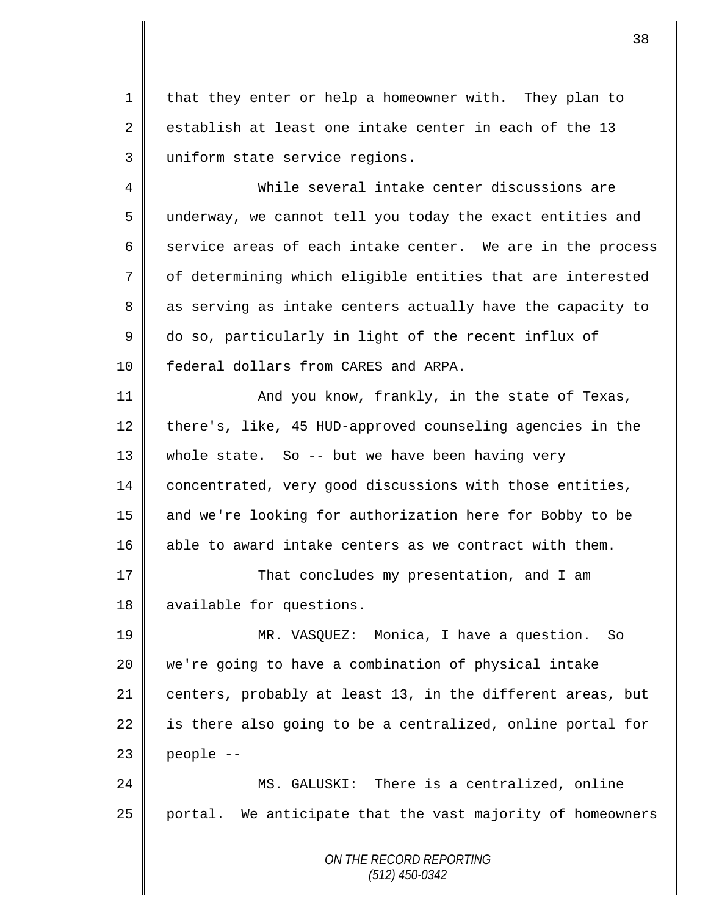1 || that they enter or help a homeowner with. They plan to 2 establish at least one intake center in each of the 13 3 uniform state service regions.

4 While several intake center discussions are 5 underway, we cannot tell you today the exact entities and 6 service areas of each intake center. We are in the process 7 | of determining which eligible entities that are interested 8 as serving as intake centers actually have the capacity to 9 do so, particularly in light of the recent influx of 10 **f** federal dollars from CARES and ARPA.

11 || And you know, frankly, in the state of Texas, 12 there's, like, 45 HUD-approved counseling agencies in the 13 whole state. So -- but we have been having very 14 concentrated, very good discussions with those entities, 15 || and we're looking for authorization here for Bobby to be 16 able to award intake centers as we contract with them.

17 | That concludes my presentation, and I am 18 | available for questions.

 MR. VASQUEZ: Monica, I have a question. So we're going to have a combination of physical intake 21 centers, probably at least 13, in the different areas, but  $\parallel$  is there also going to be a centralized, online portal for | people  $-$ 

24 MS. GALUSKI: There is a centralized, online  $25$  portal. We anticipate that the vast majority of homeowners

> *ON THE RECORD REPORTING (512) 450-0342*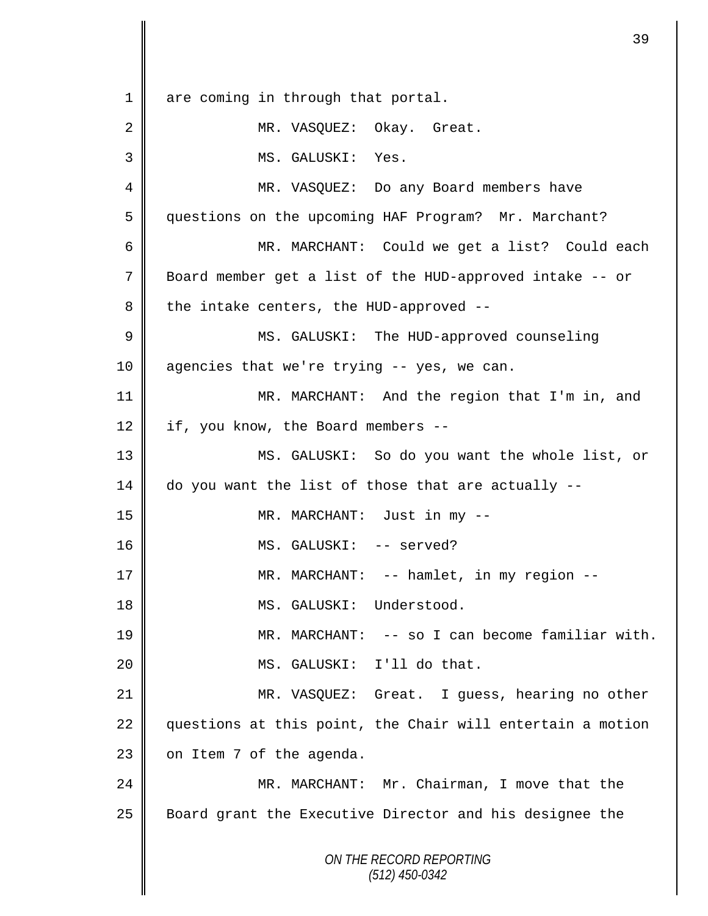*ON THE RECORD REPORTING (512) 450-0342* 1 are coming in through that portal. 2 MR. VASQUEZ: Okay. Great. MS. GALUSKI: Yes. MR. VASQUEZ: Do any Board members have questions on the upcoming HAF Program? Mr. Marchant? MR. MARCHANT: Could we get a list? Could each Board member get a list of the HUD-approved intake -- or  $8 \parallel$  the intake centers, the HUD-approved -- MS. GALUSKI: The HUD-approved counseling 10 agencies that we're trying -- yes, we can. 11 || MR. MARCHANT: And the region that I'm in, and  $\parallel$  if, you know, the Board members -- MS. GALUSKI: So do you want the whole list, or do you want the list of those that are actually -- MR. MARCHANT: Just in my -- 16 || MS. GALUSKI: -- served? MR. MARCHANT: -- hamlet, in my region -- MS. GALUSKI: Understood. MR. MARCHANT: -- so I can become familiar with. MS. GALUSKI: I'll do that. MR. VASQUEZ: Great. I guess, hearing no other 22 questions at this point, the Chair will entertain a motion  $\parallel$  on Item 7 of the agenda. 24 | MR. MARCHANT: Mr. Chairman, I move that the 25 Board grant the Executive Director and his designee the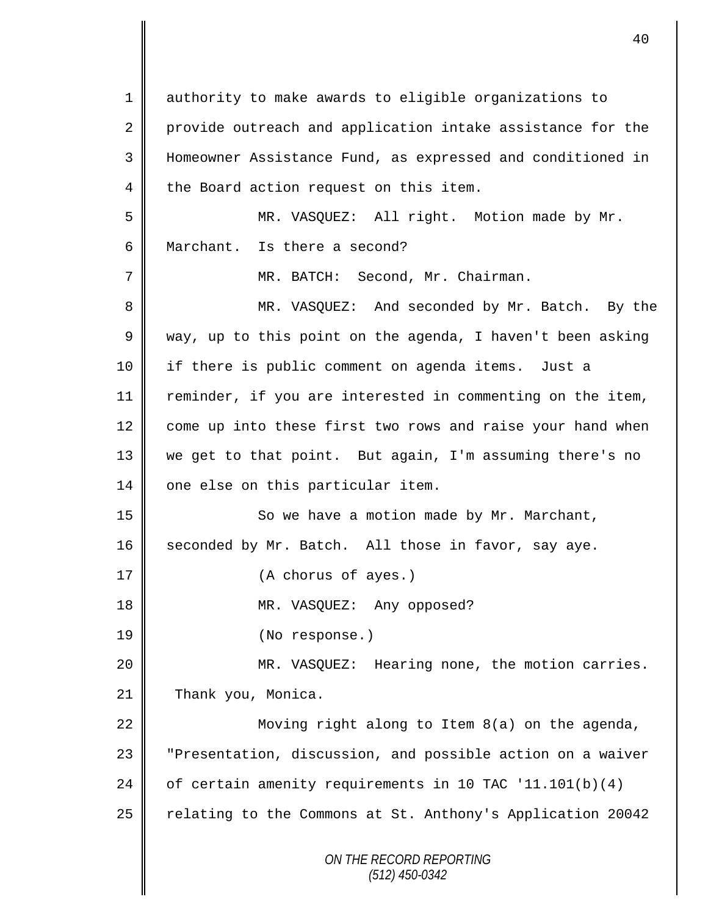*ON THE RECORD REPORTING (512) 450-0342* 1 authority to make awards to eligible organizations to 2 provide outreach and application intake assistance for the 3 Homeowner Assistance Fund, as expressed and conditioned in  $4 \parallel$  the Board action request on this item. 5 MR. VASQUEZ: All right. Motion made by Mr. 6 Marchant. Is there a second? 7 || MR. BATCH: Second, Mr. Chairman. 8 MR. VASQUEZ: And seconded by Mr. Batch. By the 9 We way, up to this point on the agenda, I haven't been asking 10 if there is public comment on agenda items. Just a 11 | reminder, if you are interested in commenting on the item, 12 come up into these first two rows and raise your hand when 13 we get to that point. But again, I'm assuming there's no 14 | one else on this particular item. 15 || So we have a motion made by Mr. Marchant, 16 seconded by Mr. Batch. All those in favor, say aye. 17 || (A chorus of ayes.) 18 || MR. VASQUEZ: Any opposed? 19 (No response.) 20 MR. VASQUEZ: Hearing none, the motion carries. 21 Thank you, Monica. 22  $\parallel$  Moving right along to Item 8(a) on the agenda, 23 | "Presentation, discussion, and possible action on a waiver 24  $\parallel$  of certain amenity requirements in 10 TAC '11.101(b)(4) 25 | relating to the Commons at St. Anthony's Application 20042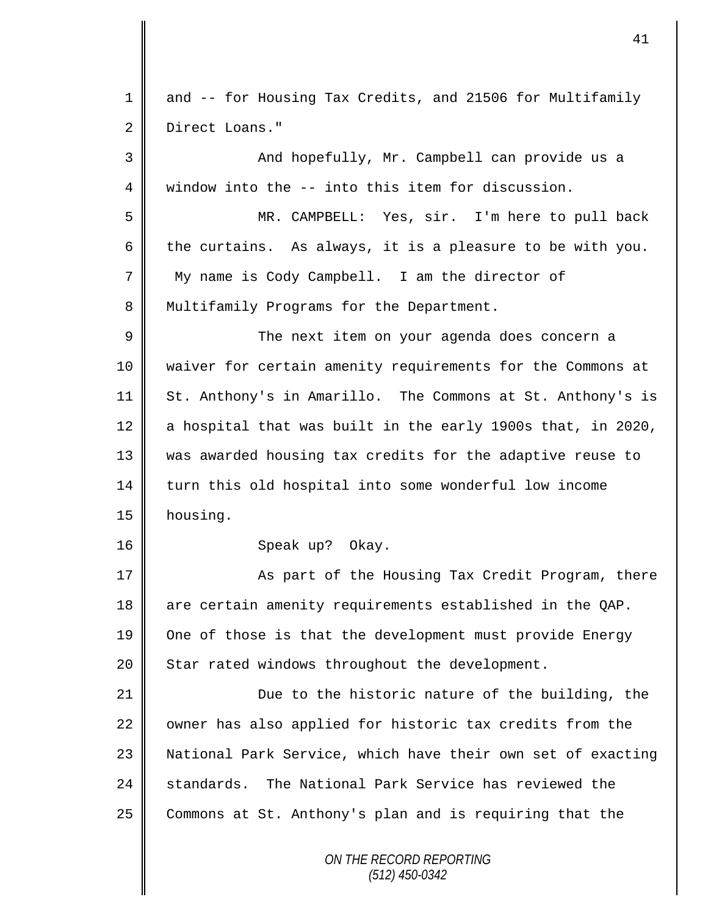| $\mathbf 1$    | and -- for Housing Tax Credits, and 21506 for Multifamily   |
|----------------|-------------------------------------------------------------|
| 2              | Direct Loans."                                              |
| 3              | And hopefully, Mr. Campbell can provide us a                |
| $\overline{4}$ | window into the -- into this item for discussion.           |
| 5              | MR. CAMPBELL: Yes, sir. I'm here to pull back               |
| 6              | the curtains. As always, it is a pleasure to be with you.   |
| 7              | My name is Cody Campbell. I am the director of              |
| 8              | Multifamily Programs for the Department.                    |
| $\mathsf 9$    | The next item on your agenda does concern a                 |
| 10             | waiver for certain amenity requirements for the Commons at  |
| 11             | St. Anthony's in Amarillo. The Commons at St. Anthony's is  |
| 12             | a hospital that was built in the early 1900s that, in 2020, |
| 13             | was awarded housing tax credits for the adaptive reuse to   |
| 14             | turn this old hospital into some wonderful low income       |
| 15             | housing.                                                    |
| 16             | Speak up? Okay.                                             |
| 17             | As part of the Housing Tax Credit Program, there            |
| 18             | are certain amenity requirements established in the QAP.    |
| 19             | One of those is that the development must provide Energy    |
| 20             | Star rated windows throughout the development.              |
| 21             | Due to the historic nature of the building, the             |
| 22             | owner has also applied for historic tax credits from the    |
| 23             | National Park Service, which have their own set of exacting |
| 24             | standards. The National Park Service has reviewed the       |
| 25             | Commons at St. Anthony's plan and is requiring that the     |
|                | ON THE RECORD REPORTING<br>$(512)$ 450-0342                 |

 $\mathbf l$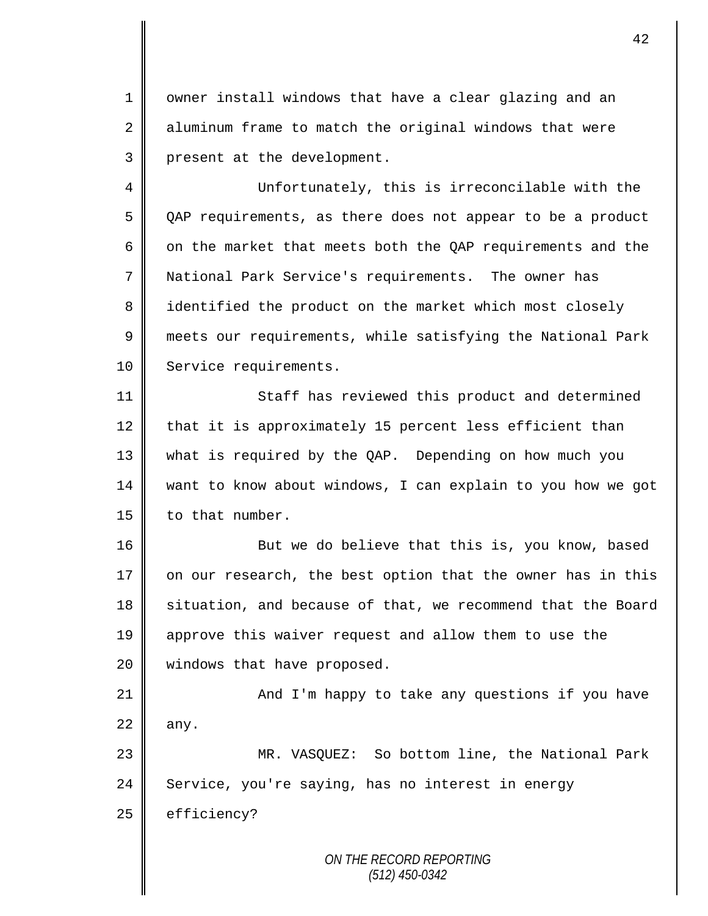1 || owner install windows that have a clear glazing and an 2 aluminum frame to match the original windows that were 3 | present at the development.

4 Unfortunately, this is irreconcilable with the 5 QAP requirements, as there does not appear to be a product 6  $\parallel$  on the market that meets both the QAP requirements and the 7 National Park Service's requirements. The owner has 8 || identified the product on the market which most closely 9 meets our requirements, while satisfying the National Park 10 | Service requirements.

11 || Staff has reviewed this product and determined that it is approximately 15 percent less efficient than what is required by the QAP. Depending on how much you want to know about windows, I can explain to you how we got | to that number.

16 But we do believe that this is, you know, based 17  $\parallel$  on our research, the best option that the owner has in this 18 situation, and because of that, we recommend that the Board 19 approve this waiver request and allow them to use the 20 | windows that have proposed.

21 | And I'm happy to take any questions if you have  $22$  any.

23 MR. VASQUEZ: So bottom line, the National Park 24 Service, you're saying, has no interest in energy  $25$  efficiency?

> *ON THE RECORD REPORTING (512) 450-0342*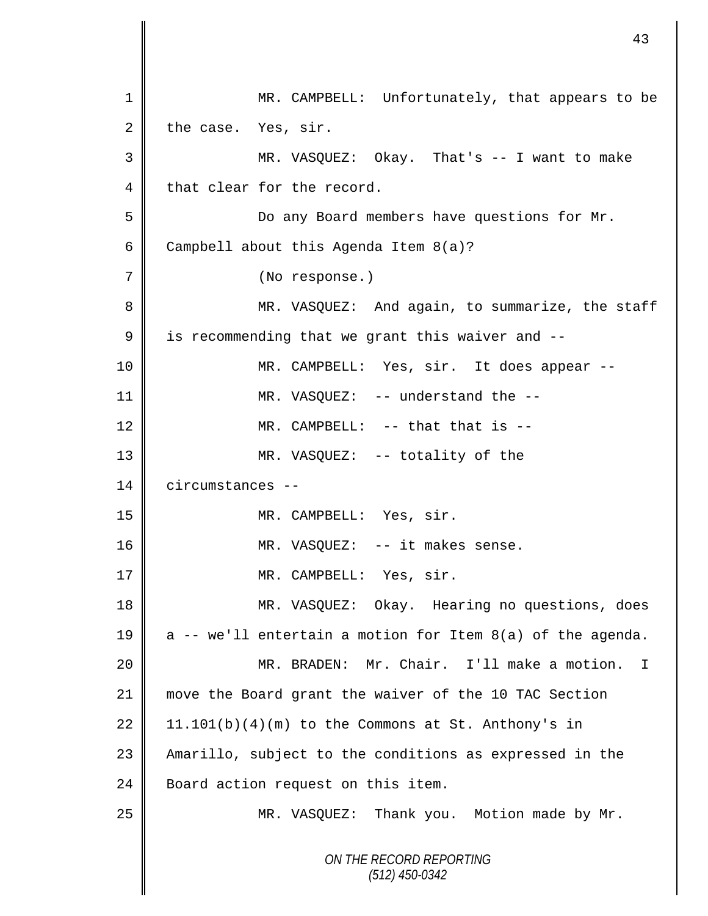| 1              | MR. CAMPBELL: Unfortunately, that appears to be            |
|----------------|------------------------------------------------------------|
| 2              | the case. Yes, sir.                                        |
| 3              | MR. VASQUEZ: Okay. That's -- I want to make                |
| $\overline{4}$ | that clear for the record.                                 |
| 5              | Do any Board members have questions for Mr.                |
| 6              | Campbell about this Agenda Item 8(a)?                      |
| 7              | (No response.)                                             |
| 8              | MR. VASQUEZ: And again, to summarize, the staff            |
| $\mathsf 9$    | is recommending that we grant this waiver and --           |
| 10             | MR. CAMPBELL: Yes, sir. It does appear --                  |
| 11             | MR. VASQUEZ: -- understand the --                          |
| 12             | MR. CAMPBELL: -- that that is --                           |
| 13             | MR. VASQUEZ: -- totality of the                            |
| 14             | circumstances --                                           |
| 15             | MR. CAMPBELL: Yes, sir.                                    |
| 16             | MR. VASQUEZ: -- it makes sense.                            |
| 17             | MR. CAMPBELL: Yes, sir.                                    |
| 18             | MR. VASQUEZ: Okay. Hearing no questions, does              |
| 19             | a -- we'll entertain a motion for Item 8(a) of the agenda. |
| 20             | MR. BRADEN: Mr. Chair. I'll make a motion. I               |
| 21             | move the Board grant the waiver of the 10 TAC Section      |
| 22             | $11.101(b)(4)(m)$ to the Commons at St. Anthony's in       |
| 23             | Amarillo, subject to the conditions as expressed in the    |
| 24             | Board action request on this item.                         |
| 25             | MR. VASQUEZ: Thank you. Motion made by Mr.                 |
|                | ON THE RECORD REPORTING<br>$(512)$ 450-0342                |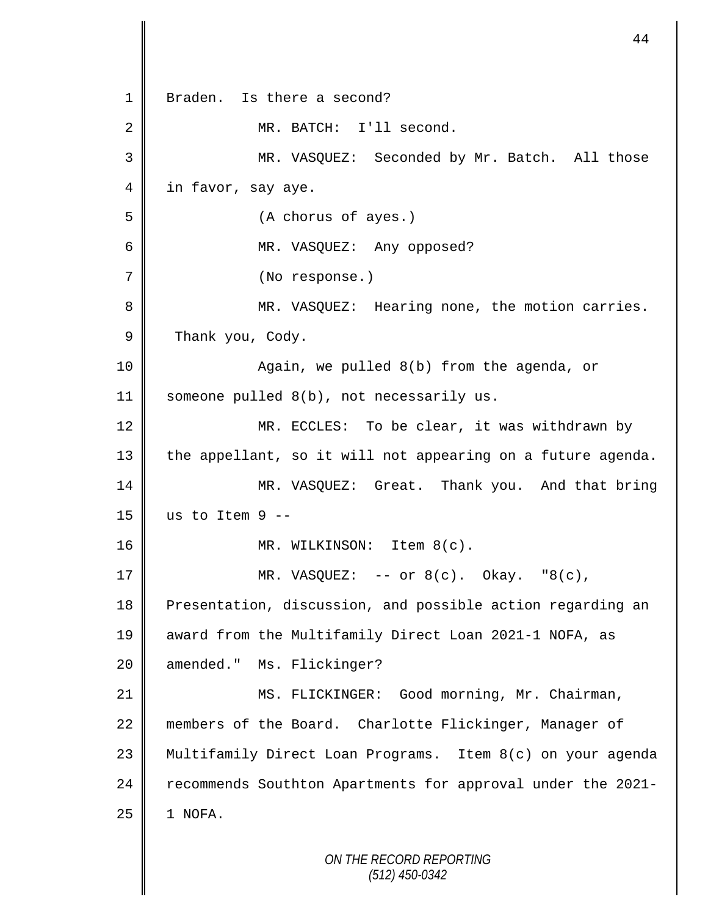*ON THE RECORD REPORTING* 1 Braden. Is there a second? 2 | MR. BATCH: I'll second. 3 MR. VASQUEZ: Seconded by Mr. Batch. All those 4 in favor, say aye. 5 (A chorus of ayes.) 6 MR. VASQUEZ: Any opposed? 7 (No response.) 8 MR. VASQUEZ: Hearing none, the motion carries. 9 Thank you, Cody. 10 || Again, we pulled 8(b) from the agenda, or 11 Someone pulled 8(b), not necessarily us. 12 || MR. ECCLES: To be clear, it was withdrawn by 13 || the appellant, so it will not appearing on a future agenda. 14 MR. VASQUEZ: Great. Thank you. And that bring  $15$  us to Item 9 --16 || MR. WILKINSON: Item 8(c). 17  $\parallel$  MR. VASQUEZ: -- or 8(c). Okay. "8(c), 18 Presentation, discussion, and possible action regarding an 19 award from the Multifamily Direct Loan 2021-1 NOFA, as 20 | amended." Ms. Flickinger? 21 | MS. FLICKINGER: Good morning, Mr. Chairman, 22 members of the Board. Charlotte Flickinger, Manager of 23 Multifamily Direct Loan Programs. Item 8(c) on your agenda 24 recommends Southton Apartments for approval under the 2021- $25$  | 1 NOFA.

44

*(512) 450-0342*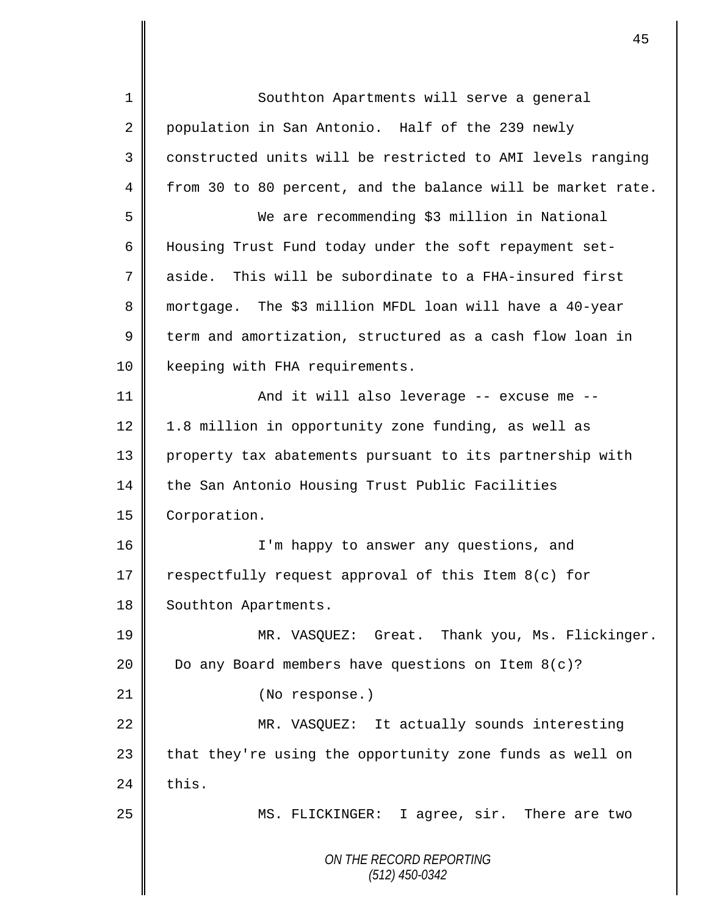*ON THE RECORD REPORTING (512) 450-0342* 1 Southton Apartments will serve a general 2 population in San Antonio. Half of the 239 newly 3 constructed units will be restricted to AMI levels ranging 4 from 30 to 80 percent, and the balance will be market rate. 5 We are recommending \$3 million in National 6 | Housing Trust Fund today under the soft repayment set-7 aside. This will be subordinate to a FHA-insured first 8 mortgage. The \$3 million MFDL loan will have a 40-year 9 term and amortization, structured as a cash flow loan in 10 | keeping with FHA requirements. 11 || And it will also leverage -- excuse me --12 1.8 million in opportunity zone funding, as well as 13 || property tax abatements pursuant to its partnership with 14 the San Antonio Housing Trust Public Facilities 15 **Corporation.** 16 I'm happy to answer any questions, and 17 respectfully request approval of this Item 8(c) for 18 | Southton Apartments. 19 MR. VASQUEZ: Great. Thank you, Ms. Flickinger. 20  $\parallel$  Do any Board members have questions on Item 8(c)? 21 | (No response.) 22 MR. VASQUEZ: It actually sounds interesting  $23$  | that they're using the opportunity zone funds as well on  $24$   $\parallel$  this. 25 || MS. FLICKINGER: I agree, sir. There are two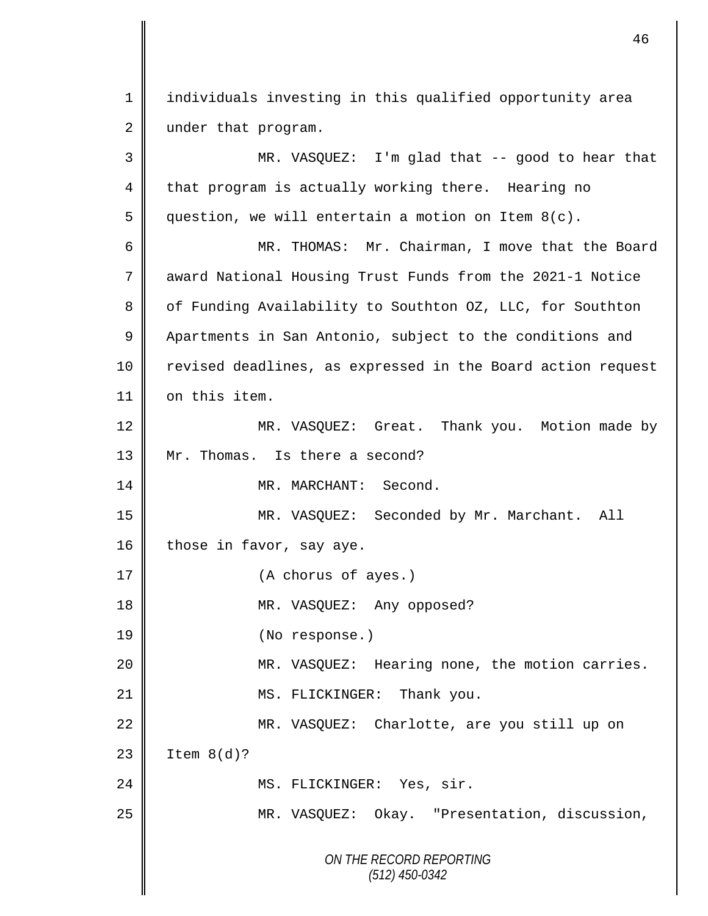1 individuals investing in this qualified opportunity area  $2 \parallel$  under that program. 3 MR. VASQUEZ: I'm glad that -- good to hear that

 $4 \parallel$  that program is actually working there. Hearing no 5 question, we will entertain a motion on Item  $8(c)$ . 6 MR. THOMAS: Mr. Chairman, I move that the Board 7 award National Housing Trust Funds from the 2021-1 Notice 8 | of Funding Availability to Southton 0Z, LLC, for Southton 9 Apartments in San Antonio, subject to the conditions and 10 || revised deadlines, as expressed in the Board action request 11 | on this item. 12 || MR. VASQUEZ: Great. Thank you. Motion made by 13 Mr. Thomas. Is there a second? 14 MR. MARCHANT: Second. 15 MR. VASQUEZ: Seconded by Mr. Marchant. All 16 those in favor, say aye. 17 || (A chorus of ayes.) 18 || MR. VASQUEZ: Any opposed? 19 (No response.) 20 MR. VASQUEZ: Hearing none, the motion carries. 21 || MS. FLICKINGER: Thank you. 22 MR. VASQUEZ: Charlotte, are you still up on  $23$  | Item  $8(d)$ ? 24 || MS. FLICKINGER: Yes, sir. 25 MR. VASQUEZ: Okay. "Presentation, discussion,

> *ON THE RECORD REPORTING (512) 450-0342*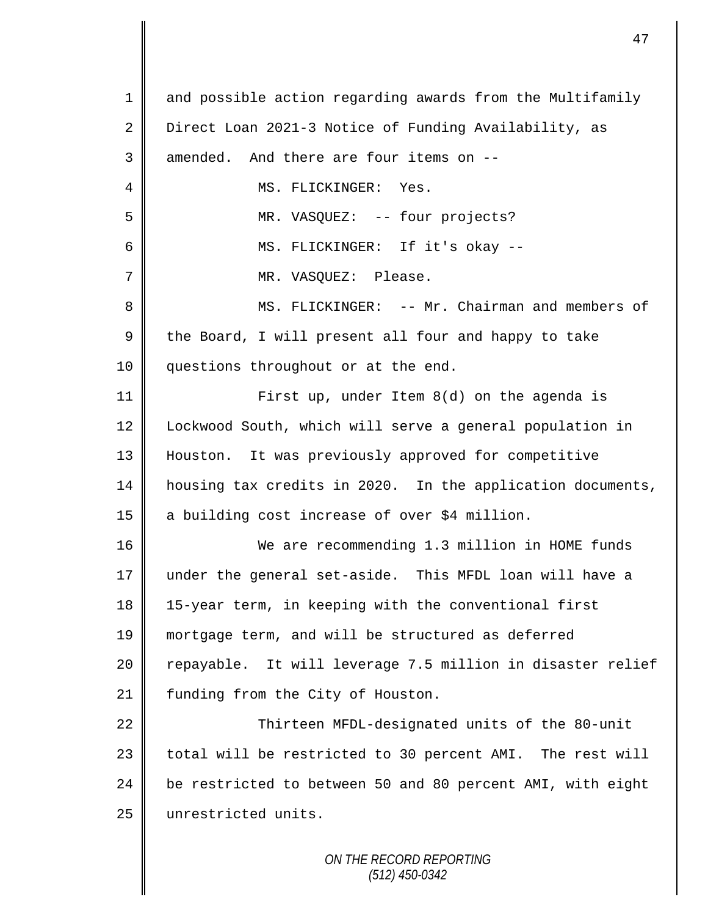*ON THE RECORD REPORTING* 1 and possible action regarding awards from the Multifamily 2 Direct Loan 2021-3 Notice of Funding Availability, as  $3 \parallel$  amended. And there are four items on  $-$ 4 || MS. FLICKINGER: Yes. 5 MR. VASQUEZ: -- four projects? 6 MS. FLICKINGER: If it's okay -- 7 || MR. VASOUEZ: Please. 8 MS. FLICKINGER: -- Mr. Chairman and members of  $9 \parallel$  the Board, I will present all four and happy to take 10 || questions throughout or at the end. 11 First up, under Item 8(d) on the agenda is 12 | Lockwood South, which will serve a general population in 13 Houston. It was previously approved for competitive 14 housing tax credits in 2020. In the application documents, 15 a building cost increase of over \$4 million. 16 We are recommending 1.3 million in HOME funds 17 under the general set-aside. This MFDL loan will have a 18 15-year term, in keeping with the conventional first 19 mortgage term, and will be structured as deferred 20 || repayable. It will leverage 7.5 million in disaster relief 21 | funding from the City of Houston. 22 || Thirteen MFDL-designated units of the 80-unit 23 || total will be restricted to 30 percent AMI. The rest will 24 be restricted to between 50 and 80 percent AMI, with eight 25 | unrestricted units.

*(512) 450-0342*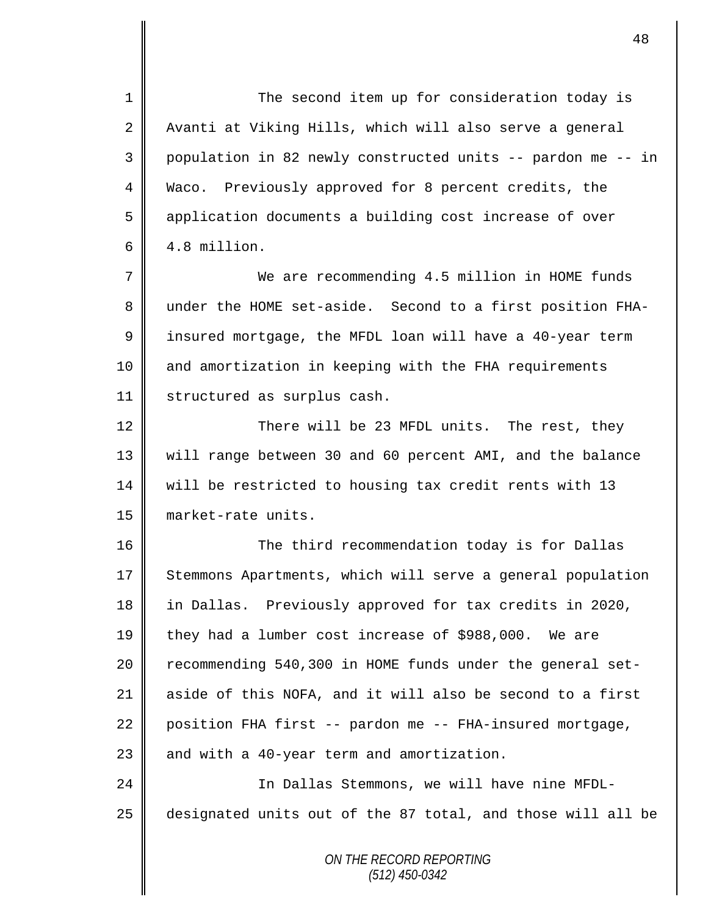1 The second item up for consideration today is 2 | Avanti at Viking Hills, which will also serve a general 3 population in 82 newly constructed units -- pardon me -- in 4 Waco. Previously approved for 8 percent credits, the 5 | application documents a building cost increase of over  $6 \parallel 4.8 \text{ million}$ . 7 We are recommending 4.5 million in HOME funds

8 under the HOME set-aside. Second to a first position FHA-9 | insured mortgage, the MFDL loan will have a 40-year term 10 || and amortization in keeping with the FHA requirements 11 | structured as surplus cash.

12 There will be 23 MFDL units. The rest, they will range between 30 and 60 percent AMI, and the balance will be restricted to housing tax credit rents with 13 market-rate units.

16 The third recommendation today is for Dallas 17 Stemmons Apartments, which will serve a general population 18 in Dallas. Previously approved for tax credits in 2020, 19 they had a lumber cost increase of \$988,000. We are 20 Tecommending 540,300 in HOME funds under the general set-21 aside of this NOFA, and it will also be second to a first 22  $\parallel$  position FHA first -- pardon me -- FHA-insured mortgage, 23  $\parallel$  and with a 40-year term and amortization. 24 | Chamber 1 In Dallas Stemmons, we will have nine MFDL-

 $25$  designated units out of the 87 total, and those will all be

*ON THE RECORD REPORTING (512) 450-0342*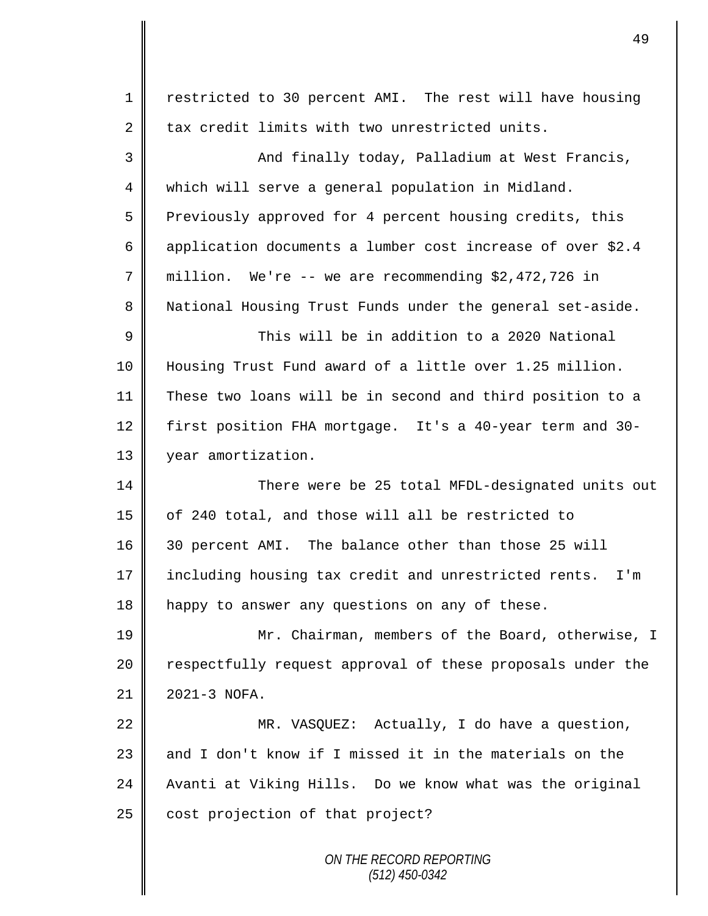| $\mathbf 1$    | restricted to 30 percent AMI. The rest will have housing       |
|----------------|----------------------------------------------------------------|
| $\overline{2}$ | tax credit limits with two unrestricted units.                 |
| 3              | And finally today, Palladium at West Francis,                  |
| $\overline{4}$ | which will serve a general population in Midland.              |
| 5              | Previously approved for 4 percent housing credits, this        |
| 6              | application documents a lumber cost increase of over \$2.4     |
| 7              | million. We're -- we are recommending $$2,472,726$ in          |
| 8              | National Housing Trust Funds under the general set-aside.      |
| $\mathsf 9$    | This will be in addition to a 2020 National                    |
| 10             | Housing Trust Fund award of a little over 1.25 million.        |
| 11             | These two loans will be in second and third position to a      |
| 12             | first position FHA mortgage. It's a 40-year term and 30-       |
| 13             | year amortization.                                             |
| 14             | There were be 25 total MFDL-designated units out               |
| 15             | of 240 total, and those will all be restricted to              |
| 16             | 30 percent AMI. The balance other than those 25 will           |
| 17             | including housing tax credit and unrestricted rents.<br>$I'$ m |
| 18             | happy to answer any questions on any of these.                 |
| 19             | Mr. Chairman, members of the Board, otherwise, I               |
| 20             | respectfully request approval of these proposals under the     |
| 21             | 2021-3 NOFA.                                                   |
| 22             | MR. VASQUEZ: Actually, I do have a question,                   |
| 23             | and I don't know if I missed it in the materials on the        |
| 24             | Avanti at Viking Hills. Do we know what was the original       |
| 25             | cost projection of that project?                               |
|                | ON THE RECORD REPORTING<br>$(512)$ 450-0342                    |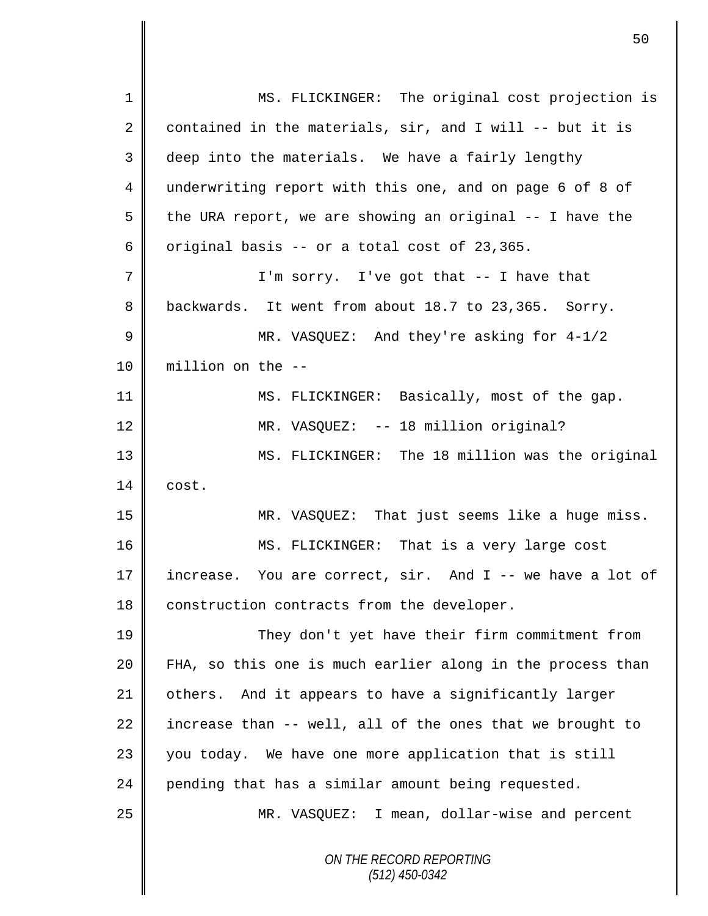*ON THE RECORD REPORTING (512) 450-0342* 1 || MS. FLICKINGER: The original cost projection is 2 contained in the materials,  $\text{sin}$ , and I will -- but it is  $3 \parallel$  deep into the materials. We have a fairly lengthy 4 underwriting report with this one, and on page 6 of 8 of 5  $\parallel$  the URA report, we are showing an original -- I have the 6 original basis -- or a total cost of 23,365. 7 || I'm sorry. I've got that -- I have that 8 backwards. It went from about 18.7 to 23,365. Sorry. 9 MR. VASQUEZ: And they're asking for  $4-1/2$ 10 million on the -- 11 MS. FLICKINGER: Basically, most of the gap. 12 | MR. VASQUEZ: -- 18 million original? 13 MS. FLICKINGER: The 18 million was the original  $14 \parallel \cdot \text{cost}$ . 15 MR. VASQUEZ: That just seems like a huge miss. 16 || MS. FLICKINGER: That is a very large cost 17 || increase. You are correct, sir. And I -- we have a lot of 18 construction contracts from the developer. 19 They don't yet have their firm commitment from 20 FHA, so this one is much earlier along in the process than 21 | others. And it appears to have a significantly larger 22 increase than  $-$ - well, all of the ones that we brought to 23 you today. We have one more application that is still 24 pending that has a similar amount being requested. 25 MR. VASQUEZ: I mean, dollar-wise and percent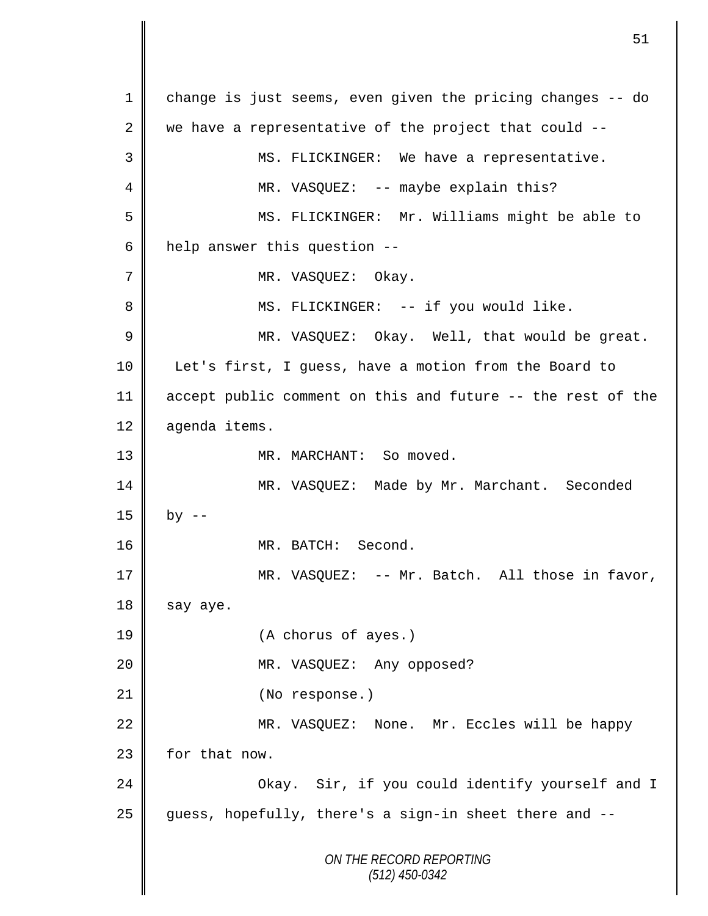*ON THE RECORD REPORTING (512) 450-0342* 1 change is just seems, even given the pricing changes -- do 2 we have a representative of the project that could  $-$ -3 || MS. FLICKINGER: We have a representative. 4 MR. VASQUEZ: -- maybe explain this? 5 MS. FLICKINGER: Mr. Williams might be able to 6 | help answer this question  $-$ -7 MR. VASQUEZ: Okay. 8 || MS. FLICKINGER: -- if you would like. 9 MR. VASQUEZ: Okay. Well, that would be great. 10 Let's first, I guess, have a motion from the Board to 11 accept public comment on this and future -- the rest of the 12 agenda items. 13 || MR. MARCHANT: So moved. 14 MR. VASQUEZ: Made by Mr. Marchant. Seconded  $15 \parallel$  by  $-$ 16 || MR. BATCH: Second. 17 MR. VASQUEZ: -- Mr. Batch. All those in favor,  $18$  say aye. 19 (A chorus of ayes.) 20 MR. VASQUEZ: Any opposed? 21 || (No response.) 22 || MR. VASQUEZ: None. Mr. Eccles will be happy 23 | for that now. 24 Okay. Sir, if you could identify yourself and I 25 guess, hopefully, there's a sign-in sheet there and --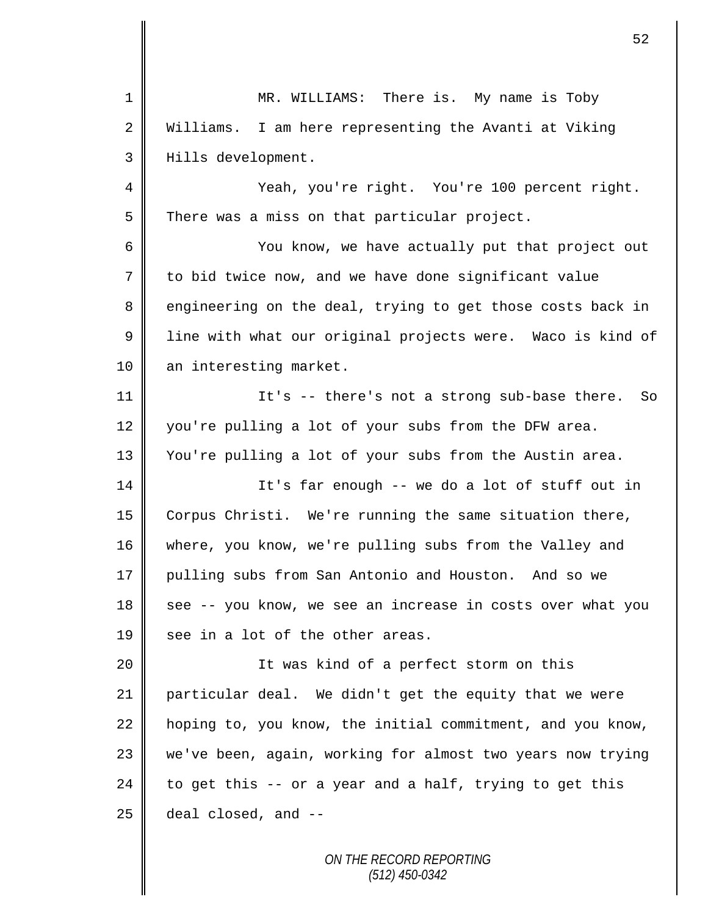1 || MR. WILLIAMS: There is. My name is Toby 2 Williams. I am here representing the Avanti at Viking 3 Hills development. 4 Yeah, you're right. You're 100 percent right.  $5 \parallel$  There was a miss on that particular project. 6 || You know, we have actually put that project out 7 to bid twice now, and we have done significant value 8 engineering on the deal, trying to get those costs back in 9 | line with what our original projects were. Waco is kind of 10 an interesting market. 11 || It's -- there's not a strong sub-base there. So 12 you're pulling a lot of your subs from the DFW area. 13 You're pulling a lot of your subs from the Austin area. 14 It's far enough -- we do a lot of stuff out in 15 Corpus Christi. We're running the same situation there, 16 where, you know, we're pulling subs from the Valley and 17 pulling subs from San Antonio and Houston. And so we 18 see -- you know, we see an increase in costs over what you 19  $\parallel$  see in a lot of the other areas. 20 || It was kind of a perfect storm on this 21 particular deal. We didn't get the equity that we were  $22$  hoping to, you know, the initial commitment, and you know, 23 we've been, again, working for almost two years now trying 24 to get this  $-$  or a year and a half, trying to get this  $25$  deal closed, and  $-$ 

> *ON THE RECORD REPORTING (512) 450-0342*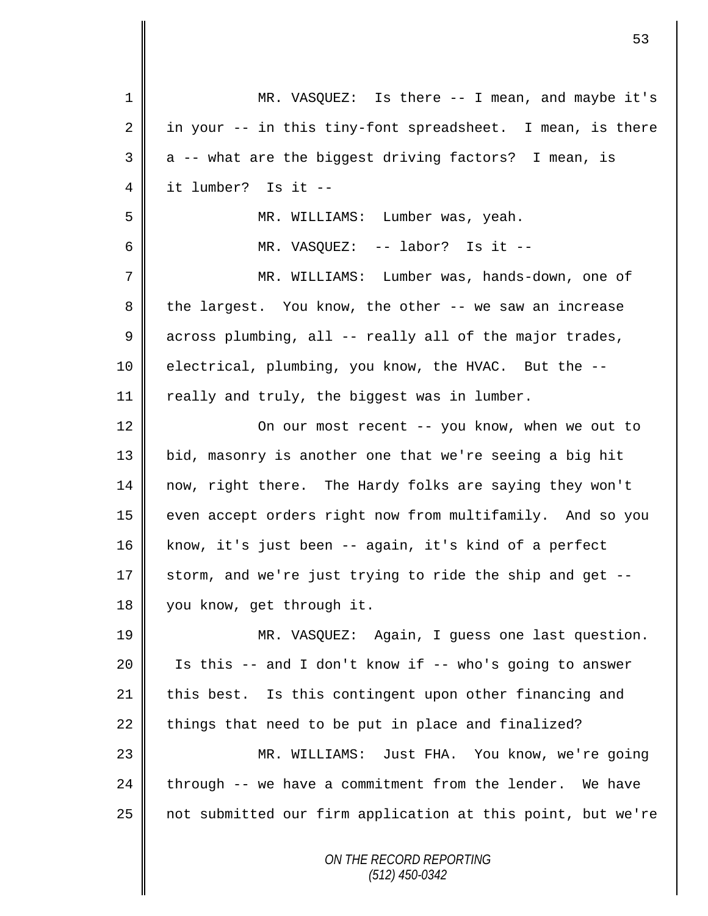| $\mathbf{1}$ | MR. VASQUEZ: Is there -- I mean, and maybe it's             |
|--------------|-------------------------------------------------------------|
| 2            | in your -- in this tiny-font spreadsheet. I mean, is there  |
| 3            | a -- what are the biggest driving factors? I mean, is       |
| 4            | it lumber? Is it --                                         |
| 5            | MR. WILLIAMS: Lumber was, yeah.                             |
| 6            | MR. VASQUEZ: -- labor? Is it --                             |
| 7            | MR. WILLIAMS: Lumber was, hands-down, one of                |
| 8            | the largest. You know, the other -- we saw an increase      |
| $\mathsf 9$  | across plumbing, all -- really all of the major trades,     |
| 10           | electrical, plumbing, you know, the HVAC. But the --        |
| 11           | really and truly, the biggest was in lumber.                |
| 12           | On our most recent -- you know, when we out to              |
| 13           | bid, masonry is another one that we're seeing a big hit     |
| 14           | now, right there. The Hardy folks are saying they won't     |
| 15           | even accept orders right now from multifamily. And so you   |
| 16           | know, it's just been -- again, it's kind of a perfect       |
| 17           | storm, and we're just trying to ride the ship and get --    |
| 18           | you know, get through it.                                   |
| 19           | MR. VASQUEZ: Again, I guess one last question.              |
| 20           | Is this -- and I don't know if -- who's going to answer     |
| 21           | this best. Is this contingent upon other financing and      |
| 22           | things that need to be put in place and finalized?          |
| 23           | MR. WILLIAMS: Just FHA. You know, we're going               |
| 24           | through -- we have a commitment from the lender. We have    |
| 25           | not submitted our firm application at this point, but we're |
|              | ON THE RECORD REPORTING                                     |

 $\mathsf{I}$ 

 $\mathsf{I}$ 

*(512) 450-0342*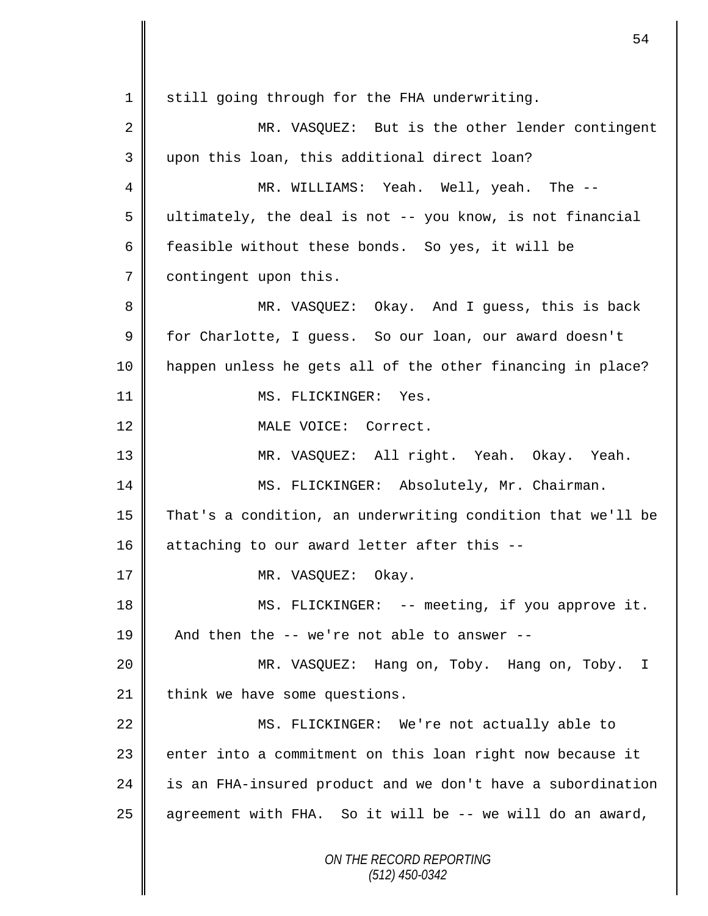*ON THE RECORD REPORTING (512) 450-0342* 1 still going through for the FHA underwriting. 2 MR. VASQUEZ: But is the other lender contingent 3 upon this loan, this additional direct loan? 4 MR. WILLIAMS: Yeah. Well, yeah. The --  $5 \parallel$  ultimately, the deal is not -- you know, is not financial 6 feasible without these bonds. So yes, it will be 7 | contingent upon this. 8 MR. VASQUEZ: Okay. And I guess, this is back 9 for Charlotte, I guess. So our loan, our award doesn't 10 happen unless he gets all of the other financing in place? 11 || MS. FLICKINGER: Yes. 12 || MALE VOICE: Correct. 13 MR. VASQUEZ: All right. Yeah. Okay. Yeah. 14 | MS. FLICKINGER: Absolutely, Mr. Chairman. 15 That's a condition, an underwriting condition that we'll be 16 || attaching to our award letter after this --17 || MR. VASOUEZ: Okay. 18 || MS. FLICKINGER: -- meeting, if you approve it. 19  $\parallel$  And then the -- we're not able to answer --20 MR. VASQUEZ: Hang on, Toby. Hang on, Toby. I  $21$  | think we have some questions. 22 MS. FLICKINGER: We're not actually able to 23 | enter into a commitment on this loan right now because it 24 | is an FHA-insured product and we don't have a subordination 25  $\parallel$  agreement with FHA. So it will be -- we will do an award,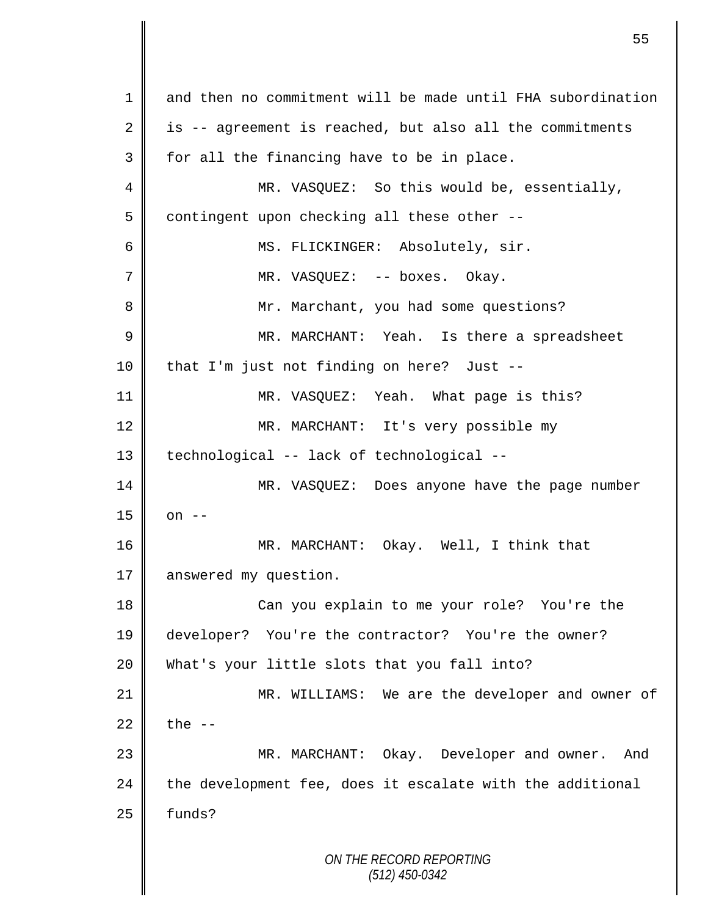*ON THE RECORD REPORTING (512) 450-0342* 1 and then no commitment will be made until FHA subordination  $2 \parallel$  is -- agreement is reached, but also all the commitments  $3 \parallel$  for all the financing have to be in place. 4 || MR. VASQUEZ: So this would be, essentially, 5 contingent upon checking all these other --6 || MS. FLICKINGER: Absolutely, sir. 7 MR. VASQUEZ: -- boxes. Okay. 8 Mr. Marchant, you had some questions? 9 MR. MARCHANT: Yeah. Is there a spreadsheet 10 || that I'm just not finding on here? Just --11 || MR. VASQUEZ: Yeah. What page is this? 12 MR. MARCHANT: It's very possible my 13 || technological -- lack of technological --14 MR. VASQUEZ: Does anyone have the page number  $15 \parallel$  on  $-$ 16 MR. MARCHANT: Okay. Well, I think that 17 answered my question. 18 || Can you explain to me your role? You're the 19 developer? You're the contractor? You're the owner? 20 What's your little slots that you fall into? 21 || MR. WILLIAMS: We are the developer and owner of 22  $\parallel$  the  $-$ 23 MR. MARCHANT: Okay. Developer and owner. And  $24$  the development fee, does it escalate with the additional  $25$   $\parallel$  funds?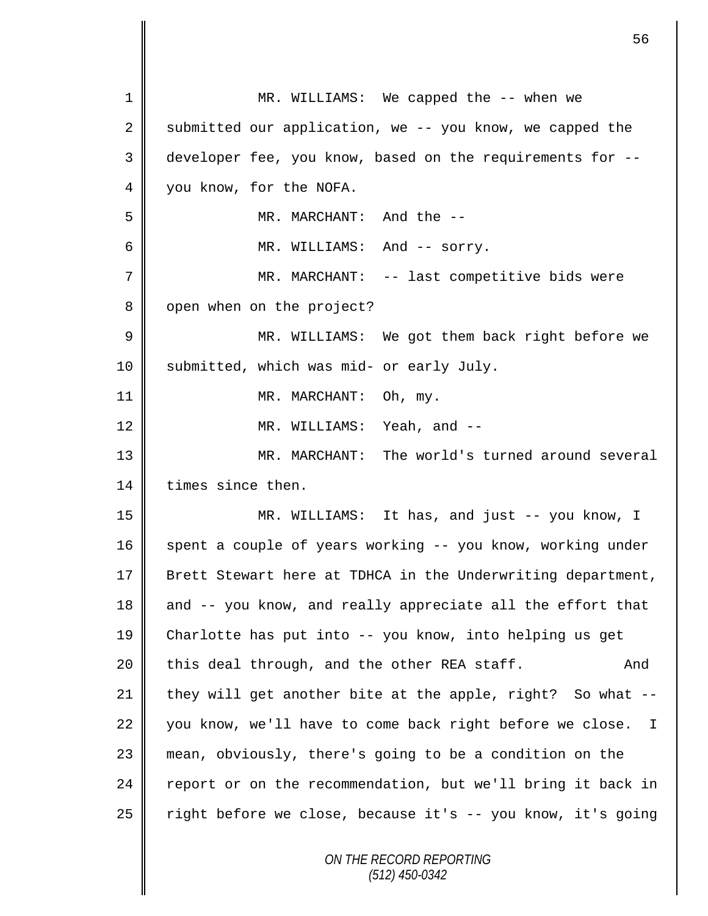| $\mathbf 1$ | MR. WILLIAMS: We capped the -- when we                      |
|-------------|-------------------------------------------------------------|
| 2           | submitted our application, we -- you know, we capped the    |
| 3           | developer fee, you know, based on the requirements for --   |
| 4           | you know, for the NOFA.                                     |
| 5           | MR. MARCHANT: And the --                                    |
| 6           | MR. WILLIAMS: And -- sorry.                                 |
| 7           | MR. MARCHANT: -- last competitive bids were                 |
| 8           | open when on the project?                                   |
| $\mathsf 9$ | MR. WILLIAMS: We got them back right before we              |
| 10          | submitted, which was mid- or early July.                    |
| 11          | MR. MARCHANT: Oh, my.                                       |
| 12          | MR. WILLIAMS: Yeah, and --                                  |
| 13          | MR. MARCHANT: The world's turned around several             |
| 14          | times since then.                                           |
| 15          | MR. WILLIAMS: It has, and just -- you know, I               |
| 16          | spent a couple of years working -- you know, working under  |
| 17          | Brett Stewart here at TDHCA in the Underwriting department, |
| 18          | and -- you know, and really appreciate all the effort that  |
| 19          | Charlotte has put into -- you know, into helping us get     |
| 20          | this deal through, and the other REA staff.<br>And          |
| 21          | they will get another bite at the apple, right? So what --  |
| 22          | you know, we'll have to come back right before we close. I  |
| 23          | mean, obviously, there's going to be a condition on the     |
| 24          | report or on the recommendation, but we'll bring it back in |
| 25          | right before we close, because it's -- you know, it's going |
|             | ON THE RECORD REPORTING<br>(512) 450-0342                   |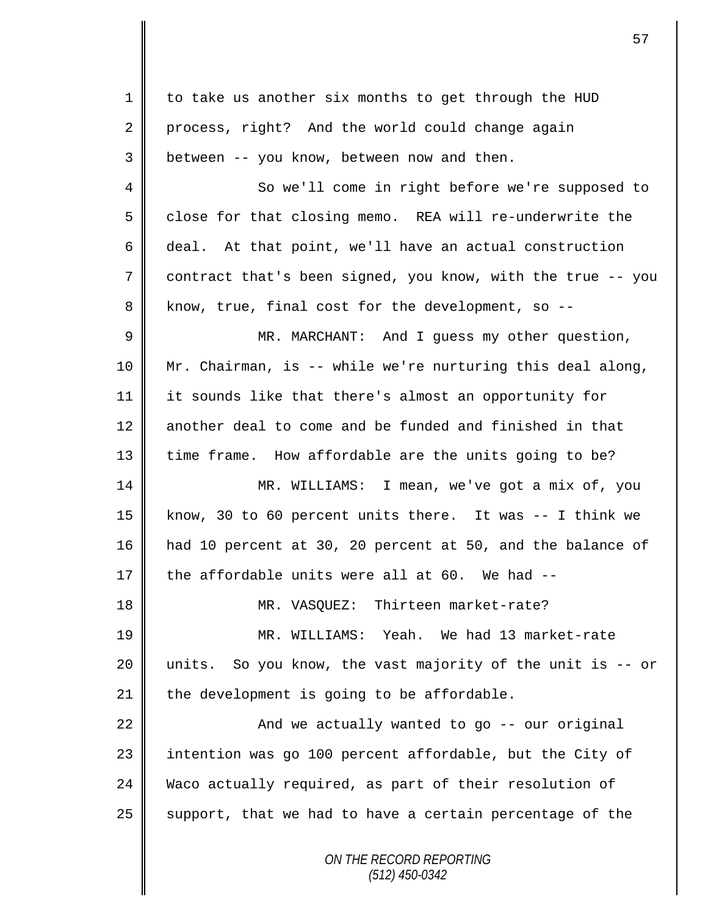*ON THE RECORD REPORTING (512) 450-0342* 1 to take us another six months to get through the HUD 2 process, right? And the world could change again  $3 \parallel$  between -- you know, between now and then. 4 || So we'll come in right before we're supposed to 5 close for that closing memo. REA will re-underwrite the 6 deal. At that point, we'll have an actual construction 7 contract that's been signed, you know, with the true -- you  $8 \parallel$  know, true, final cost for the development, so --9 || MR. MARCHANT: And I guess my other question, 10 Mr. Chairman, is -- while we're nurturing this deal along, 11 it sounds like that there's almost an opportunity for 12 another deal to come and be funded and finished in that 13 time frame. How affordable are the units going to be? 14 MR. WILLIAMS: I mean, we've got a mix of, you 15 know, 30 to 60 percent units there. It was -- I think we 16 had 10 percent at 30, 20 percent at 50, and the balance of 17  $\parallel$  the affordable units were all at 60. We had --18 || MR. VASQUEZ: Thirteen market-rate? 19 MR. WILLIAMS: Yeah. We had 13 market-rate 20  $\parallel$  units. So you know, the vast majority of the unit is -- or  $21$  the development is going to be affordable. 22  $\parallel$  and we actually wanted to go -- our original 23 || intention was go 100 percent affordable, but the City of 24 Waco actually required, as part of their resolution of  $25$  support, that we had to have a certain percentage of the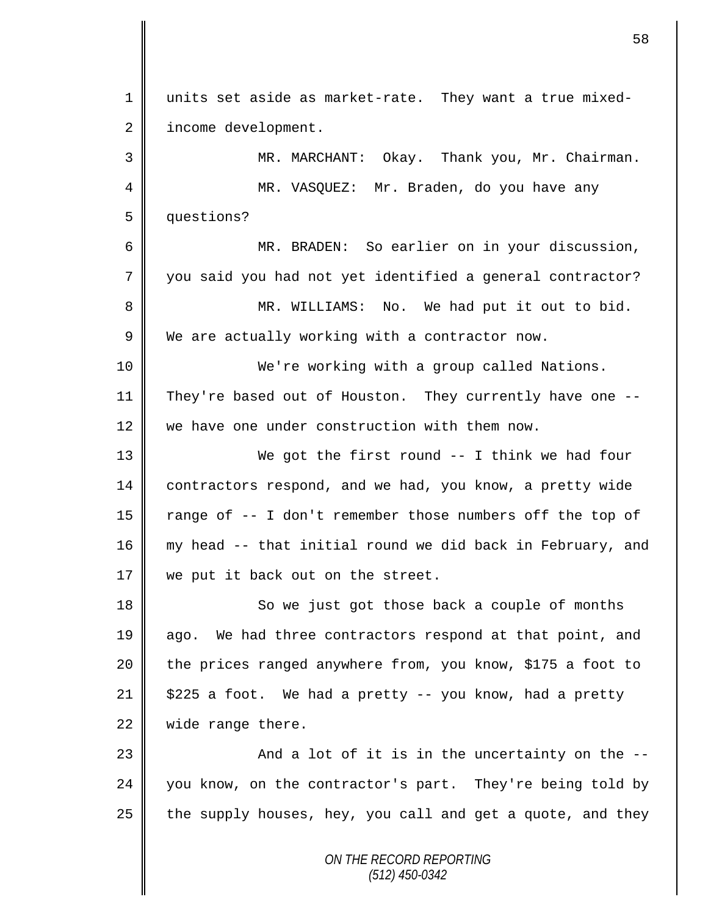*ON THE RECORD REPORTING (512) 450-0342* 1 units set aside as market-rate. They want a true mixed-2 | income development. 3 MR. MARCHANT: Okay. Thank you, Mr. Chairman. 4 MR. VASQUEZ: Mr. Braden, do you have any 5 questions? 6 MR. BRADEN: So earlier on in your discussion, 7 you said you had not yet identified a general contractor? 8 || MR. WILLIAMS: No. We had put it out to bid.  $9 \parallel$  We are actually working with a contractor now. 10 We're working with a group called Nations. 11 They're based out of Houston. They currently have one -- 12 We have one under construction with them now. 13 We got the first round -- I think we had four 14 contractors respond, and we had, you know, a pretty wide 15 | range of -- I don't remember those numbers off the top of 16 my head -- that initial round we did back in February, and 17 we put it back out on the street. 18 So we just got those back a couple of months 19 ago. We had three contractors respond at that point, and 20 the prices ranged anywhere from, you know, \$175 a foot to 21  $\parallel$  \$225 a foot. We had a pretty -- you know, had a pretty 22 | wide range there. 23 And a lot of it is in the uncertainty on the -- 24 you know, on the contractor's part. They're being told by 25 the supply houses, hey, you call and get a quote, and they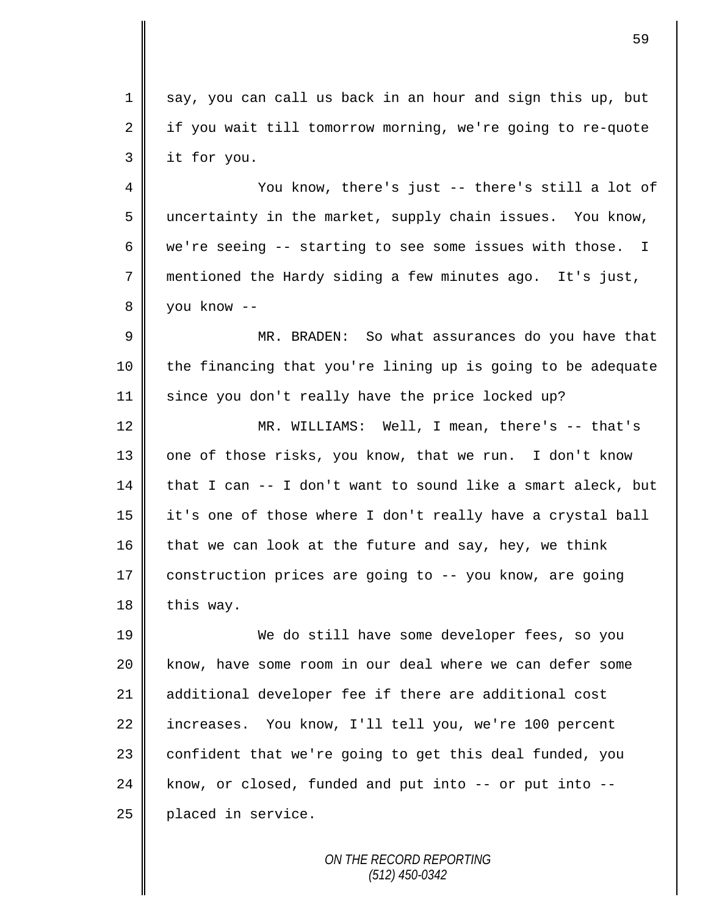1 say, you can call us back in an hour and sign this up, but  $2 \parallel$  if you wait till tomorrow morning, we're going to re-quote 3 it for you.

4 || You know, there's just -- there's still a lot of 5 uncertainty in the market, supply chain issues. You know, 6 | we're seeing -- starting to see some issues with those. I 7 mentioned the Hardy siding a few minutes ago. It's just, 8 you know --

9 MR. BRADEN: So what assurances do you have that 10 || the financing that you're lining up is going to be adequate 11 since you don't really have the price locked up?

12 MR. WILLIAMS: Well, I mean, there's -- that's  $13$  | one of those risks, you know, that we run. I don't know 14 that I can  $-$  I don't want to sound like a smart aleck, but 15 it's one of those where I don't really have a crystal ball 16 that we can look at the future and say, hey, we think 17 construction prices are going to -- you know, are going  $18$  | this way.

19 We do still have some developer fees, so you 20 || know, have some room in our deal where we can defer some 21 additional developer fee if there are additional cost 22 increases. You know, I'll tell you, we're 100 percent 23 | confident that we're going to get this deal funded, you  $24$  know, or closed, funded and put into  $--$  or put into  $--$ 25 | placed in service.

> *ON THE RECORD REPORTING (512) 450-0342*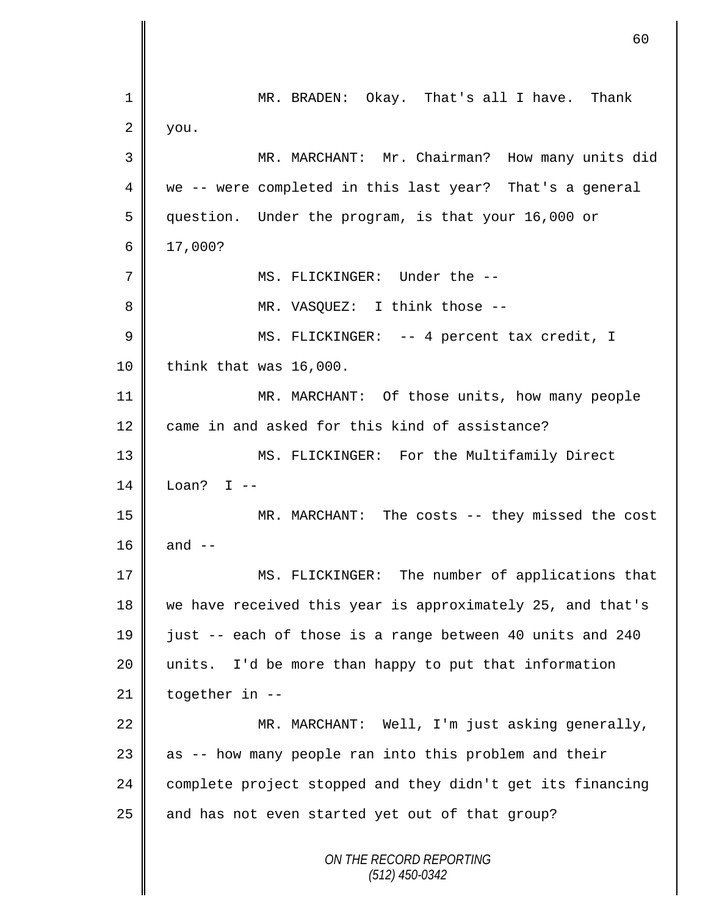|    | 60                                                         |
|----|------------------------------------------------------------|
| 1  | MR. BRADEN: Okay. That's all I have. Thank                 |
| 2  | you.                                                       |
| 3  | MR. MARCHANT: Mr. Chairman? How many units did             |
| 4  | we -- were completed in this last year? That's a general   |
| 5  | question. Under the program, is that your 16,000 or        |
| 6  | 17,000?                                                    |
| 7  | MS. FLICKINGER: Under the --                               |
| 8  | MR. VASQUEZ: I think those --                              |
| 9  | MS. FLICKINGER: -- 4 percent tax credit, I                 |
| 10 | think that was 16,000.                                     |
| 11 | MR. MARCHANT: Of those units, how many people              |
| 12 | came in and asked for this kind of assistance?             |
| 13 | MS. FLICKINGER: For the Multifamily Direct                 |
| 14 | Loan? I $-$                                                |
| 15 | MR. MARCHANT: The costs -- they missed the cost            |
| 16 | and $--$                                                   |
| 17 | MS. FLICKINGER: The number of applications that            |
| 18 | we have received this year is approximately 25, and that's |
| 19 | just -- each of those is a range between 40 units and 240  |
| 20 | units. I'd be more than happy to put that information      |
| 21 | together in --                                             |
| 22 | MR. MARCHANT: Well, I'm just asking generally,             |
| 23 | as -- how many people ran into this problem and their      |
| 24 | complete project stopped and they didn't get its financing |
| 25 | and has not even started yet out of that group?            |
|    | ON THE RECORD REPORTING<br>$(512)$ 450-0342                |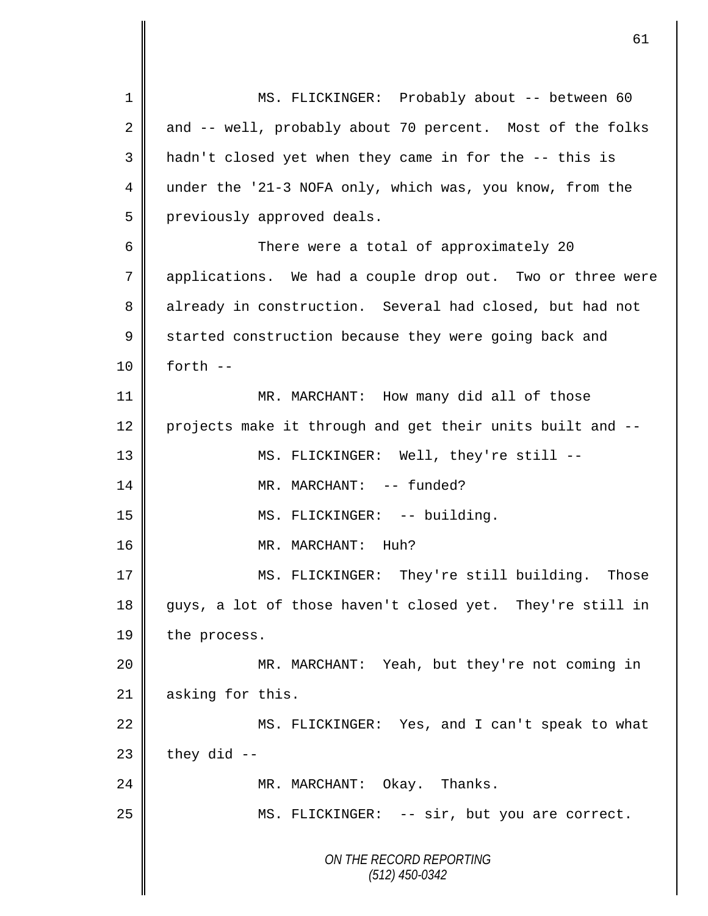*ON THE RECORD REPORTING (512) 450-0342* 1 || MS. FLICKINGER: Probably about -- between 60 2 and -- well, probably about 70 percent. Most of the folks 3 || hadn't closed yet when they came in for the -- this is 4 under the '21-3 NOFA only, which was, you know, from the 5 | previously approved deals. 6 There were a total of approximately 20 7 applications. We had a couple drop out. Two or three were 8 already in construction. Several had closed, but had not 9 Started construction because they were going back and  $10 \parallel$  forth  $-$ 11 | MR. MARCHANT: How many did all of those 12 projects make it through and get their units built and --13 MS. FLICKINGER: Well, they're still -- 14 || MR. MARCHANT: -- funded? 15 || MS. FLICKINGER: -- building. 16 || MR. MARCHANT: Huh? 17 MS. FLICKINGER: They're still building. Those 18 guys, a lot of those haven't closed yet. They're still in 19 the process. 20 MR. MARCHANT: Yeah, but they're not coming in 21 asking for this. 22 MS. FLICKINGER: Yes, and I can't speak to what  $23$  they did  $-$ 24 || MR. MARCHANT: Okay. Thanks. 25 || MS. FLICKINGER: -- sir, but you are correct.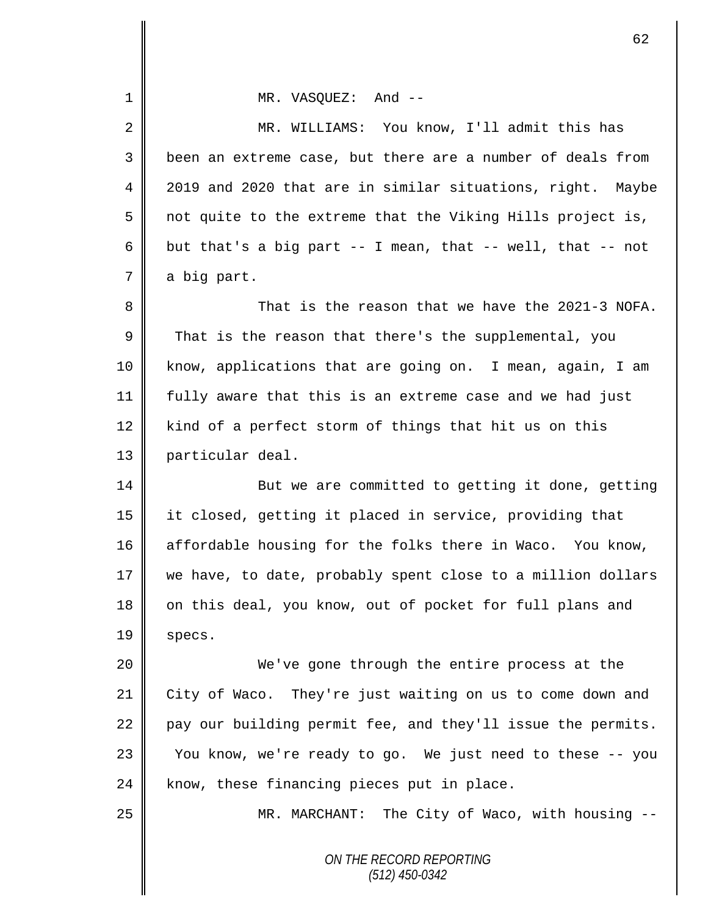| $\mathbf 1$ | MR. VASQUEZ: And --                                         |
|-------------|-------------------------------------------------------------|
| 2           | MR. WILLIAMS: You know, I'll admit this has                 |
| 3           | been an extreme case, but there are a number of deals from  |
| 4           | 2019 and 2020 that are in similar situations, right. Maybe  |
| 5           | not quite to the extreme that the Viking Hills project is,  |
| 6           | but that's a big part -- I mean, that -- well, that -- not  |
| 7           | a big part.                                                 |
| 8           | That is the reason that we have the 2021-3 NOFA.            |
| 9           | That is the reason that there's the supplemental, you       |
| 10          | know, applications that are going on. I mean, again, I am   |
| 11          | fully aware that this is an extreme case and we had just    |
| 12          | kind of a perfect storm of things that hit us on this       |
| 13          | particular deal.                                            |
| 14          | But we are committed to getting it done, getting            |
| 15          | it closed, getting it placed in service, providing that     |
| 16          | affordable housing for the folks there in Waco. You know,   |
| 17          | we have, to date, probably spent close to a million dollars |
| 18          | on this deal, you know, out of pocket for full plans and    |
| 19          | specs.                                                      |
| 20          | We've gone through the entire process at the                |
| 21          | City of Waco. They're just waiting on us to come down and   |
| 22          | pay our building permit fee, and they'll issue the permits. |
| 23          | You know, we're ready to go. We just need to these -- you   |
| 24          | know, these financing pieces put in place.                  |
| 25          | MR. MARCHANT: The City of Waco, with housing --             |
|             | ON THE RECORD REPORTING<br>$(512)$ 450-0342                 |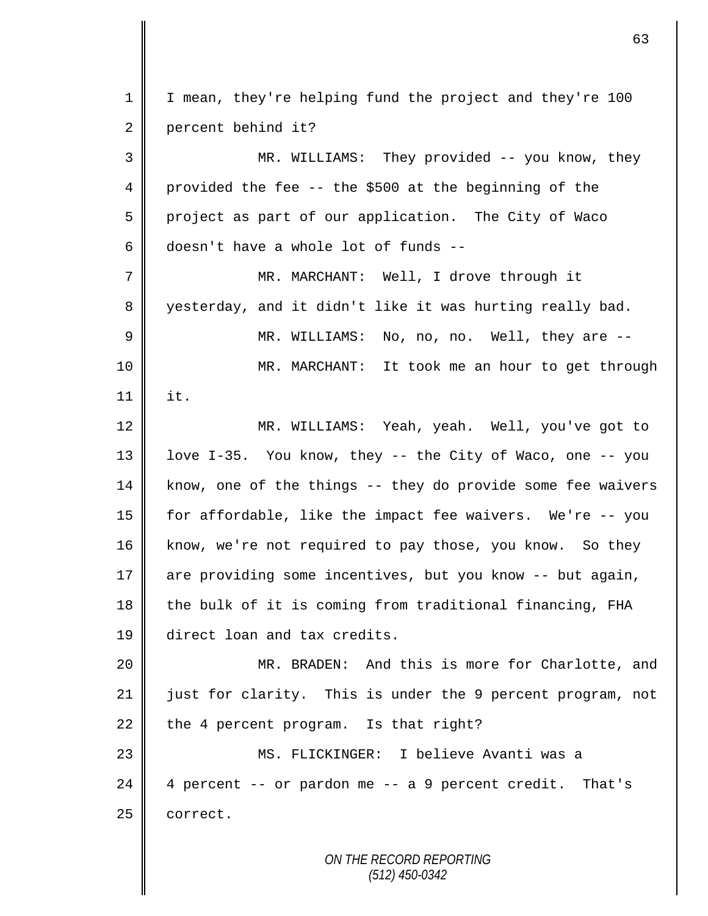| $\mathbf{1}$   | I mean, they're helping fund the project and they're 100    |
|----------------|-------------------------------------------------------------|
| 2              | percent behind it?                                          |
| 3              | MR. WILLIAMS: They provided -- you know, they               |
| $\overline{4}$ | provided the fee -- the \$500 at the beginning of the       |
| 5              | project as part of our application. The City of Waco        |
| 6              | doesn't have a whole lot of funds --                        |
| 7              | MR. MARCHANT: Well, I drove through it                      |
| 8              | yesterday, and it didn't like it was hurting really bad.    |
| $\mathsf 9$    | MR. WILLIAMS:<br>No, no, no. Well, they are --              |
| 10             | MR. MARCHANT: It took me an hour to get through             |
| 11             | it.                                                         |
| 12             | MR. WILLIAMS: Yeah, yeah. Well, you've got to               |
| 13             | love I-35. You know, they -- the City of Waco, one -- you   |
| 14             | know, one of the things -- they do provide some fee waivers |
| 15             | for affordable, like the impact fee waivers. We're -- you   |
| 16             | know, we're not required to pay those, you know. So they    |
| 17             | are providing some incentives, but you know -- but again,   |
| 18             | the bulk of it is coming from traditional financing, FHA    |
| 19             | direct loan and tax credits.                                |
| 20             | MR. BRADEN: And this is more for Charlotte, and             |
| 21             | just for clarity. This is under the 9 percent program, not  |
| 22             | the 4 percent program. Is that right?                       |
| 23             | MS. FLICKINGER: I believe Avanti was a                      |
| 24             | 4 percent -- or pardon me -- a 9 percent credit. That's     |
| 25             | correct.                                                    |
|                |                                                             |
|                | ON THE RECORD REPORTING                                     |

*(512) 450-0342*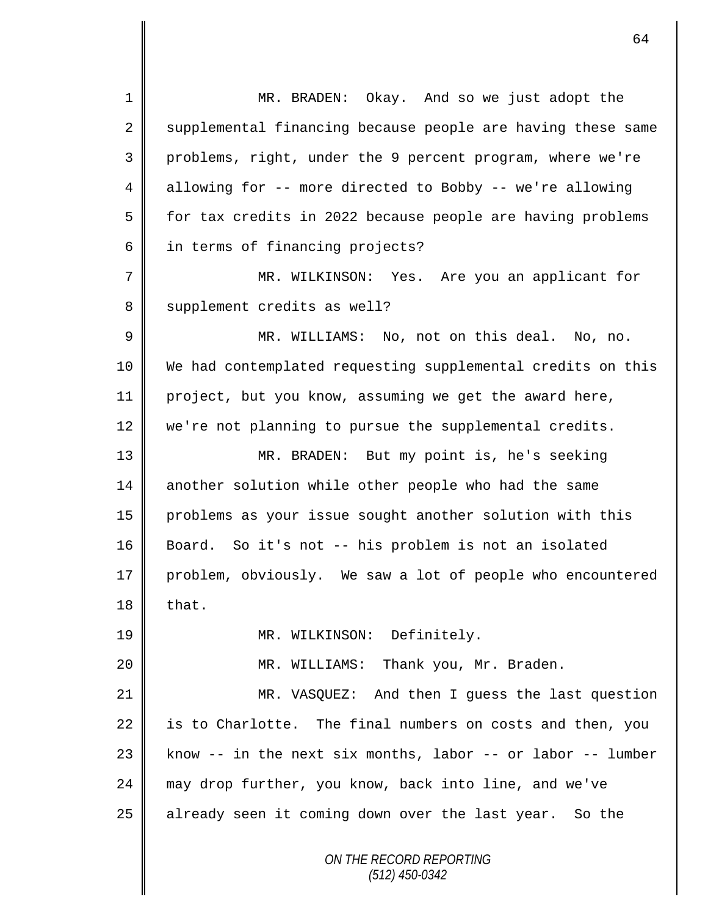*ON THE RECORD REPORTING* 1 MR. BRADEN: Okay. And so we just adopt the 2 supplemental financing because people are having these same 3 problems, right, under the 9 percent program, where we're 4 allowing for -- more directed to Bobby -- we're allowing  $5 \parallel$  for tax credits in 2022 because people are having problems 6 in terms of financing projects? 7 MR. WILKINSON: Yes. Are you an applicant for 8 | supplement credits as well? 9 MR. WILLIAMS: No, not on this deal. No, no. 10 We had contemplated requesting supplemental credits on this 11 project, but you know, assuming we get the award here, 12 we're not planning to pursue the supplemental credits. 13 MR. BRADEN: But my point is, he's seeking 14 another solution while other people who had the same 15 problems as your issue sought another solution with this 16 || Board. So it's not -- his problem is not an isolated 17 problem, obviously. We saw a lot of people who encountered  $18$  | that. 19 || MR. WILKINSON: Definitely. 20 || MR. WILLIAMS: Thank you, Mr. Braden. 21 MR. VASQUEZ: And then I guess the last question  $22$  is to Charlotte. The final numbers on costs and then, you 23 || know  $-$  in the next six months, labor  $-$  or labor  $-$  lumber 24 may drop further, you know, back into line, and we've 25 || already seen it coming down over the last year. So the

*(512) 450-0342*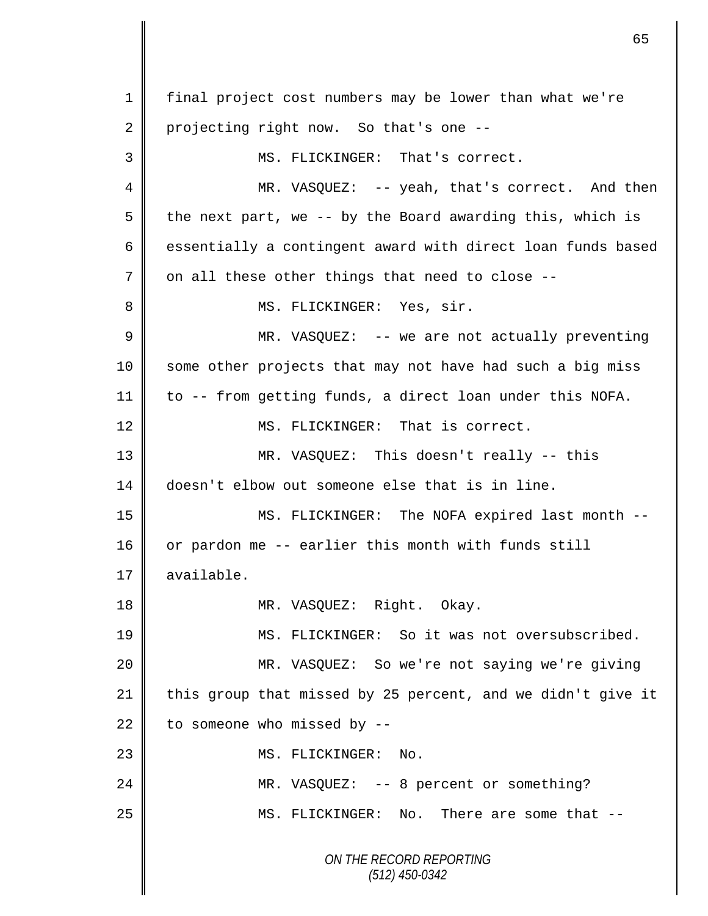*ON THE RECORD REPORTING (512) 450-0342* 1 final project cost numbers may be lower than what we're 2 projecting right now. So that's one --3 MS. FLICKINGER: That's correct. 4 MR. VASQUEZ: -- yeah, that's correct. And then  $5 \parallel$  the next part, we -- by the Board awarding this, which is 6 essentially a contingent award with direct loan funds based  $7$  | on all these other things that need to close --8 || MS. FLICKINGER: Yes, sir. 9 || MR. VASQUEZ: -- we are not actually preventing 10 some other projects that may not have had such a big miss 11 to -- from getting funds, a direct loan under this NOFA. 12 MS. FLICKINGER: That is correct. 13 MR. VASQUEZ: This doesn't really -- this 14 doesn't elbow out someone else that is in line. 15 MS. FLICKINGER: The NOFA expired last month -- 16 or pardon me -- earlier this month with funds still 17 available. 18 || MR. VASQUEZ: Right. Okay. 19 MS. FLICKINGER: So it was not oversubscribed. 20 MR. VASQUEZ: So we're not saying we're giving 21  $\parallel$  this group that missed by 25 percent, and we didn't give it 22 to someone who missed by  $-$ 23 || MS. FLICKINGER: No. 24 MR. VASQUEZ: -- 8 percent or something? 25 || MS. FLICKINGER: No. There are some that --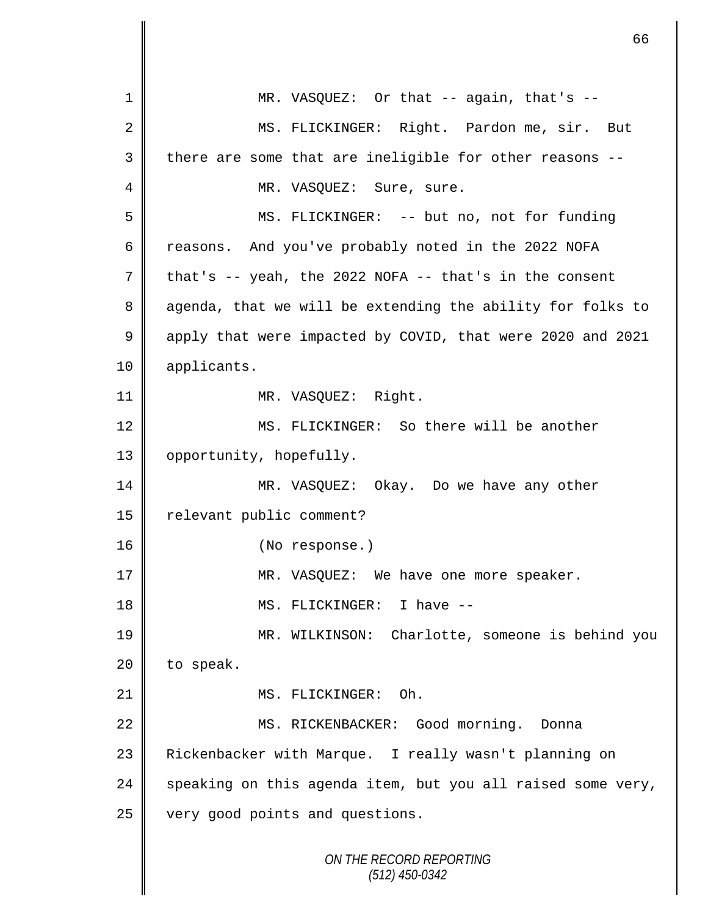*ON THE RECORD REPORTING (512) 450-0342* 1 || MR. VASQUEZ: Or that -- again, that's --2 || MS. FLICKINGER: Right. Pardon me, sir. But  $3 \parallel$  there are some that are ineligible for other reasons --4 | MR. VASQUEZ: Sure, sure. 5 MS. FLICKINGER: -- but no, not for funding 6 reasons. And you've probably noted in the 2022 NOFA  $7 \parallel$  that's -- yeah, the 2022 NOFA -- that's in the consent 8 agenda, that we will be extending the ability for folks to 9 apply that were impacted by COVID, that were 2020 and 2021 10 | applicants. 11 || MR. VASQUEZ: Right. 12 MS. FLICKINGER: So there will be another 13 | opportunity, hopefully. 14 MR. VASQUEZ: Okay. Do we have any other 15 | relevant public comment? 16 || (No response.) 17 || MR. VASQUEZ: We have one more speaker. 18 MS. FLICKINGER: I have -- 19 || MR. WILKINSON: Charlotte, someone is behind you  $20$  | to speak. 21 || MS. FLICKINGER: Oh. 22 | MS. RICKENBACKER: Good morning. Donna 23 | Rickenbacker with Marque. I really wasn't planning on 24  $\parallel$  speaking on this agenda item, but you all raised some very, 25 very good points and questions.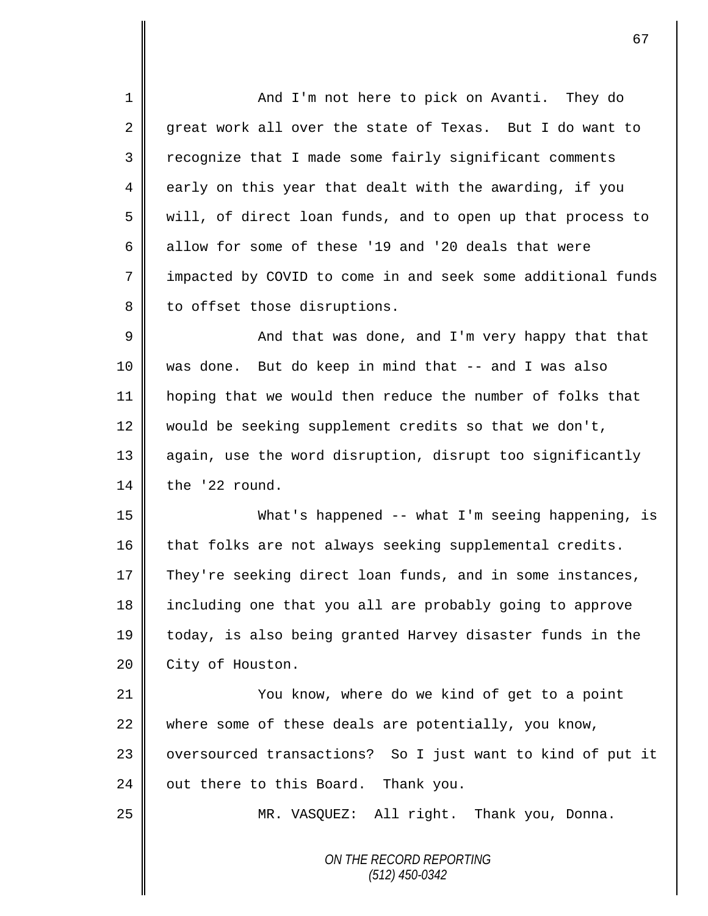*ON THE RECORD REPORTING (512) 450-0342* 1 And I'm not here to pick on Avanti. They do 2 great work all over the state of Texas. But I do want to 3 Tecognize that I made some fairly significant comments  $4 \parallel$  early on this year that dealt with the awarding, if you 5 will, of direct loan funds, and to open up that process to 6 allow for some of these '19 and '20 deals that were 7 | impacted by COVID to come in and seek some additional funds  $8 \parallel$  to offset those disruptions.  $9 \parallel$  and that was done, and I'm very happy that that 10 was done. But do keep in mind that -- and I was also 11 hoping that we would then reduce the number of folks that 12 would be seeking supplement credits so that we don't, 13 || again, use the word disruption, disrupt too significantly 14 the '22 round. 15 What's happened -- what I'm seeing happening, is 16 that folks are not always seeking supplemental credits. 17 They're seeking direct loan funds, and in some instances, 18 | including one that you all are probably going to approve 19 today, is also being granted Harvey disaster funds in the 20 **City** of Houston. 21 You know, where do we kind of get to a point 22 where some of these deals are potentially, you know, 23 || oversourced transactions? So I just want to kind of put it  $24$  | out there to this Board. Thank you. 25 | MR. VASQUEZ: All right. Thank you, Donna.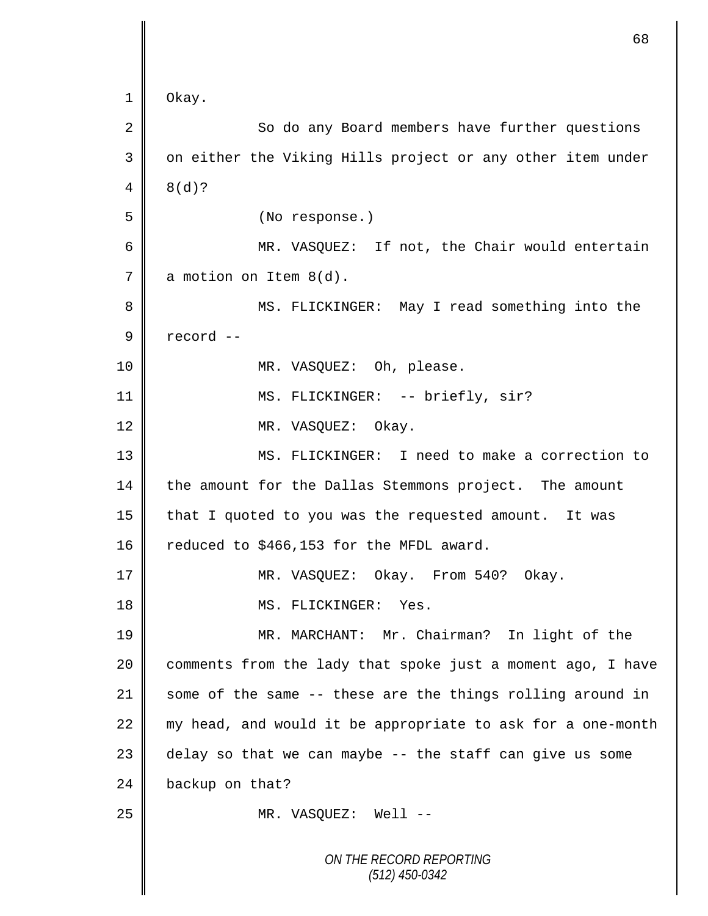```
ON THE RECORD REPORTING
                           (512) 450-0342
1 Okay. 
 2 || So do any Board members have further questions
 3 || on either the Viking Hills project or any other item under
 4 \mid 8(d)?5 (No response.)
 6 ||                 MR. VASQUEZ: If not, the Chair would entertain
7 \parallel a motion on Item 8(d).
8 ||                 MS. FLICKINGER:  May I read something into the
9 \parallel record --
10 || MR. VASQUEZ: Oh, please.
11 || MS. FLICKINGER: -- briefly, sir?
12 MR. VASQUEZ: Okay.
13 MS. FLICKINGER: I need to make a correction to 
14 the amount for the Dallas Stemmons project. The amount
15 | that I quoted to you was the requested amount. It was
16 | reduced to $466,153 for the MFDL award.
17 MR. VASOUEZ: Okay. From 540? Okay.
18 || MS. FLICKINGER: Yes.
19 MR. MARCHANT: Mr. Chairman? In light of the 
20 | comments from the lady that spoke just a moment ago, I have
21 some of the same -- these are the things rolling around in
22 || my head, and would it be appropriate to ask for a one-month
23 delay so that we can maybe - the staff can give us some
24 backup on that?
25 || MR. VASQUEZ: Well --
```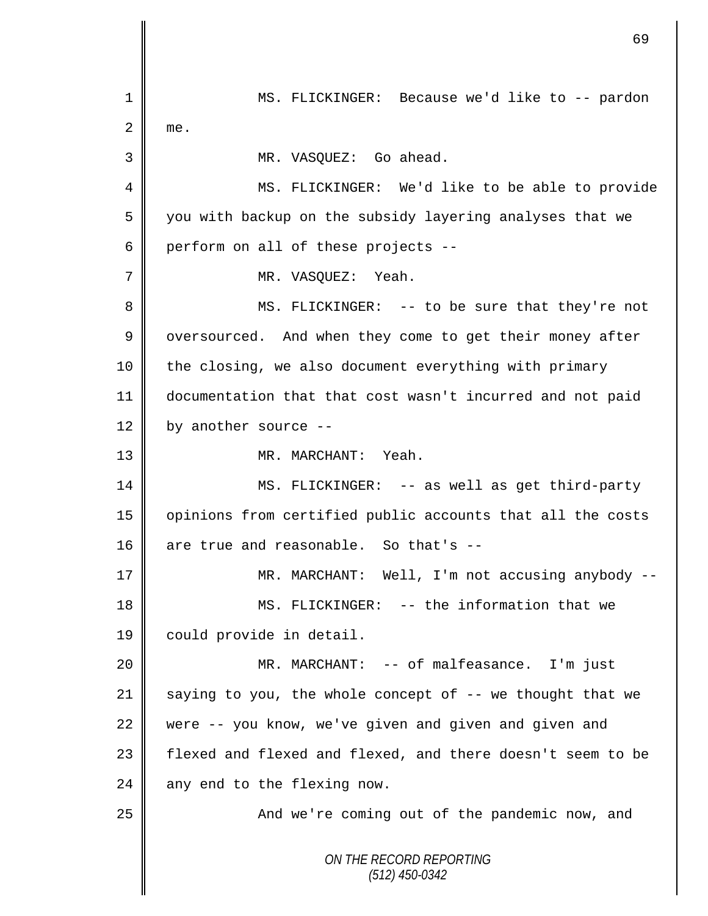*ON THE RECORD REPORTING (512) 450-0342* 1 || MS. FLICKINGER: Because we'd like to -- pardon  $2 \parallel$  me. 3 MR. VASQUEZ: Go ahead. 4 MS. FLICKINGER: We'd like to be able to provide 5 || you with backup on the subsidy layering analyses that we  $6 \parallel$  perform on all of these projects --7 || MR. VASOUEZ: Yeah. 8 || MS. FLICKINGER: -- to be sure that they're not 9 | oversourced. And when they come to get their money after 10 || the closing, we also document everything with primary 11 documentation that that cost wasn't incurred and not paid 12  $\parallel$  by another source --13 MR. MARCHANT: Yeah. 14 MS. FLICKINGER: -- as well as get third-party 15 opinions from certified public accounts that all the costs 16 are true and reasonable. So that's  $-$ 17 MR. MARCHANT: Well, I'm not accusing anybody -- 18 || MS. FLICKINGER: -- the information that we 19 | could provide in detail. 20 MR. MARCHANT: -- of malfeasance. I'm just 21  $\parallel$  saying to you, the whole concept of -- we thought that we 22 were  $-$  you know, we've given and given and given and 23 | flexed and flexed and flexed, and there doesn't seem to be  $24$  any end to the flexing now. 25 And we're coming out of the pandemic now, and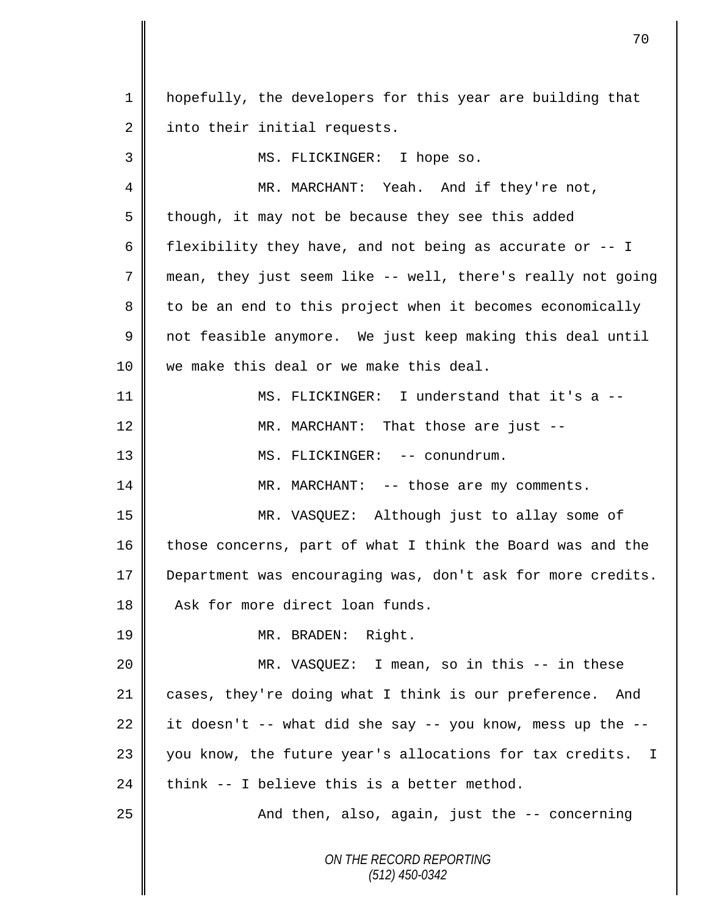| $\mathbf 1$ | hopefully, the developers for this year are building that   |
|-------------|-------------------------------------------------------------|
| 2           | into their initial requests.                                |
| 3           | MS. FLICKINGER: I hope so.                                  |
| 4           | MR. MARCHANT: Yeah. And if they're not,                     |
| 5           | though, it may not be because they see this added           |
| 6           | flexibility they have, and not being as accurate or -- I    |
| 7           | mean, they just seem like -- well, there's really not going |
| 8           | to be an end to this project when it becomes economically   |
| 9           | not feasible anymore. We just keep making this deal until   |
| 10          | we make this deal or we make this deal.                     |
| 11          | MS. FLICKINGER: I understand that it's a --                 |
| 12          | MR. MARCHANT: That those are just --                        |
| 13          | MS. FLICKINGER: -- conundrum.                               |
| 14          | MR. MARCHANT: -- those are my comments.                     |
| 15          | MR. VASQUEZ: Although just to allay some of                 |
| 16          | those concerns, part of what I think the Board was and the  |
| 17          | Department was encouraging was, don't ask for more credits. |
| 18          | Ask for more direct loan funds.                             |
| 19          | MR. BRADEN: Right.                                          |
| 20          | MR. VASQUEZ: I mean, so in this -- in these                 |
| 21          | cases, they're doing what I think is our preference. And    |
| 22          | it doesn't -- what did she say -- you know, mess up the --  |
| 23          | you know, the future year's allocations for tax credits. I  |
| 24          | think -- I believe this is a better method.                 |
| 25          | And then, also, again, just the -- concerning               |
|             | ON THE RECORD REPORTING<br>$(512)$ 450-0342                 |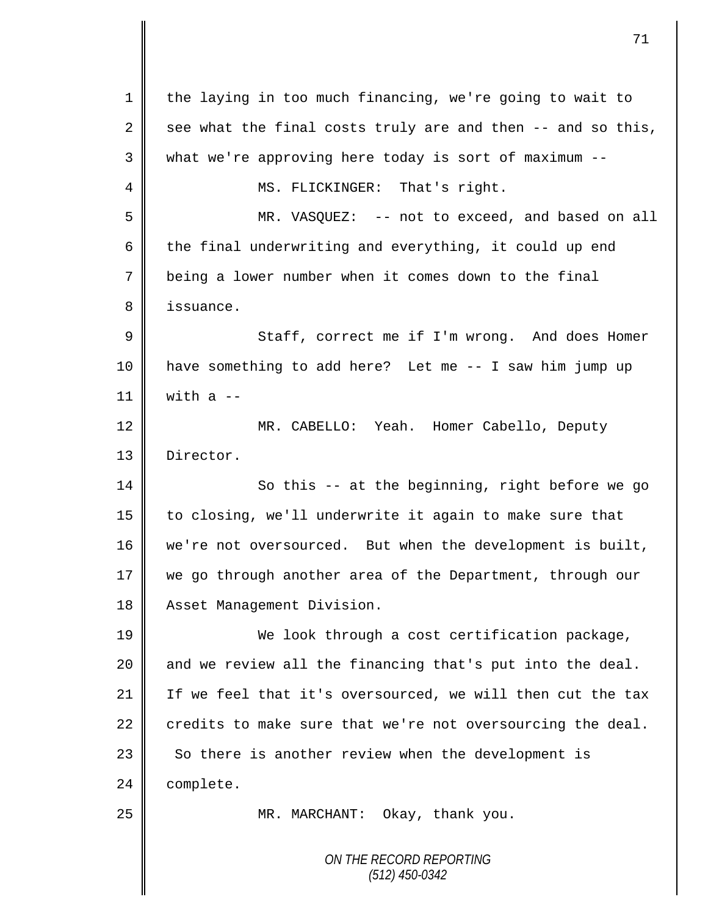| 1  | the laying in too much financing, we're going to wait to    |
|----|-------------------------------------------------------------|
| 2  | see what the final costs truly are and then -- and so this, |
| 3  | what we're approving here today is sort of maximum --       |
| 4  | MS. FLICKINGER: That's right.                               |
| 5  | MR. VASQUEZ: -- not to exceed, and based on all             |
| 6  | the final underwriting and everything, it could up end      |
| 7  | being a lower number when it comes down to the final        |
| 8  | issuance.                                                   |
| 9  | Staff, correct me if I'm wrong. And does Homer              |
| 10 | have something to add here? Let me -- I saw him jump up     |
| 11 | with $a$ --                                                 |
| 12 | MR. CABELLO: Yeah. Homer Cabello, Deputy                    |
| 13 | Director.                                                   |
| 14 | So this -- at the beginning, right before we go             |
| 15 | to closing, we'll underwrite it again to make sure that     |
| 16 | we're not oversourced. But when the development is built,   |
| 17 | we go through another area of the Department, through our   |
| 18 | Asset Management Division.                                  |
| 19 | We look through a cost certification package,               |
| 20 | and we review all the financing that's put into the deal.   |
| 21 | If we feel that it's oversourced, we will then cut the tax  |
| 22 | credits to make sure that we're not oversourcing the deal.  |
| 23 | So there is another review when the development is          |
| 24 | complete.                                                   |
| 25 | MR. MARCHANT: Okay, thank you.                              |
|    |                                                             |
|    | ON THE RECORD REPORTING<br>(512) 450-0342                   |
|    |                                                             |

 $\mathbf l$ ∥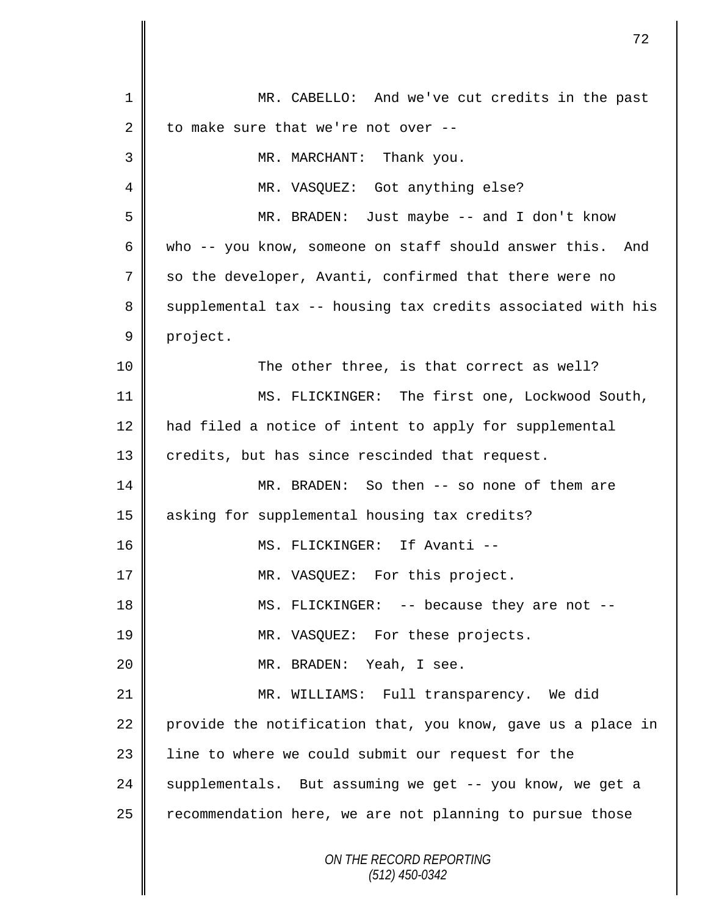|                | 72                                                           |
|----------------|--------------------------------------------------------------|
|                |                                                              |
| 1              | MR. CABELLO: And we've cut credits in the past               |
| 2              | to make sure that we're not over --                          |
| 3              | MR. MARCHANT: Thank you.                                     |
| 4              | MR. VASQUEZ: Got anything else?                              |
| 5              | MR. BRADEN: Just maybe -- and I don't know                   |
| 6              | who -- you know, someone on staff should answer this.<br>And |
| 7              | so the developer, Avanti, confirmed that there were no       |
| 8              | supplemental tax -- housing tax credits associated with his  |
| $\overline{9}$ | project.                                                     |
| 10             | The other three, is that correct as well?                    |
| 11             | MS. FLICKINGER: The first one, Lockwood South,               |
| 12             | had filed a notice of intent to apply for supplemental       |
| 13             | credits, but has since rescinded that request.               |
| 14             | MR. BRADEN: So then -- so none of them are                   |
| 15             | asking for supplemental housing tax credits?                 |
| 16             | MS. FLICKINGER: If Avanti --                                 |
| 17             | MR. VASQUEZ: For this project.                               |
| 18             | MS. FLICKINGER: -- because they are not --                   |
| 19             | MR. VASQUEZ: For these projects.                             |
| 20             | MR. BRADEN: Yeah, I see.                                     |
| 21             | MR. WILLIAMS: Full transparency. We did                      |
| 22             | provide the notification that, you know, gave us a place in  |
| 23             | line to where we could submit our request for the            |
| 24             | supplementals. But assuming we get -- you know, we get a     |
| 25             | recommendation here, we are not planning to pursue those     |
|                | ON THE RECORD REPORTING<br>$(512)$ 450-0342                  |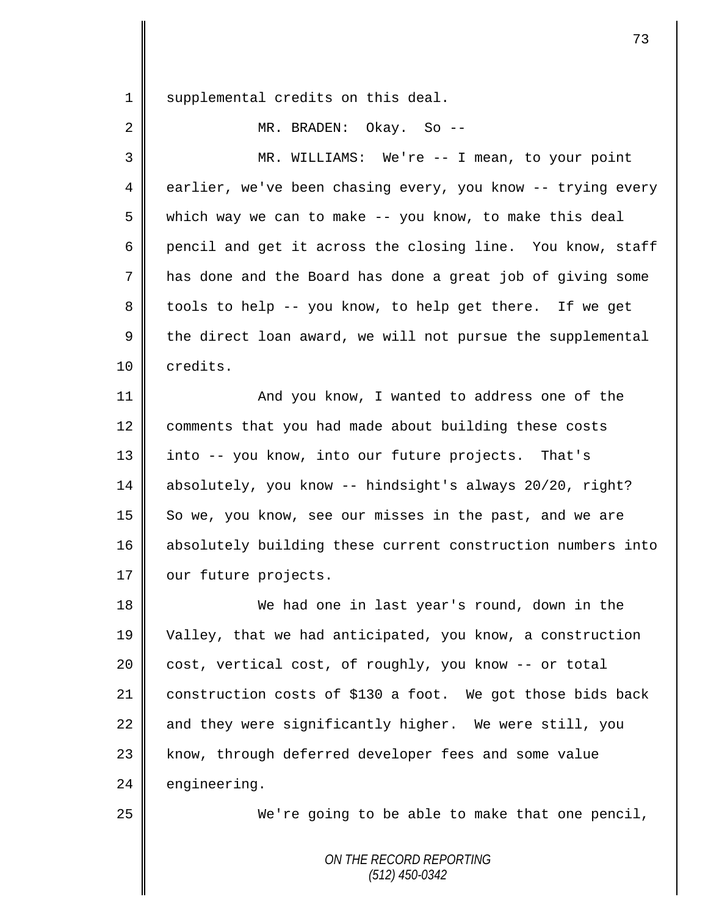1 || supplemental credits on this deal.

2 MR. BRADEN: Okay. So --

3 MR. WILLIAMS: We're -- I mean, to your point 4 earlier, we've been chasing every, you know -- trying every 5 which way we can to make -- you know, to make this deal 6 pencil and get it across the closing line. You know, staff 7 has done and the Board has done a great job of giving some 8 || tools to help -- you know, to help get there. If we get  $9 \parallel$  the direct loan award, we will not pursue the supplemental 10 | credits. 11 | And you know, I wanted to address one of the 12 comments that you had made about building these costs 13 into -- you know, into our future projects. That's 14 absolutely, you know -- hindsight's always 20/20, right? 15 So we, you know, see our misses in the past, and we are 16 absolutely building these current construction numbers into 17 | our future projects. 18 We had one in last year's round, down in the 19 Valley, that we had anticipated, you know, a construction 20 cost, vertical cost, of roughly, you know -- or total 21 construction costs of \$130 a foot. We got those bids back 22  $\parallel$  and they were significantly higher. We were still, you

 $24$  engineering.

25 || We're going to be able to make that one pencil,

*ON THE RECORD REPORTING (512) 450-0342*

23 | know, through deferred developer fees and some value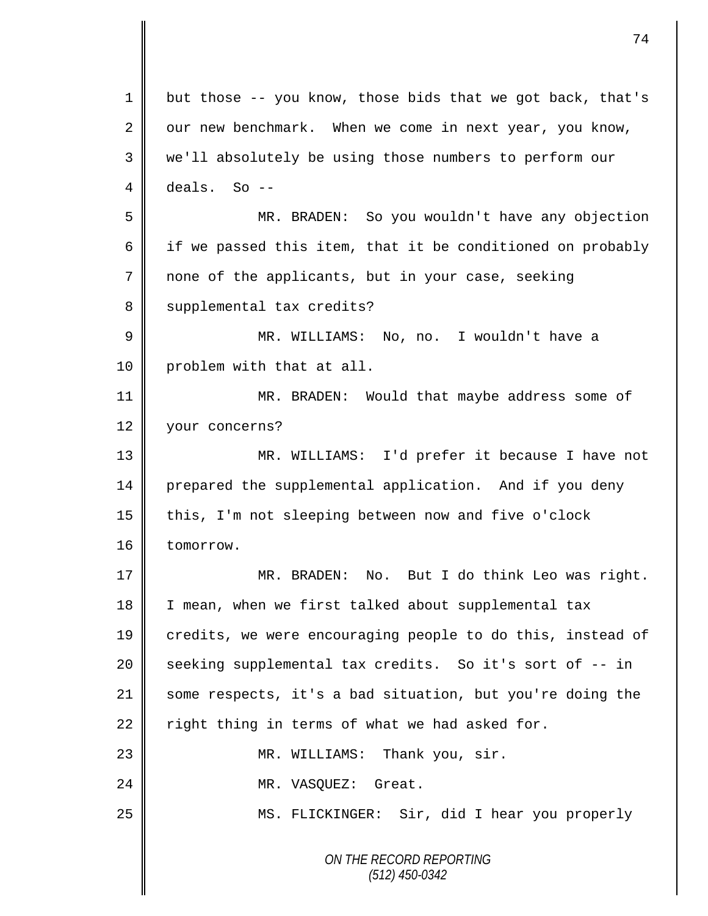*ON THE RECORD REPORTING (512) 450-0342* 1 but those -- you know, those bids that we got back, that's 2 our new benchmark. When we come in next year, you know, 3 we'll absolutely be using those numbers to perform our  $4 \parallel$  deals. So --5 MR. BRADEN: So you wouldn't have any objection 6 | if we passed this item, that it be conditioned on probably 7 none of the applicants, but in your case, seeking 8 | supplemental tax credits? 9 MR. WILLIAMS: No, no. I wouldn't have a 10 | problem with that at all. 11 **MR. BRADEN:** Would that maybe address some of 12 vour concerns? 13 MR. WILLIAMS: I'd prefer it because I have not 14 prepared the supplemental application. And if you deny 15 this, I'm not sleeping between now and five o'clock 16 tomorrow. 17 MR. BRADEN: No. But I do think Leo was right. 18 I I mean, when we first talked about supplemental tax 19 credits, we were encouraging people to do this, instead of 20 || seeking supplemental tax credits. So it's sort of -- in 21 some respects, it's a bad situation, but you're doing the 22  $\parallel$  right thing in terms of what we had asked for. 23 MR. WILLIAMS: Thank you, sir. 24 | MR. VASQUEZ: Great. 25 MS. FLICKINGER: Sir, did I hear you properly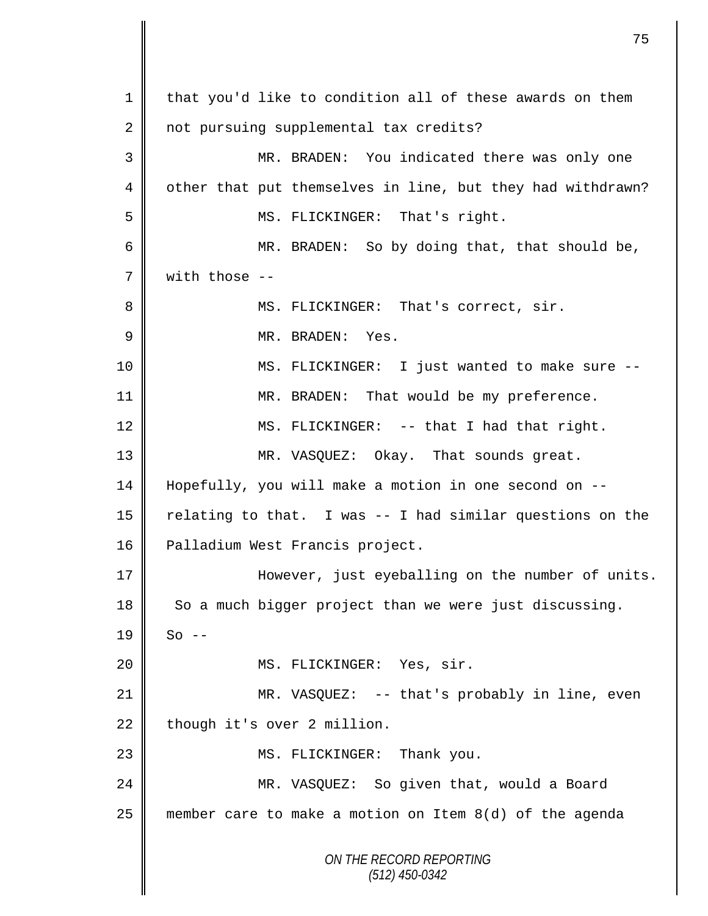*ON THE RECORD REPORTING (512) 450-0342* 1 | that you'd like to condition all of these awards on them 2 not pursuing supplemental tax credits? 3 MR. BRADEN: You indicated there was only one 4 | other that put themselves in line, but they had withdrawn? 5 || MS. FLICKINGER: That's right. 6 MR. BRADEN: So by doing that, that should be,  $7 \parallel$  with those --8 MS. FLICKINGER: That's correct, sir. 9 MR. BRADEN: Yes. 10 MS. FLICKINGER: I just wanted to make sure -- 11 || MR. BRADEN: That would be my preference. 12 MS. FLICKINGER: -- that I had that right. 13 MR. VASQUEZ: Okay. That sounds great. 14 Hopefully, you will make a motion in one second on -- 15  $\parallel$  relating to that. I was -- I had similar questions on the 16 | Palladium West Francis project. 17 However, just eyeballing on the number of units.  $18$  So a much bigger project than we were just discussing.  $19 \parallel$  So --20 || MS. FLICKINGER: Yes, sir. 21 MR. VASQUEZ: -- that's probably in line, even  $22$  though it's over 2 million. 23 || MS. FLICKINGER: Thank you. 24 MR. VASQUEZ: So given that, would a Board 25 member care to make a motion on Item 8(d) of the agenda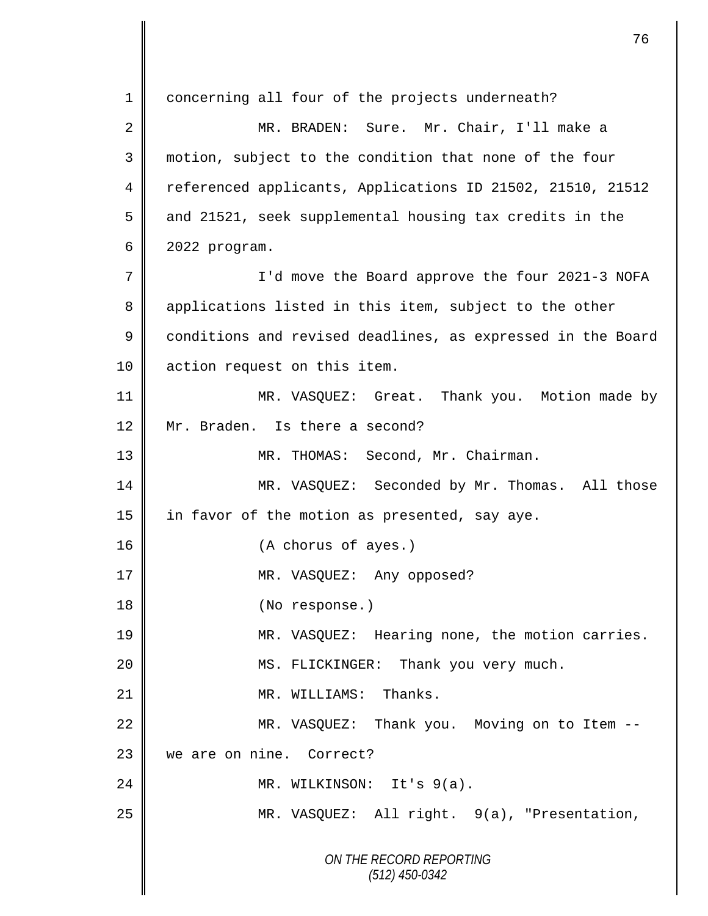*ON THE RECORD REPORTING (512) 450-0342* 1 concerning all four of the projects underneath? 2 || MR. BRADEN: Sure. Mr. Chair, I'll make a 3 motion, subject to the condition that none of the four 4 Teferenced applicants, Applications ID 21502, 21510, 21512 5 and 21521, seek supplemental housing tax credits in the 6 2022 program. 7 || I'd move the Board approve the four 2021-3 NOFA 8 applications listed in this item, subject to the other 9 conditions and revised deadlines, as expressed in the Board 10 | action request on this item. 11 || MR. VASQUEZ: Great. Thank you. Motion made by 12 Mr. Braden. Is there a second? 13 || MR. THOMAS: Second, Mr. Chairman. 14 MR. VASQUEZ: Seconded by Mr. Thomas. All those 15 in favor of the motion as presented, say aye. 16 (A chorus of ayes.) 17 || MR. VASQUEZ: Any opposed? 18 || (No response.) 19 MR. VASQUEZ: Hearing none, the motion carries. 20 MS. FLICKINGER: Thank you very much. 21 | MR. WILLIAMS: Thanks. 22 | MR. VASQUEZ: Thank you. Moving on to Item --23 we are on nine. Correct? 24 MR. WILKINSON: It's 9(a). 25 | MR. VASQUEZ: All right. 9(a), "Presentation,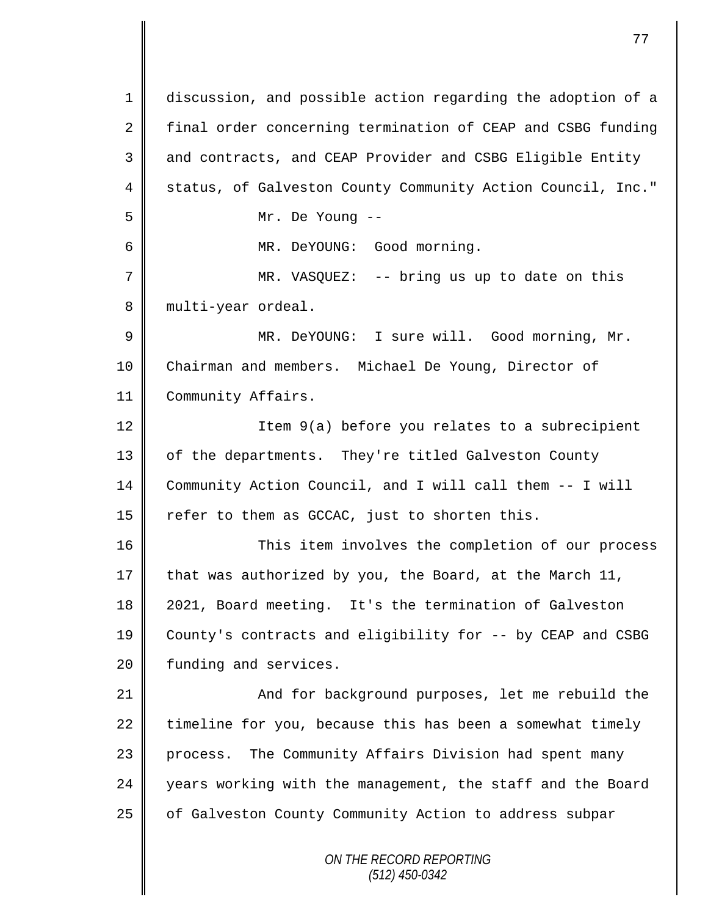*ON THE RECORD REPORTING (512) 450-0342* 1 discussion, and possible action regarding the adoption of a 2 final order concerning termination of CEAP and CSBG funding 3 and contracts, and CEAP Provider and CSBG Eligible Entity 4 Status, of Galveston County Community Action Council, Inc." 5 Mr. De Young -- 6 MR. DeYOUNG: Good morning. 7 MR. VASQUEZ: -- bring us up to date on this 8 | multi-year ordeal. 9 MR. DeYOUNG: I sure will. Good morning, Mr. 10 Chairman and members. Michael De Young, Director of 11 | Community Affairs. 12 | Item 9(a) before you relates to a subrecipient 13 | of the departments. They're titled Galveston County 14 Community Action Council, and I will call them -- I will 15  $\parallel$  refer to them as GCCAC, just to shorten this. 16 This item involves the completion of our process 17 that was authorized by you, the Board, at the March 11, 18 2021, Board meeting. It's the termination of Galveston 19 County's contracts and eligibility for -- by CEAP and CSBG 20 | funding and services. 21 | And for background purposes, let me rebuild the  $22$  timeline for you, because this has been a somewhat timely 23 process. The Community Affairs Division had spent many 24 years working with the management, the staff and the Board 25 | of Galveston County Community Action to address subpar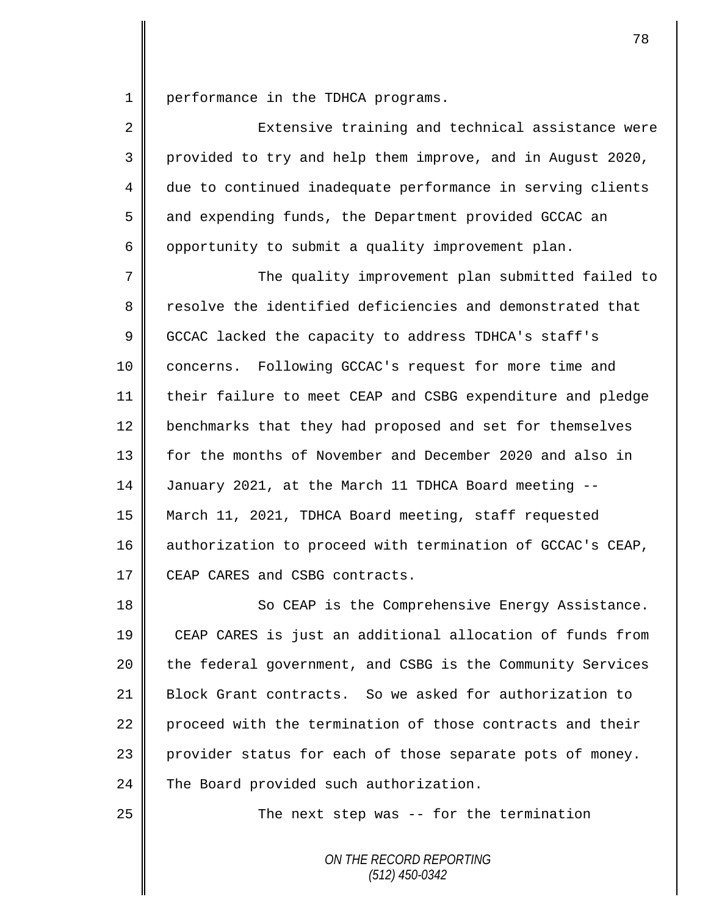1 | performance in the TDHCA programs.

| $\overline{2}$ | Extensive training and technical assistance were           |
|----------------|------------------------------------------------------------|
| 3              | provided to try and help them improve, and in August 2020, |
| 4              | due to continued inadequate performance in serving clients |
| 5              | and expending funds, the Department provided GCCAC an      |
| 6              | opportunity to submit a quality improvement plan.          |

7 || The quality improvement plan submitted failed to 8 Tesolve the identified deficiencies and demonstrated that 9 GCCAC lacked the capacity to address TDHCA's staff's 10 concerns. Following GCCAC's request for more time and 11 their failure to meet CEAP and CSBG expenditure and pledge 12 benchmarks that they had proposed and set for themselves 13 for the months of November and December 2020 and also in 14 January 2021, at the March 11 TDHCA Board meeting --15 March 11, 2021, TDHCA Board meeting, staff requested 16 authorization to proceed with termination of GCCAC's CEAP, 17 CEAP CARES and CSBG contracts.

18 || So CEAP is the Comprehensive Energy Assistance. 19 CEAP CARES is just an additional allocation of funds from 20 the federal government, and CSBG is the Community Services 21 Block Grant contracts. So we asked for authorization to 22 proceed with the termination of those contracts and their 23 provider status for each of those separate pots of money. 24 The Board provided such authorization.

25 | The next step was -- for the termination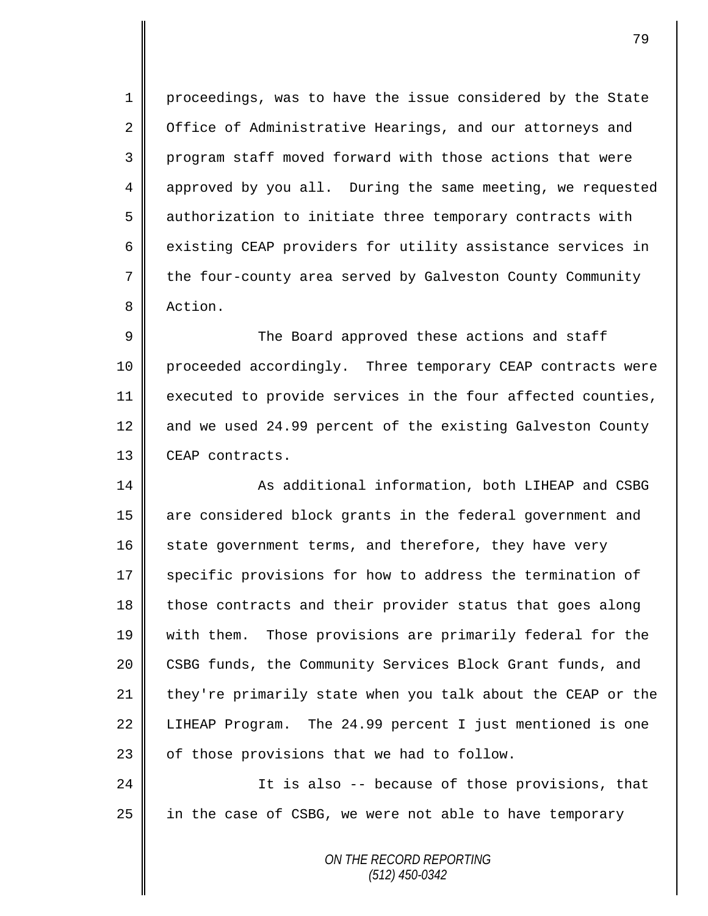1 proceedings, was to have the issue considered by the State 2 Office of Administrative Hearings, and our attorneys and 3 || program staff moved forward with those actions that were 4 approved by you all. During the same meeting, we requested 5 authorization to initiate three temporary contracts with 6  $\parallel$  existing CEAP providers for utility assistance services in 7 the four-county area served by Galveston County Community 8 Action.

9 The Board approved these actions and staff 10 | proceeded accordingly. Three temporary CEAP contracts were 11 executed to provide services in the four affected counties, 12 and we used 24.99 percent of the existing Galveston County 13 CEAP contracts.

14 **As additional information, both LIHEAP and CSBG** 15 || are considered block grants in the federal government and 16  $\parallel$  state government terms, and therefore, they have very 17 Specific provisions for how to address the termination of 18 those contracts and their provider status that goes along 19 with them. Those provisions are primarily federal for the 20 CSBG funds, the Community Services Block Grant funds, and 21  $\parallel$  they're primarily state when you talk about the CEAP or the 22 LIHEAP Program. The 24.99 percent I just mentioned is one  $23$  | of those provisions that we had to follow.

24 | It is also -- because of those provisions, that 25 | in the case of CSBG, we were not able to have temporary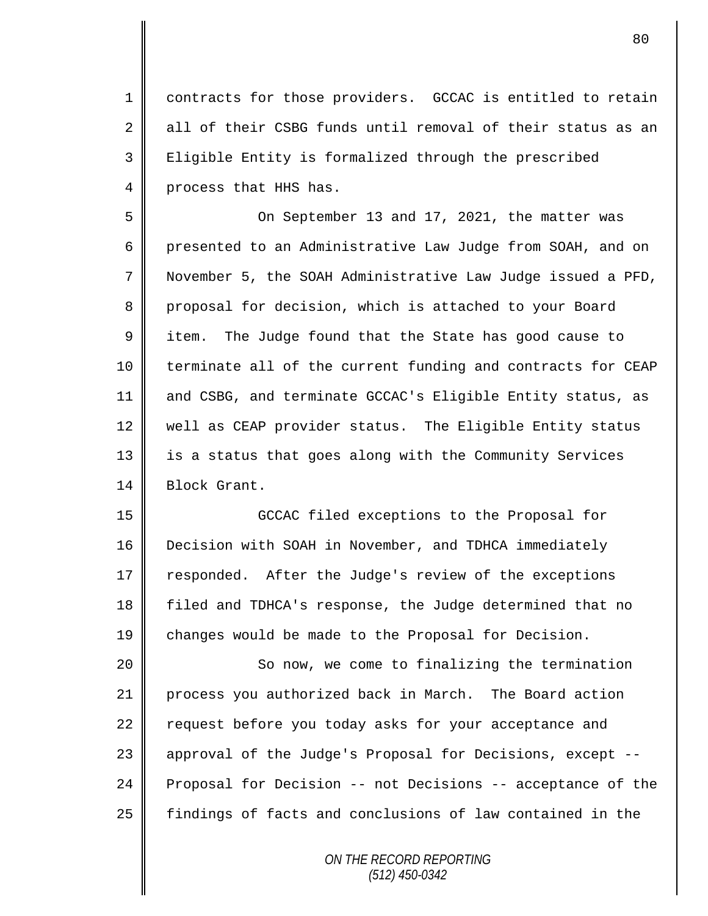1 contracts for those providers. GCCAC is entitled to retain 2 all of their CSBG funds until removal of their status as an 3 | Eligible Entity is formalized through the prescribed 4 process that HHS has.

5 On September 13 and 17, 2021, the matter was 6 presented to an Administrative Law Judge from SOAH, and on 7 November 5, the SOAH Administrative Law Judge issued a PFD, 8 proposal for decision, which is attached to your Board 9 | item. The Judge found that the State has good cause to 10 terminate all of the current funding and contracts for CEAP 11 and CSBG, and terminate GCCAC's Eligible Entity status, as 12 well as CEAP provider status. The Eligible Entity status 13 || is a status that goes along with the Community Services 14 Block Grant.

 GCCAC filed exceptions to the Proposal for Decision with SOAH in November, and TDHCA immediately 17 responded. After the Judge's review of the exceptions filed and TDHCA's response, the Judge determined that no changes would be made to the Proposal for Decision.

20 || So now, we come to finalizing the termination 21 process you authorized back in March. The Board action  $22$  request before you today asks for your acceptance and 23 || approval of the Judge's Proposal for Decisions, except --24 Proposal for Decision -- not Decisions -- acceptance of the 25 | findings of facts and conclusions of law contained in the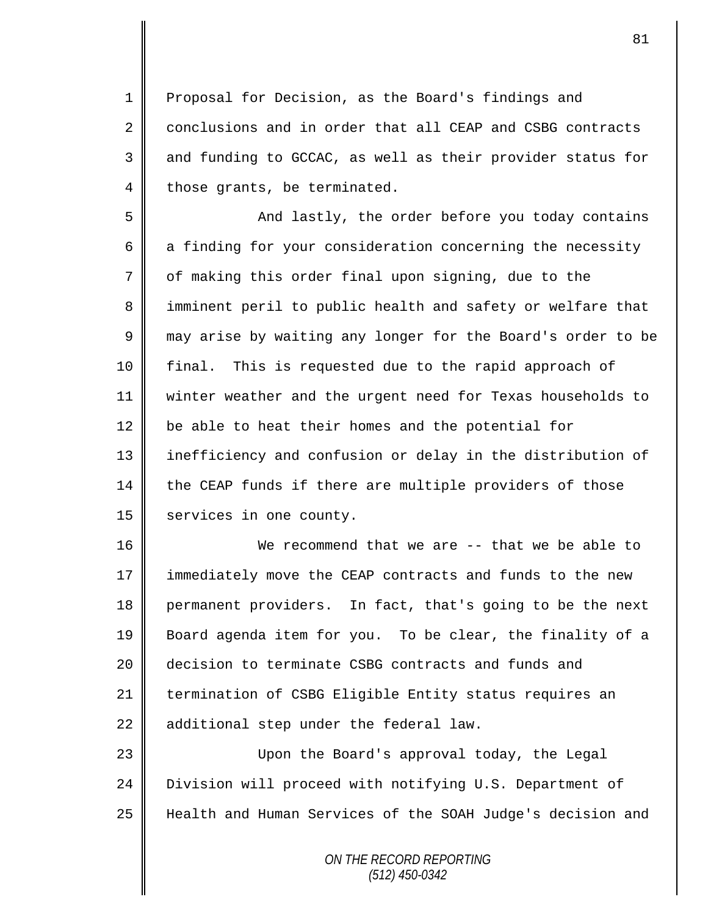1 Proposal for Decision, as the Board's findings and 2 conclusions and in order that all CEAP and CSBG contracts  $3 \parallel$  and funding to GCCAC, as well as their provider status for  $4 \parallel$  those grants, be terminated.

5 || And lastly, the order before you today contains  $6$  a finding for your consideration concerning the necessity  $7 \parallel$  of making this order final upon signing, due to the 8 || imminent peril to public health and safety or welfare that 9 may arise by waiting any longer for the Board's order to be 10 final. This is requested due to the rapid approach of 11 winter weather and the urgent need for Texas households to  $12$  be able to heat their homes and the potential for 13 || inefficiency and confusion or delay in the distribution of 14 the CEAP funds if there are multiple providers of those 15 services in one county.

16 We recommend that we are -- that we be able to 17 | immediately move the CEAP contracts and funds to the new 18 permanent providers. In fact, that's going to be the next 19 Board agenda item for you. To be clear, the finality of a 20 decision to terminate CSBG contracts and funds and 21 termination of CSBG Eligible Entity status requires an  $22$  additional step under the federal law.

23 Upon the Board's approval today, the Legal 24 Division will proceed with notifying U.S. Department of 25 Health and Human Services of the SOAH Judge's decision and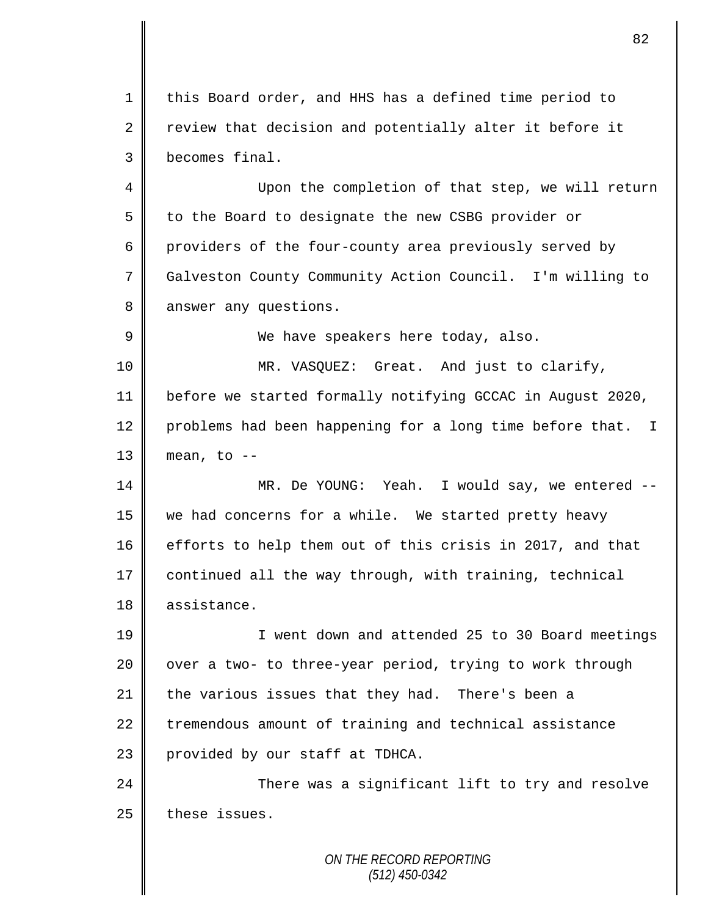1 this Board order, and HHS has a defined time period to 2 Teview that decision and potentially alter it before it 3 becomes final.

4 Upon the completion of that step, we will return 5 to the Board to designate the new CSBG provider or 6 providers of the four-county area previously served by 7 Galveston County Community Action Council. I'm willing to 8 answer any questions.

9 We have speakers here today, also.

 MR. VASQUEZ: Great. And just to clarify, before we started formally notifying GCCAC in August 2020, 12 | problems had been happening for a long time before that. I | mean, to  $-$ 

14 MR. De YOUNG: Yeah. I would say, we entered -- 15 we had concerns for a while. We started pretty heavy 16 efforts to help them out of this crisis in 2017, and that 17 continued all the way through, with training, technical 18 | assistance.

19 || I went down and attended 25 to 30 Board meetings  $20$  | over a two- to three-year period, trying to work through 21 the various issues that they had. There's been a 22 tremendous amount of training and technical assistance 23 | provided by our staff at TDHCA.

24 There was a significant lift to try and resolve  $25$  these issues.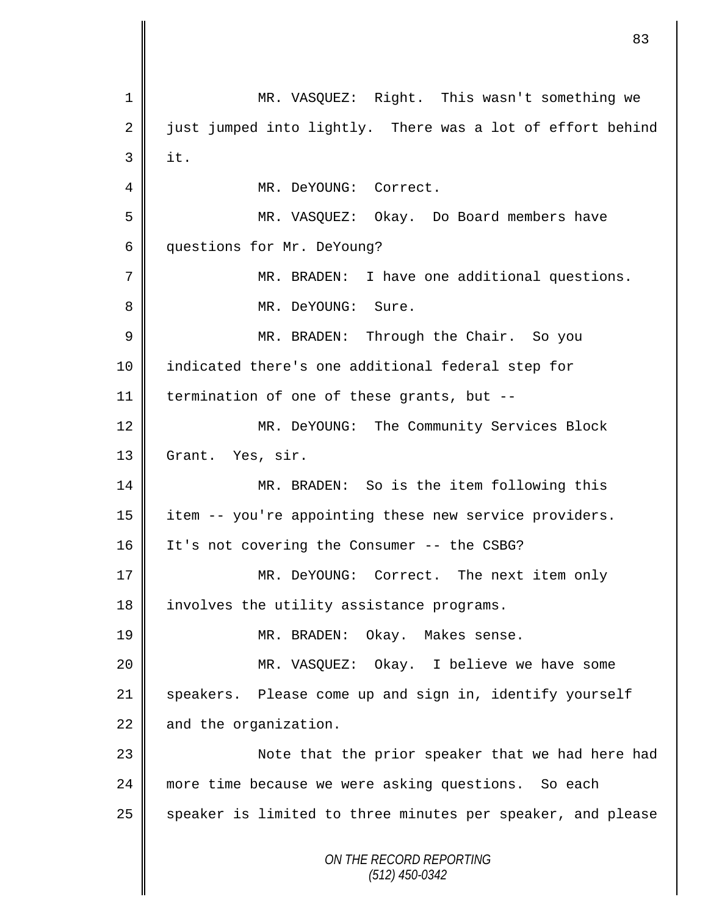*ON THE RECORD REPORTING (512) 450-0342* 1 MR. VASQUEZ: Right. This wasn't something we  $2 \parallel$  just jumped into lightly. There was a lot of effort behind  $3 \parallel$  it. 4 MR. DeYOUNG: Correct. 5 MR. VASQUEZ: Okay. Do Board members have 6 questions for Mr. DeYoung? 7 MR. BRADEN: I have one additional questions. 8 || MR. DeYOUNG: Sure. 9 MR. BRADEN: Through the Chair. So you 10 indicated there's one additional federal step for 11 | termination of one of these grants, but  $-$ -12 || MR. DeYOUNG: The Community Services Block 13 Grant. Yes, sir. 14 MR. BRADEN: So is the item following this 15 item -- you're appointing these new service providers. 16 | It's not covering the Consumer -- the CSBG? 17 MR. DeYOUNG: Correct. The next item only 18 | involves the utility assistance programs. 19 || MR. BRADEN: Okay. Makes sense. 20 MR. VASQUEZ: Okay. I believe we have some 21 speakers. Please come up and sign in, identify yourself  $22$  and the organization. 23 || Note that the prior speaker that we had here had 24 || more time because we were asking questions. So each 25 | speaker is limited to three minutes per speaker, and please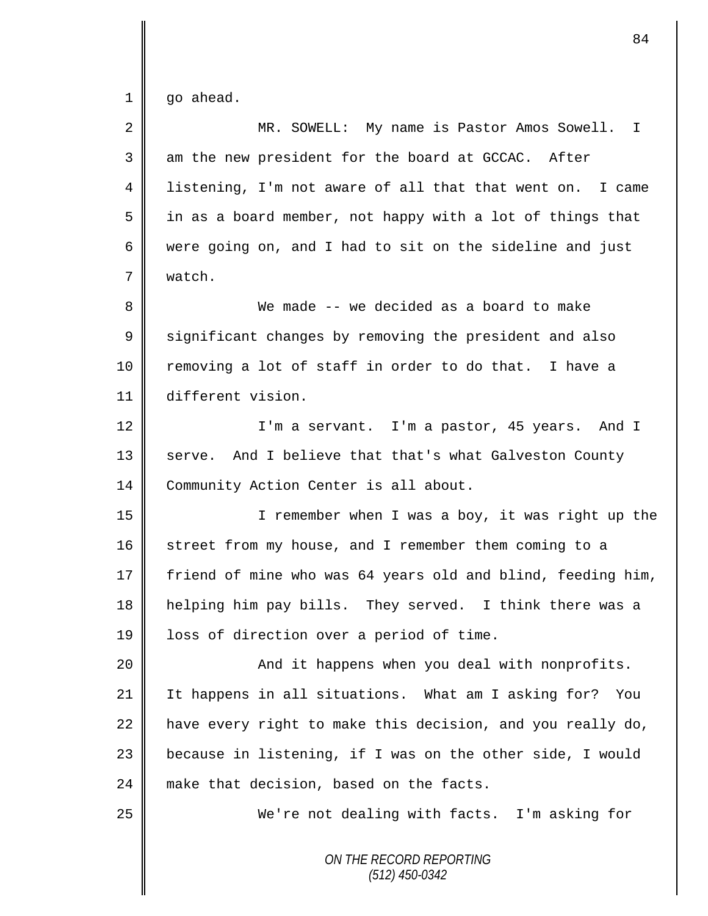$1 \parallel$  go ahead.

| $\overline{2}$ | MR. SOWELL: My name is Pastor Amos Sowell. I                |
|----------------|-------------------------------------------------------------|
| 3              | am the new president for the board at GCCAC. After          |
| 4              | listening, I'm not aware of all that that went on. I came   |
| 5              | in as a board member, not happy with a lot of things that   |
| 6              | were going on, and I had to sit on the sideline and just    |
| 7              | watch.                                                      |
| 8              | We made -- we decided as a board to make                    |
| $\mathsf 9$    | significant changes by removing the president and also      |
| 10             | removing a lot of staff in order to do that. I have a       |
| 11             | different vision.                                           |
| 12             | I'm a servant. I'm a pastor, 45 years. And I                |
| 13             | serve. And I believe that that's what Galveston County      |
| 14             | Community Action Center is all about.                       |
| 15             | I remember when I was a boy, it was right up the            |
| 16             | street from my house, and I remember them coming to a       |
| 17             | friend of mine who was 64 years old and blind, feeding him, |
| 18             | helping him pay bills. They served. I think there was a     |
| 19             | loss of direction over a period of time.                    |
| 20             | And it happens when you deal with nonprofits.               |
| 21             | It happens in all situations. What am I asking for? You     |
| 22             | have every right to make this decision, and you really do,  |
| 23             | because in listening, if I was on the other side, I would   |
| 24             | make that decision, based on the facts.                     |
| 25             | We're not dealing with facts. I'm asking for                |
|                | ON THE RECORD REPORTING<br>$(512)$ 450-0342                 |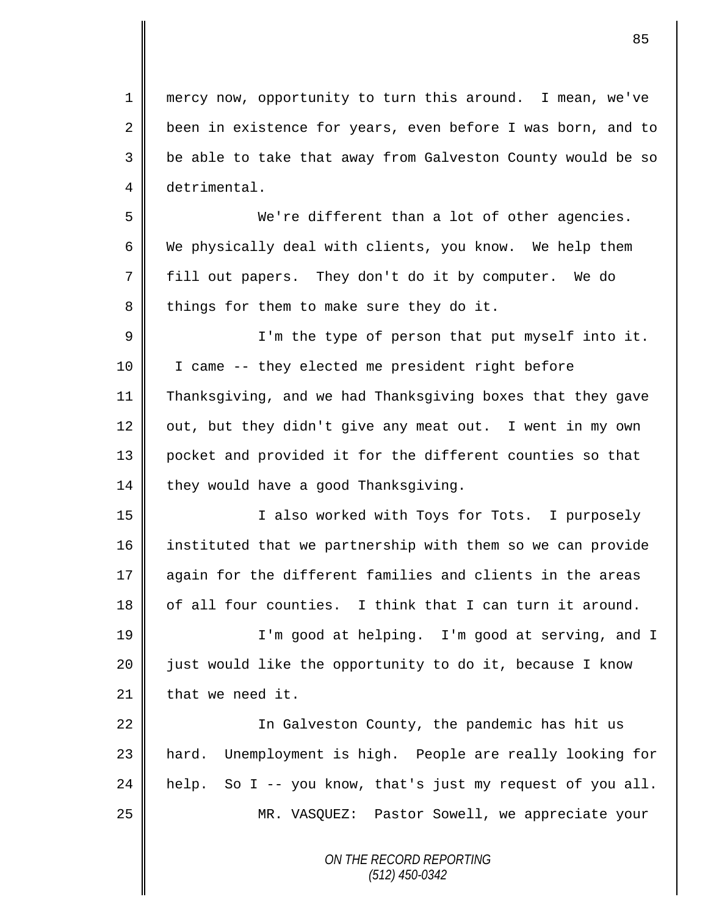mercy now, opportunity to turn this around. I mean, we've 2 been in existence for years, even before I was born, and to 3 || be able to take that away from Galveston County would be so detrimental. We're different than a lot of other agencies. 6 We physically deal with clients, you know. We help them

 $8 \parallel$  things for them to make sure they do it.

fill out papers. They don't do it by computer. We do

9 ||<br>
I'm the type of person that put myself into it. I came -- they elected me president right before Thanksgiving, and we had Thanksgiving boxes that they gave  $\parallel$  out, but they didn't give any meat out. I went in my own pocket and provided it for the different counties so that  $\parallel$  they would have a good Thanksgiving.

15 || I also worked with Toys for Tots. I purposely instituted that we partnership with them so we can provide again for the different families and clients in the areas of all four counties. I think that I can turn it around.

 I'm good at helping. I'm good at serving, and I  $\parallel$  just would like the opportunity to do it, because I know | that we need it.

22 | In Galveston County, the pandemic has hit us 23 || hard. Unemployment is high. People are really looking for  $\parallel$  help. So I -- you know, that's just my request of you all. 25 | MR. VASQUEZ: Pastor Sowell, we appreciate your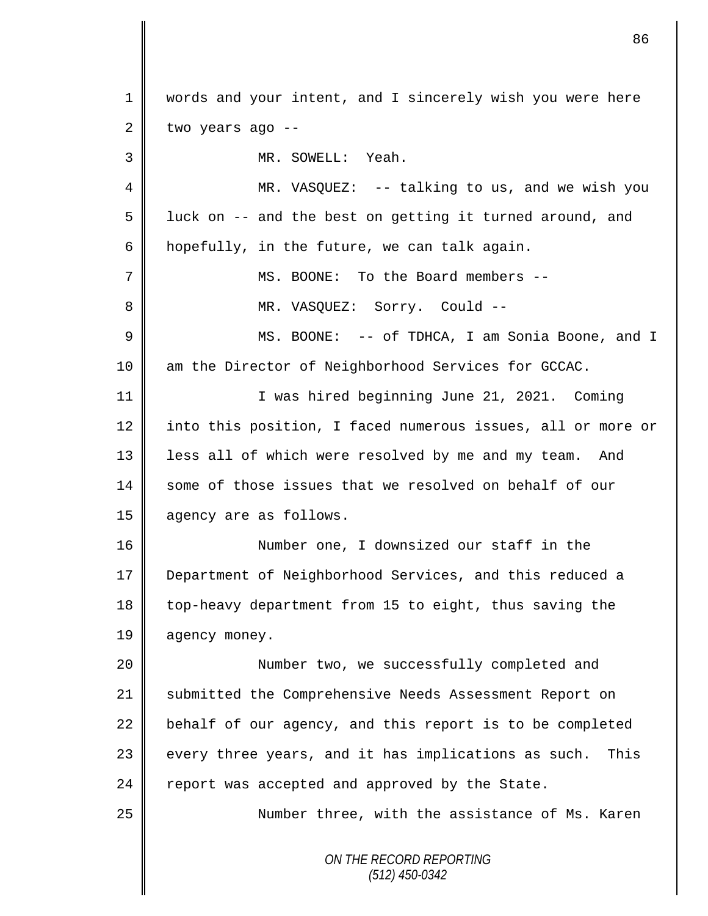*ON THE RECORD REPORTING (512) 450-0342* 1 || words and your intent, and I sincerely wish you were here  $2 \parallel$  two years ago --3 MR. SOWELL: Yeah. 4 MR. VASQUEZ: -- talking to us, and we wish you  $5 \parallel$  luck on -- and the best on getting it turned around, and 6  $\parallel$  hopefully, in the future, we can talk again. 7 MS. BOONE: To the Board members -- 8 MR. VASQUEZ: Sorry. Could -- 9 MS. BOONE: -- of TDHCA, I am Sonia Boone, and I 10 am the Director of Neighborhood Services for GCCAC. 11 I was hired beginning June 21, 2021. Coming 12 into this position, I faced numerous issues, all or more or 13 | less all of which were resolved by me and my team. And 14 || some of those issues that we resolved on behalf of our 15 agency are as follows. 16 Number one, I downsized our staff in the 17 Department of Neighborhood Services, and this reduced a 18 top-heavy department from 15 to eight, thus saving the 19 | agency money. 20 Number two, we successfully completed and 21 Submitted the Comprehensive Needs Assessment Report on  $22$  behalf of our agency, and this report is to be completed  $23$  every three years, and it has implications as such. This  $24$  report was accepted and approved by the State. 25 || Number three, with the assistance of Ms. Karen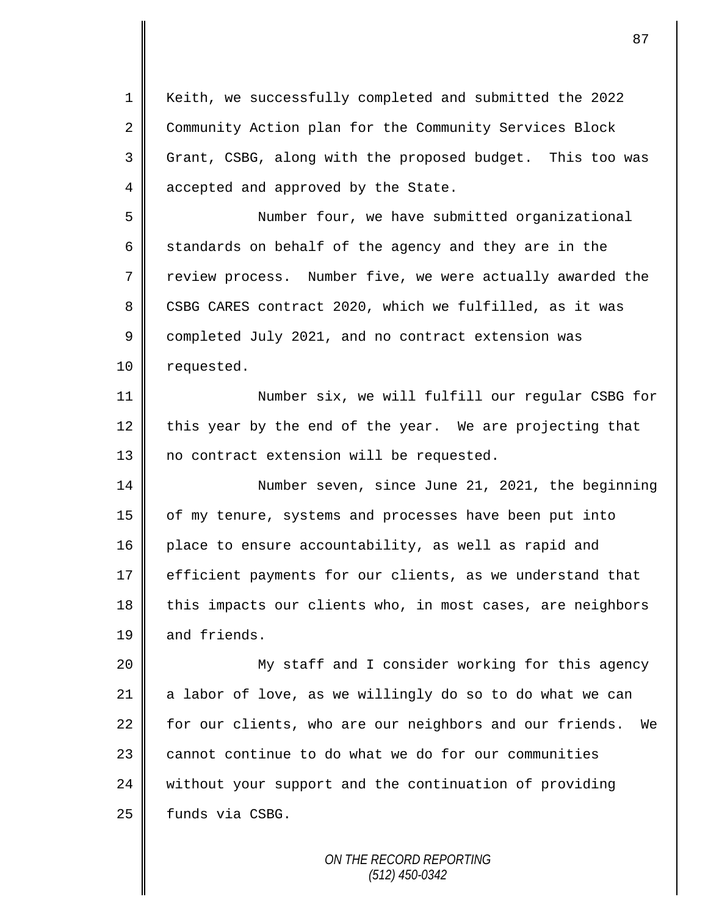1 || Keith, we successfully completed and submitted the 2022 2 Community Action plan for the Community Services Block 3 Grant, CSBG, along with the proposed budget. This too was 4 accepted and approved by the State.

5 Number four, we have submitted organizational 6 standards on behalf of the agency and they are in the 7 T review process. Number five, we were actually awarded the 8 CSBG CARES contract 2020, which we fulfilled, as it was 9 completed July 2021, and no contract extension was 10 | requested.

11 || Number six, we will fulfill our regular CSBG for  $12$  this year by the end of the year. We are projecting that 13 || no contract extension will be requested.

14 Number seven, since June 21, 2021, the beginning 15 | of my tenure, systems and processes have been put into 16 place to ensure accountability, as well as rapid and 17 efficient payments for our clients, as we understand that 18 this impacts our clients who, in most cases, are neighbors 19 and friends.

 My staff and I consider working for this agency  $\parallel$  a labor of love, as we willingly do so to do what we can for our clients, who are our neighbors and our friends. We cannot continue to do what we do for our communities 24 without your support and the continuation of providing | funds via CSBG.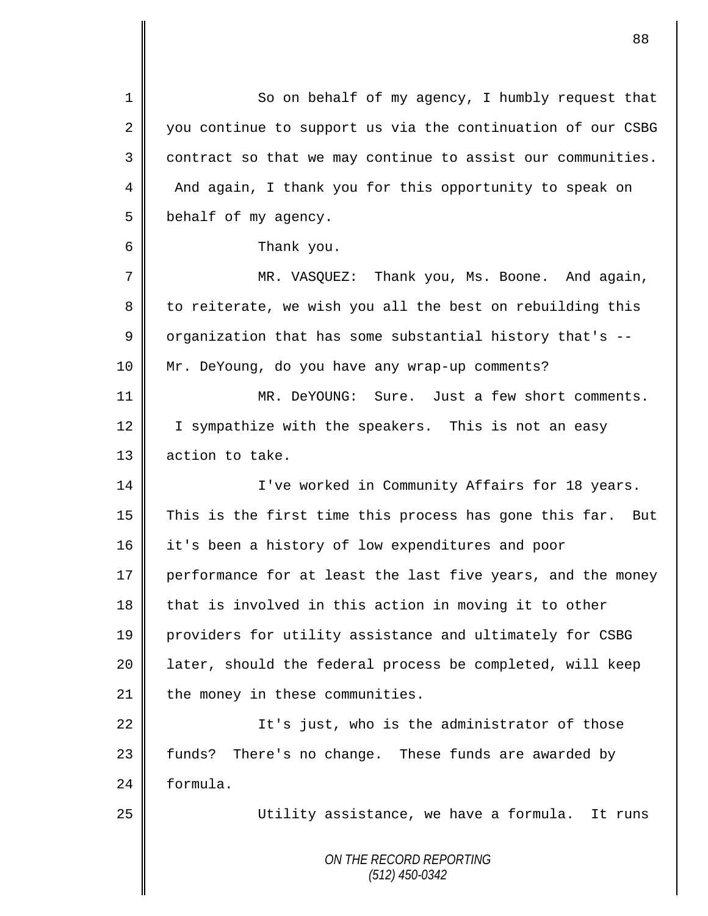*ON THE RECORD REPORTING (512) 450-0342* 1 So on behalf of my agency, I humbly request that 2 you continue to support us via the continuation of our CSBG  $3 \parallel$  contract so that we may continue to assist our communities. 4 And again, I thank you for this opportunity to speak on 5 behalf of my agency. 6 Thank you. 7 MR. VASQUEZ: Thank you, Ms. Boone. And again, 8 to reiterate, we wish you all the best on rebuilding this 9 | organization that has some substantial history that's  $-$ 10 Mr. DeYoung, do you have any wrap-up comments? 11 MR. DeYOUNG: Sure. Just a few short comments. 12 | I sympathize with the speakers. This is not an easy 13 | action to take. 14 | I've worked in Community Affairs for 18 years. 15  $\parallel$  This is the first time this process has gone this far. But 16 it's been a history of low expenditures and poor 17 performance for at least the last five years, and the money 18  $\parallel$  that is involved in this action in moving it to other 19 providers for utility assistance and ultimately for CSBG 20 | later, should the federal process be completed, will keep  $21$  | the money in these communities. 22 | It's just, who is the administrator of those 23 funds? There's no change. These funds are awarded by 24 | formula. 25 || Utility assistance, we have a formula. It runs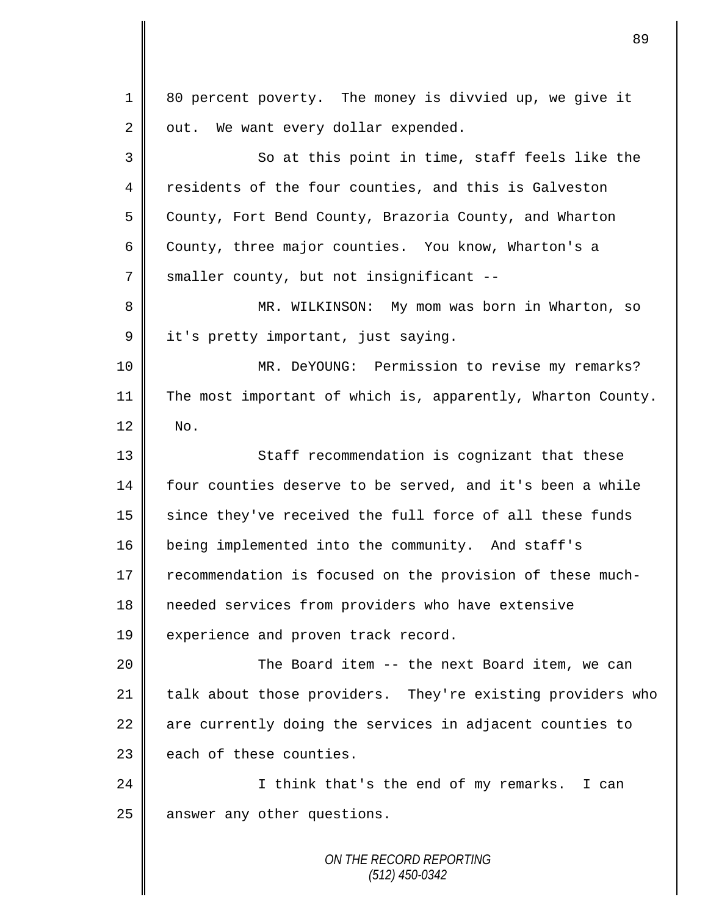*ON THE RECORD REPORTING* 1 80 percent poverty. The money is divvied up, we give it  $2 \parallel$  out. We want every dollar expended. 3 So at this point in time, staff feels like the 4 residents of the four counties, and this is Galveston 5 County, Fort Bend County, Brazoria County, and Wharton 6 County, three major counties. You know, Wharton's a 7 smaller county, but not insignificant --8 || MR. WILKINSON: My mom was born in Wharton, so 9 it's pretty important, just saying. 10 MR. DeYOUNG: Permission to revise my remarks? 11 The most important of which is, apparently, Wharton County.  $12 \parallel$  No. 13 || Staff recommendation is cognizant that these 14 | four counties deserve to be served, and it's been a while  $15$  since they've received the full force of all these funds 16 being implemented into the community. And staff's 17 Tecommendation is focused on the provision of these much-18 needed services from providers who have extensive 19 experience and proven track record. 20 || The Board item -- the next Board item, we can 21  $\parallel$  talk about those providers. They're existing providers who  $22$  are currently doing the services in adjacent counties to  $23$   $\parallel$  each of these counties. 24 | I think that's the end of my remarks. I can  $25$  | answer any other questions.

89

*(512) 450-0342*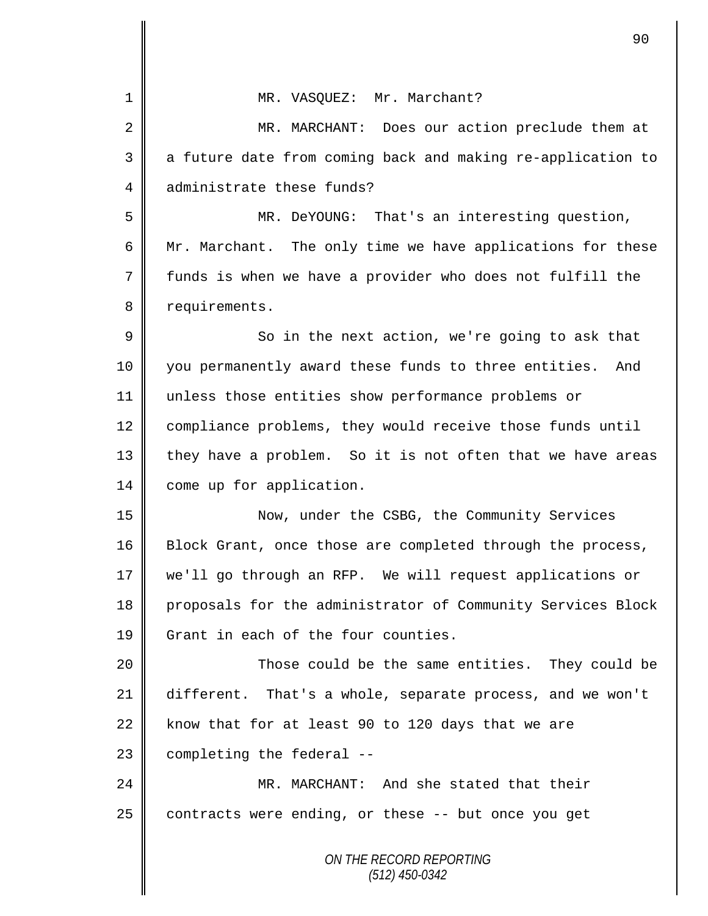|                | 90                                                          |
|----------------|-------------------------------------------------------------|
| 1              | MR. VASQUEZ: Mr. Marchant?                                  |
| $\overline{2}$ | MR. MARCHANT:<br>Does our action preclude them at           |
| 3              | a future date from coming back and making re-application to |
| 4              | administrate these funds?                                   |
| 5              | MR. DeYOUNG: That's an interesting question,                |
| 6              |                                                             |
|                | Mr. Marchant. The only time we have applications for these  |
| 7              | funds is when we have a provider who does not fulfill the   |
| 8              | requirements.                                               |
| 9              | So in the next action, we're going to ask that              |
| 10             | you permanently award these funds to three entities.<br>And |
| 11             | unless those entities show performance problems or          |
| 12             | compliance problems, they would receive those funds until   |
| 13             | they have a problem. So it is not often that we have areas  |
| 14             | come up for application.                                    |
| 15             | Now, under the CSBG, the Community Services                 |
| 16             | Block Grant, once those are completed through the process,  |
| 17             | we'll go through an RFP. We will request applications or    |
| 18             | proposals for the administrator of Community Services Block |
| 19             | Grant in each of the four counties.                         |
| 20             | Those could be the same entities. They could be             |
| 21             | different. That's a whole, separate process, and we won't   |
| 22             | know that for at least 90 to 120 days that we are           |
| 23             | completing the federal --                                   |
| 24             | MR. MARCHANT: And she stated that their                     |
| 25             | contracts were ending, or these -- but once you get         |
|                | ON THE RECORD REPORTING<br>$(512)$ 450-0342                 |

 $\mathbf l$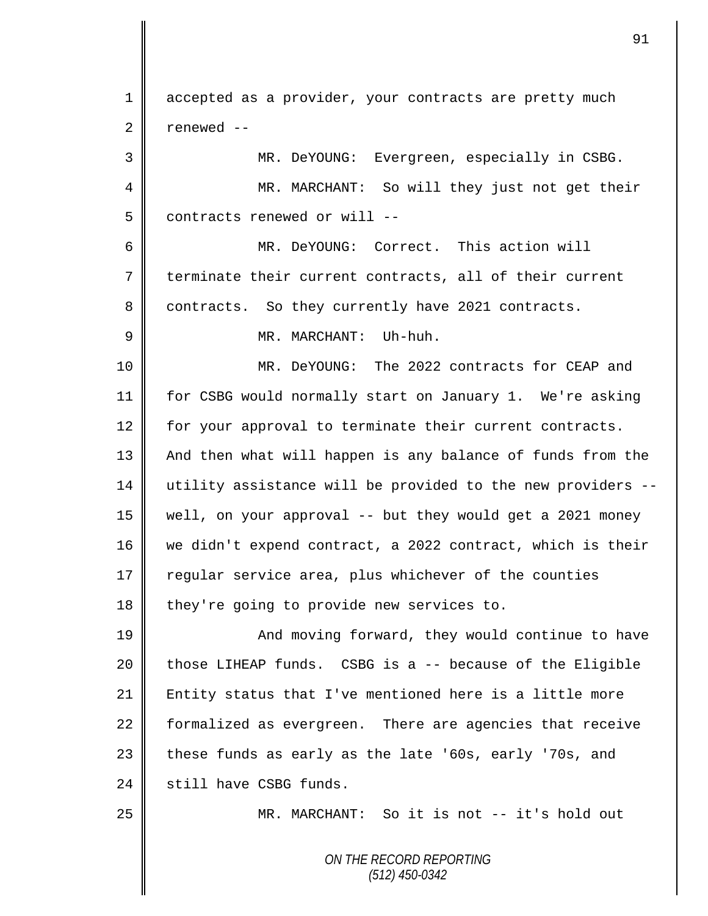1 accepted as a provider, your contracts are pretty much  $2 \parallel$  renewed --

3 MR. DeYOUNG: Evergreen, especially in CSBG. 4 MR. MARCHANT: So will they just not get their 5 | contracts renewed or will --

6 MR. DeYOUNG: Correct. This action will 7 terminate their current contracts, all of their current 8 contracts. So they currently have 2021 contracts.

9 MR. MARCHANT: Uh-huh.

10 MR. DeYOUNG: The 2022 contracts for CEAP and 11 for CSBG would normally start on January 1. We're asking 12 for your approval to terminate their current contracts. 13 | And then what will happen is any balance of funds from the 14 utility assistance will be provided to the new providers -- 15 well, on your approval -- but they would get a 2021 money 16 we didn't expend contract, a 2022 contract, which is their 17 regular service area, plus whichever of the counties  $18$  they're going to provide new services to.

19 || And moving forward, they would continue to have  $20$  those LIHEAP funds. CSBG is a  $-$ - because of the Eligible 21 Entity status that I've mentioned here is a little more 22 formalized as evergreen. There are agencies that receive 23  $\parallel$  these funds as early as the late '60s, early '70s, and 24 still have CSBG funds.

25 MR. MARCHANT: So it is not -- it's hold out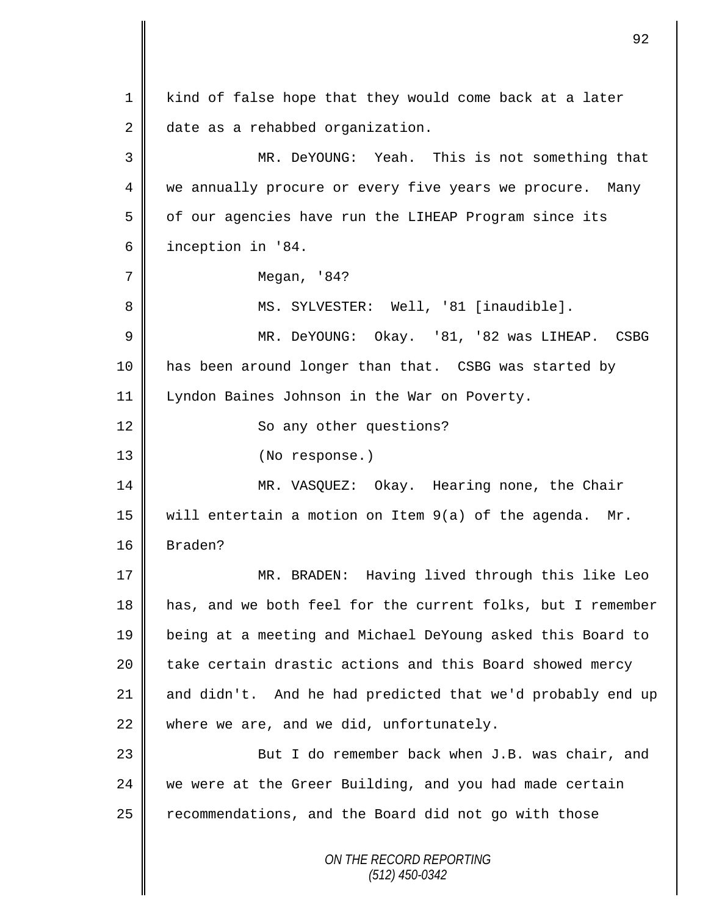*ON THE RECORD REPORTING (512) 450-0342* 1 || kind of false hope that they would come back at a later 2 date as a rehabbed organization. MR. DeYOUNG: Yeah. This is not something that 4 we annually procure or every five years we procure. Many 5 | of our agencies have run the LIHEAP Program since its inception in '84. Megan, '84? MS. SYLVESTER: Well, '81 [inaudible]. MR. DeYOUNG: Okay. '81, '82 was LIHEAP. CSBG has been around longer than that. CSBG was started by Lyndon Baines Johnson in the War on Poverty. 12 | So any other questions? 13 || (No response.) MR. VASQUEZ: Okay. Hearing none, the Chair 15  $\parallel$  will entertain a motion on Item 9(a) of the agenda. Mr. Braden? MR. BRADEN: Having lived through this like Leo has, and we both feel for the current folks, but I remember being at a meeting and Michael DeYoung asked this Board to 20 | take certain drastic actions and this Board showed mercy  $\parallel$  and didn't. And he had predicted that we'd probably end up where we are, and we did, unfortunately. 23 || But I do remember back when J.B. was chair, and we were at the Greer Building, and you had made certain recommendations, and the Board did not go with those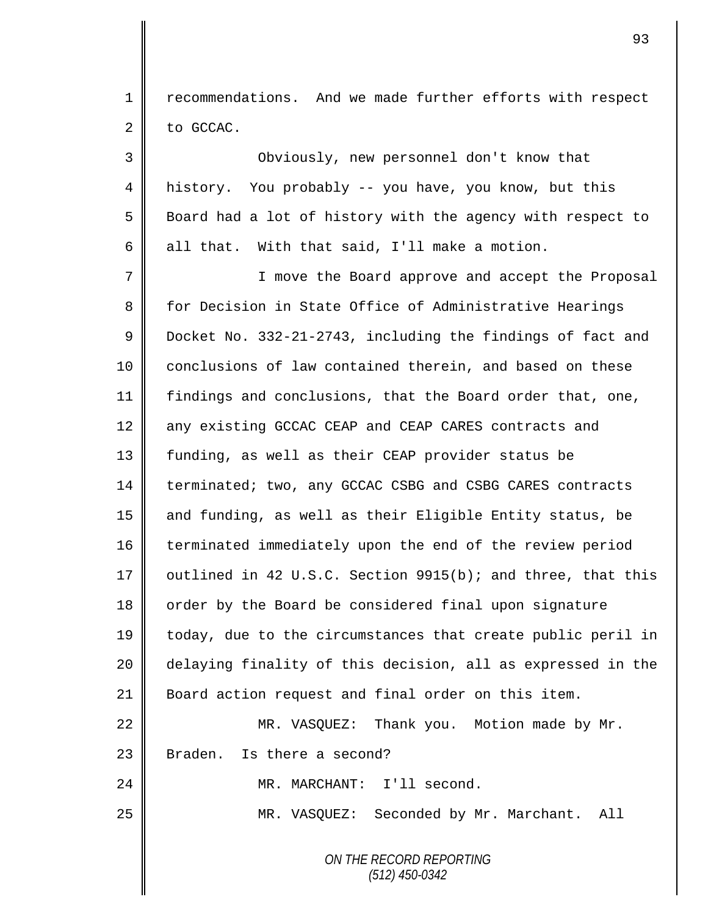1 | recommendations. And we made further efforts with respect  $2 \parallel$  to GCCAC.

3 Obviously, new personnel don't know that 4 history. You probably -- you have, you know, but this 5 Board had a lot of history with the agency with respect to 6 all that. With that said, I'll make a motion.

7 || I move the Board approve and accept the Proposal 8 for Decision in State Office of Administrative Hearings 9 Docket No. 332-21-2743, including the findings of fact and 10 | conclusions of law contained therein, and based on these 11 findings and conclusions, that the Board order that, one, 12 any existing GCCAC CEAP and CEAP CARES contracts and 13 funding, as well as their CEAP provider status be 14 | terminated; two, any GCCAC CSBG and CSBG CARES contracts 15 || and funding, as well as their Eligible Entity status, be 16 terminated immediately upon the end of the review period 17  $\parallel$  outlined in 42 U.S.C. Section 9915(b); and three, that this 18 | order by the Board be considered final upon signature 19 today, due to the circumstances that create public peril in 20 delaying finality of this decision, all as expressed in the 21 Board action request and final order on this item. 22 | MR. VASQUEZ: Thank you. Motion made by Mr.

 $23$  | Braden. Is there a second?

24 | MR. MARCHANT: I'll second.

25 MR. VASQUEZ: Seconded by Mr. Marchant. All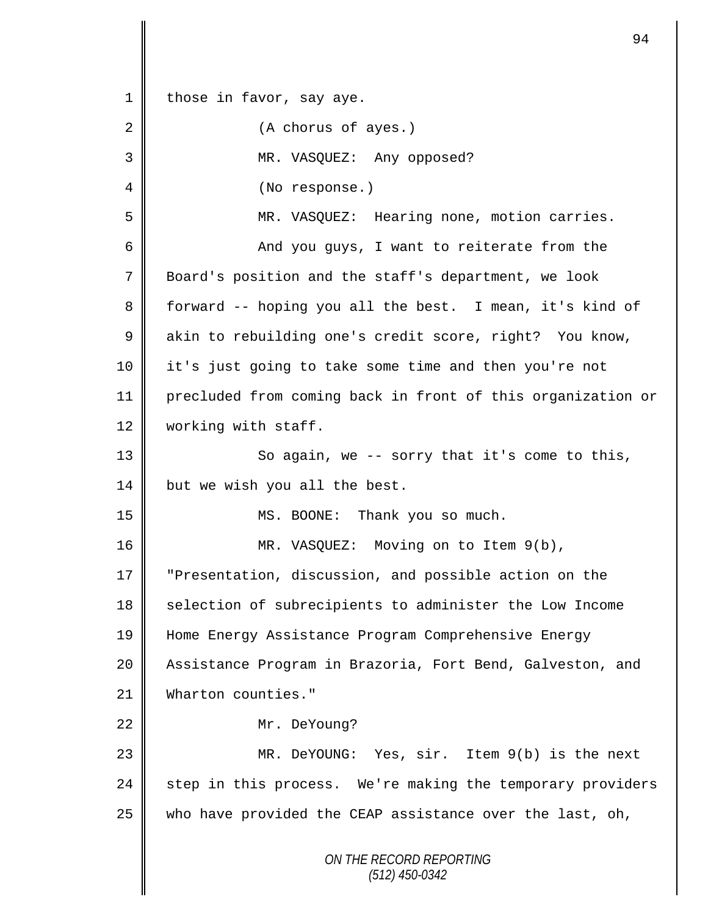*ON THE RECORD REPORTING (512) 450-0342* 1 | those in favor, say aye. 2 (A chorus of ayes.) 3 MR. VASQUEZ: Any opposed? 4 || (No response.) 5 MR. VASQUEZ: Hearing none, motion carries. 6 || And you guys, I want to reiterate from the 7 Board's position and the staff's department, we look 8 forward -- hoping you all the best. I mean, it's kind of 9 akin to rebuilding one's credit score, right? You know, 10 it's just going to take some time and then you're not 11 precluded from coming back in front of this organization or 12 | working with staff. 13 || So again, we -- sorry that it's come to this, 14 but we wish you all the best. 15 || MS. BOONE: Thank you so much. 16 MR. VASQUEZ: Moving on to Item 9(b), 17 "Presentation, discussion, and possible action on the 18 Selection of subrecipients to administer the Low Income 19 Home Energy Assistance Program Comprehensive Energy 20 | Assistance Program in Brazoria, Fort Bend, Galveston, and 21 Wharton counties." 22 Mr. DeYoung? 23 MR. DeYOUNG: Yes, sir. Item 9(b) is the next 24 step in this process. We're making the temporary providers 25 who have provided the CEAP assistance over the last, oh,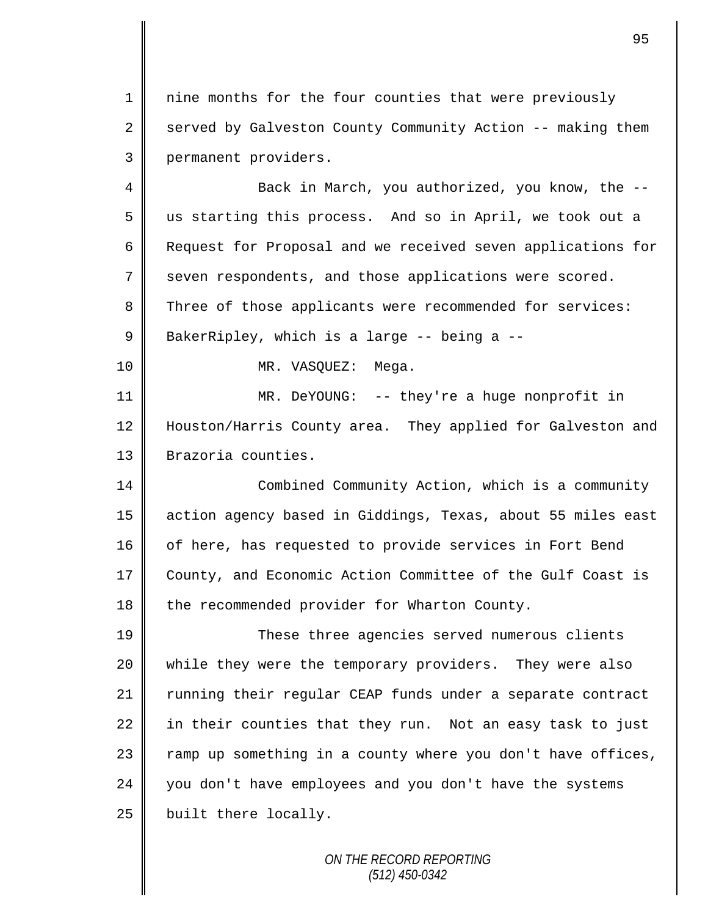1 || nine months for the four counties that were previously 2 served by Galveston County Community Action -- making them 3 permanent providers.

4 || Back in March, you authorized, you know, the --5 us starting this process. And so in April, we took out a 6 Request for Proposal and we received seven applications for 7 seven respondents, and those applications were scored. 8 Three of those applicants were recommended for services: 9 BakerRipley, which is a large -- being a --10 || MR. VASQUEZ: Mega.

11 MR. DeYOUNG: -- they're a huge nonprofit in 12 Houston/Harris County area. They applied for Galveston and 13 | Brazoria counties.

14 Combined Community Action, which is a community 15 action agency based in Giddings, Texas, about 55 miles east 16 of here, has requested to provide services in Fort Bend 17 County, and Economic Action Committee of the Gulf Coast is 18 the recommended provider for Wharton County.

19 These three agencies served numerous clients 20 while they were the temporary providers. They were also 21 Tunning their regular CEAP funds under a separate contract  $22$  in their counties that they run. Not an easy task to just  $23$  ramp up something in a county where you don't have offices, 24 you don't have employees and you don't have the systems  $25$  | built there locally.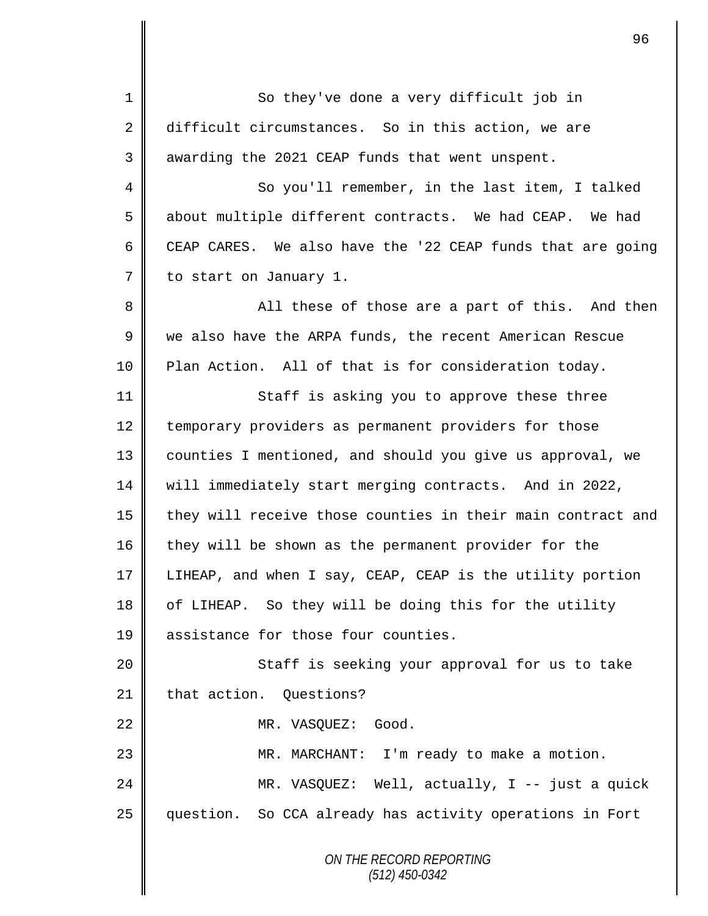*ON THE RECORD REPORTING* 1 || So they've done a very difficult job in 2 difficult circumstances. So in this action, we are 3 | awarding the 2021 CEAP funds that went unspent. 4 So you'll remember, in the last item, I talked 5 about multiple different contracts. We had CEAP. We had 6 CEAP CARES. We also have the '22 CEAP funds that are going 7 to start on January 1. 8 || All these of those are a part of this. And then 9 we also have the ARPA funds, the recent American Rescue 10 Plan Action. All of that is for consideration today. 11 || Staff is asking you to approve these three 12 temporary providers as permanent providers for those 13 counties I mentioned, and should you give us approval, we 14 will immediately start merging contracts. And in 2022, 15  $\parallel$  they will receive those counties in their main contract and 16 they will be shown as the permanent provider for the 17 LIHEAP, and when I say, CEAP, CEAP is the utility portion 18 | of LIHEAP. So they will be doing this for the utility 19 **| assistance for those four counties.** 20 || Staff is seeking your approval for us to take 21 that action. Ouestions? 22 NR. VASOUEZ: Good. 23 || MR. MARCHANT: I'm ready to make a motion. 24 MR. VASQUEZ: Well, actually, I -- just a quick 25 question. So CCA already has activity operations in Fort

96

*(512) 450-0342*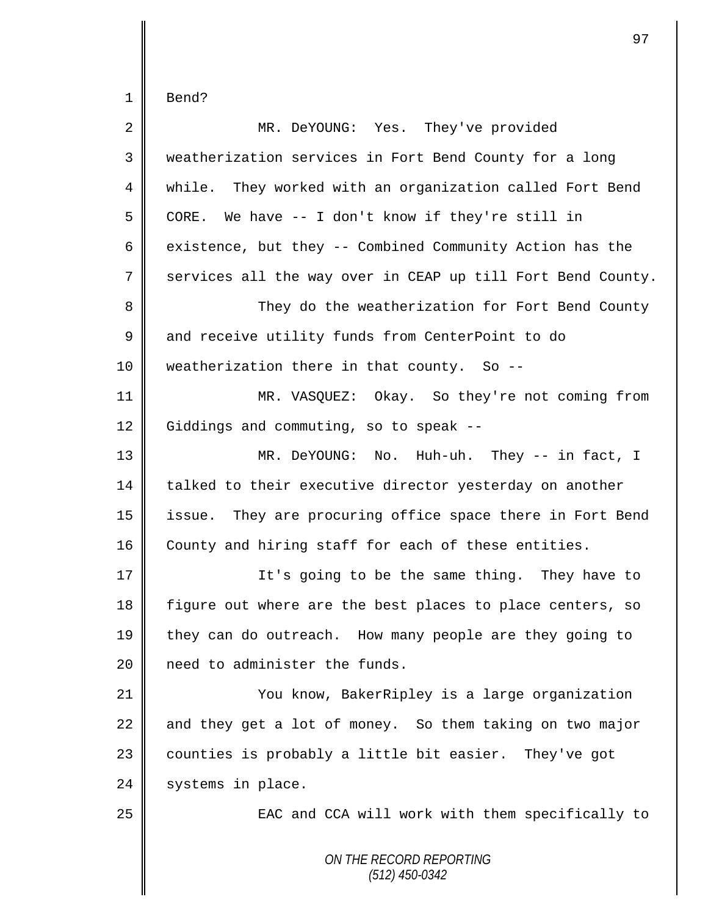$\mathbf{I}$ 

| $\overline{2}$ | MR. DeYOUNG: Yes. They've provided                          |
|----------------|-------------------------------------------------------------|
| 3              | weatherization services in Fort Bend County for a long      |
| 4              | while. They worked with an organization called Fort Bend    |
| 5              | CORE. We have -- I don't know if they're still in           |
| 6              | existence, but they -- Combined Community Action has the    |
| 7              | services all the way over in CEAP up till Fort Bend County. |
| 8              | They do the weatherization for Fort Bend County             |
| 9              | and receive utility funds from CenterPoint to do            |
| 10             | weatherization there in that county. So --                  |
| 11             | MR. VASQUEZ: Okay. So they're not coming from               |
| 12             | Giddings and commuting, so to speak --                      |
| 13             | MR. DeYOUNG: No. Huh-uh. They -- in fact, I                 |
| 14             | talked to their executive director yesterday on another     |
| 15             | issue. They are procuring office space there in Fort Bend   |
| 16             | County and hiring staff for each of these entities.         |
| 17             | It's going to be the same thing. They have to               |
| 18             | figure out where are the best places to place centers, so   |
| 19             | they can do outreach. How many people are they going to     |
| 20             | need to administer the funds.                               |
| 21             | You know, BakerRipley is a large organization               |
| 22             | and they get a lot of money. So them taking on two major    |
| 23             | counties is probably a little bit easier. They've got       |
| 24             | systems in place.                                           |
| 25             | EAC and CCA will work with them specifically to             |
|                | ON THE RECORD REPORTING<br>$(512)$ 450-0342                 |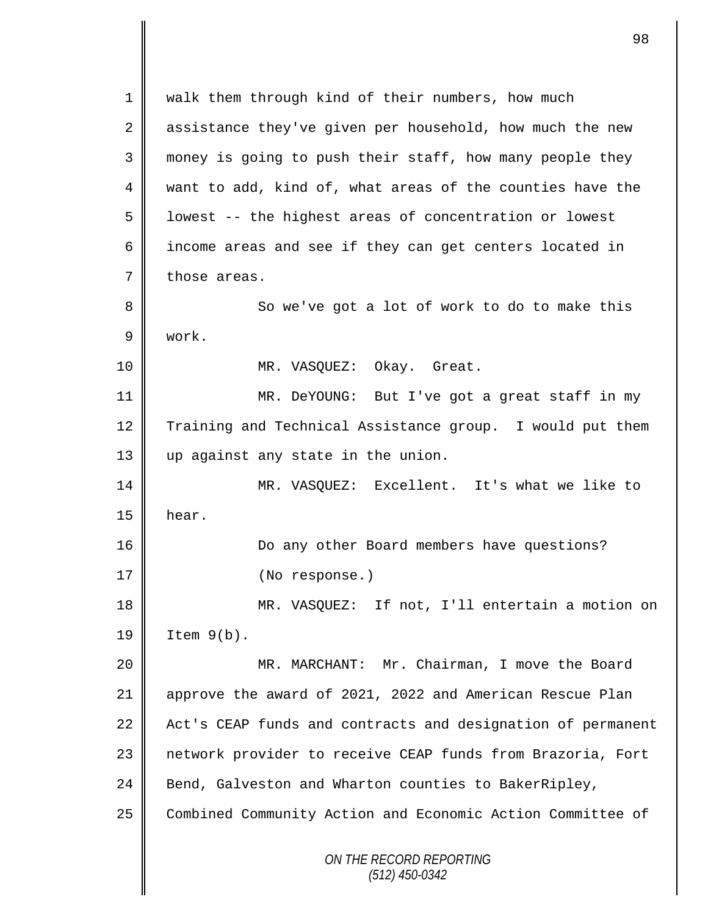*ON THE RECORD REPORTING (512) 450-0342* 1 walk them through kind of their numbers, how much 2 assistance they've given per household, how much the new 3 || money is going to push their staff, how many people they 4 want to add, kind of, what areas of the counties have the  $5 \parallel$  lowest -- the highest areas of concentration or lowest 6 || income areas and see if they can get centers located in  $7 \parallel$  those areas. 8 || So we've got a lot of work to do to make this 9 work. 10 MR. VASQUEZ: Okay. Great. 11 || MR. DeYOUNG: But I've got a great staff in my 12 Training and Technical Assistance group. I would put them 13 up against any state in the union. 14 MR. VASQUEZ: Excellent. It's what we like to  $15$  | hear. 16 **Do any other Board members have questions?** 17 | (No response.) 18 MR. VASQUEZ: If not, I'll entertain a motion on  $19 \parallel$  Item  $9(b)$ . 20 MR. MARCHANT: Mr. Chairman, I move the Board 21 approve the award of 2021, 2022 and American Rescue Plan 22 Act's CEAP funds and contracts and designation of permanent 23 | network provider to receive CEAP funds from Brazoria, Fort 24 Bend, Galveston and Wharton counties to BakerRipley, 25 Combined Community Action and Economic Action Committee of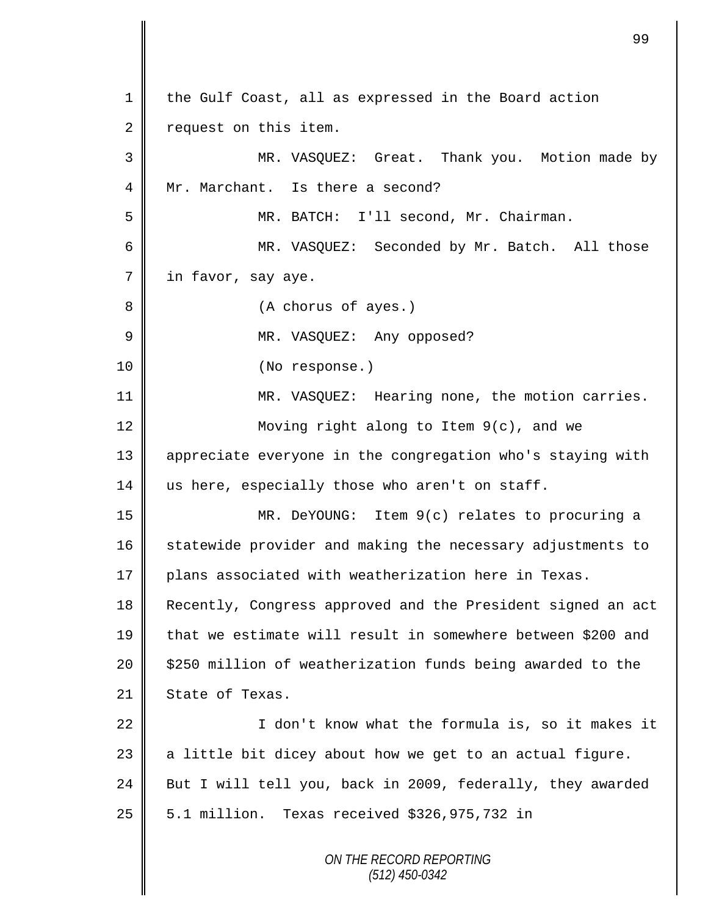*ON THE RECORD REPORTING (512) 450-0342* 1 the Gulf Coast, all as expressed in the Board action 2 | request on this item. 3 MR. VASQUEZ: Great. Thank you. Motion made by 4 Mr. Marchant. Is there a second? 5 MR. BATCH: I'll second, Mr. Chairman. 6 MR. VASQUEZ: Seconded by Mr. Batch. All those 7 | in favor, say aye. 8 || (A chorus of ayes.) 9 MR. VASQUEZ: Any opposed? 10 || (No response.) 11 MR. VASQUEZ: Hearing none, the motion carries. 12 Moving right along to Item 9(c), and we 13 appreciate everyone in the congregation who's staying with 14  $\parallel$  us here, especially those who aren't on staff. 15 MR. DeYOUNG: Item 9(c) relates to procuring a 16 statewide provider and making the necessary adjustments to 17 plans associated with weatherization here in Texas. 18 Recently, Congress approved and the President signed an act 19 that we estimate will result in somewhere between \$200 and  $20$  | \$250 million of weatherization funds being awarded to the 21 State of Texas.  $22$  ||  $\sqrt{22}$  ||  $\sqrt{2}$   $\sqrt{2}$   $\sqrt{2}$   $\sqrt{2}$   $\sqrt{2}$   $\sqrt{2}$   $\sqrt{2}$   $\sqrt{2}$   $\sqrt{2}$   $\sqrt{2}$   $\sqrt{2}$   $\sqrt{2}$   $\sqrt{2}$   $\sqrt{2}$   $\sqrt{2}$   $\sqrt{2}$   $\sqrt{2}$   $\sqrt{2}$   $\sqrt{2}$   $\sqrt{2}$   $\sqrt{2}$   $\sqrt{2}$   $\sqrt{2}$   $\sqrt{2}$   $\sqrt{2}$  23  $\parallel$  a little bit dicey about how we get to an actual figure. 24 But I will tell you, back in 2009, federally, they awarded  $25 \parallel 5.1 \text{ million}$ . Texas received \$326,975,732 in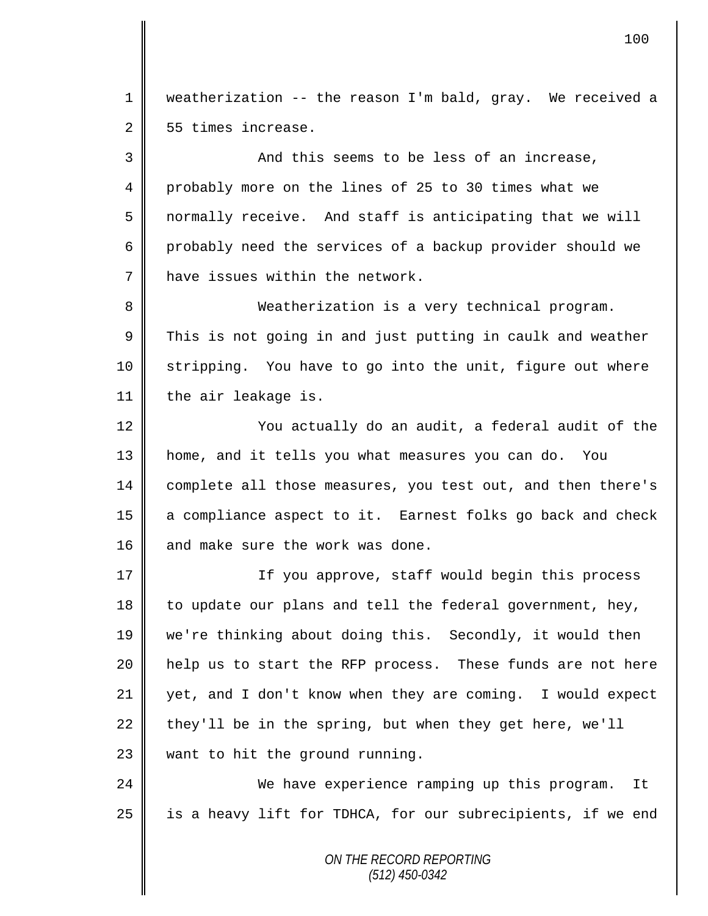1 weatherization -- the reason I'm bald, gray. We received a 2 55 times increase.

3 || And this seems to be less of an increase, 4 probably more on the lines of 25 to 30 times what we  $5 \parallel$  normally receive. And staff is anticipating that we will 6 probably need the services of a backup provider should we 7 **h** have issues within the network.

8 Weatherization is a very technical program.  $9 \parallel$  This is not going in and just putting in caulk and weather 10 Stripping. You have to go into the unit, figure out where 11 | the air leakage is.

12 ||<br>
You actually do an audit, a federal audit of the 13 home, and it tells you what measures you can do. You 14 complete all those measures, you test out, and then there's 15 a compliance aspect to it. Earnest folks go back and check 16 | and make sure the work was done.

17 || If you approve, staff would begin this process 18 to update our plans and tell the federal government, hey, 19 we're thinking about doing this. Secondly, it would then 20 || help us to start the RFP process. These funds are not here 21  $\parallel$  yet, and I don't know when they are coming. I would expect 22 they'll be in the spring, but when they get here, we'll  $23$  want to hit the ground running.

24 We have experience ramping up this program. It  $25$  is a heavy lift for TDHCA, for our subrecipients, if we end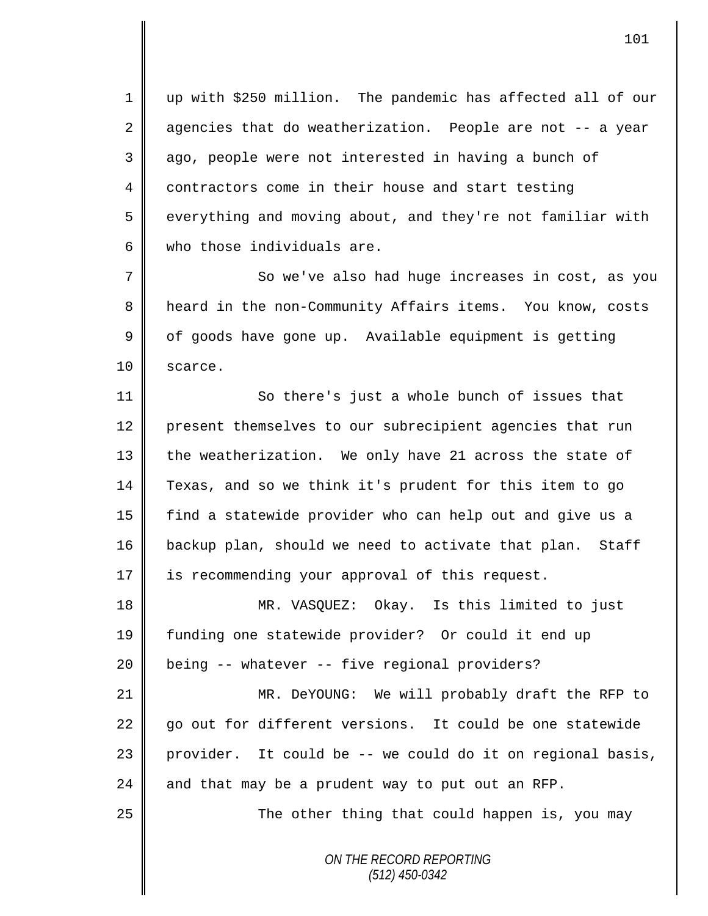1 up with \$250 million. The pandemic has affected all of our  $2 \parallel$  agencies that do weatherization. People are not -- a year 3 || ago, people were not interested in having a bunch of 4 contractors come in their house and start testing 5 everything and moving about, and they're not familiar with 6 who those individuals are.

7 || So we've also had huge increases in cost, as you 8 heard in the non-Community Affairs items. You know, costs  $9 \parallel$  of goods have gone up. Available equipment is getting 10 | scarce.

11 | So there's just a whole bunch of issues that 12 present themselves to our subrecipient agencies that run 13 the weatherization. We only have 21 across the state of 14 Texas, and so we think it's prudent for this item to go 15 find a statewide provider who can help out and give us a 16 backup plan, should we need to activate that plan. Staff 17 | is recommending your approval of this request.

18 MR. VASQUEZ: Okay. Is this limited to just 19 funding one statewide provider? Or could it end up 20 being -- whatever -- five regional providers?

21 MR. DeYOUNG: We will probably draft the RFP to 22 go out for different versions. It could be one statewide 23 || provider. It could be  $-$ - we could do it on regional basis, 24  $\parallel$  and that may be a prudent way to put out an RFP.

25 || The other thing that could happen is, you may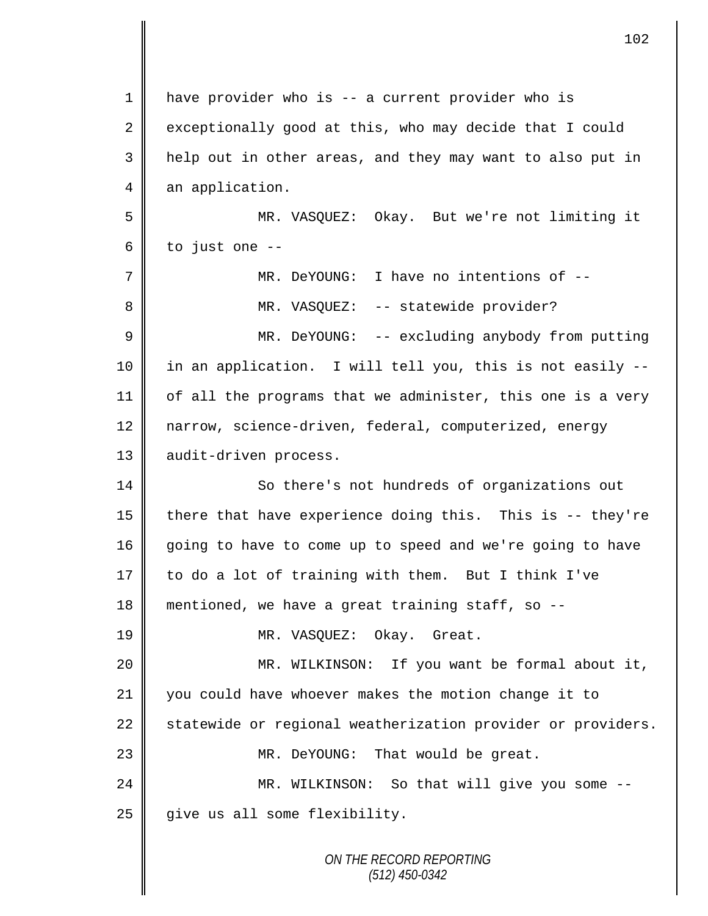| 1              | have provider who is -- a current provider who is           |
|----------------|-------------------------------------------------------------|
| $\overline{2}$ | exceptionally good at this, who may decide that I could     |
| 3              | help out in other areas, and they may want to also put in   |
| 4              | an application.                                             |
| 5              | MR. VASQUEZ: Okay. But we're not limiting it                |
| 6              | to just one --                                              |
| 7              | MR. DeYOUNG: I have no intentions of --                     |
| 8              | MR. VASQUEZ: -- statewide provider?                         |
| $\mathsf 9$    | MR. DeYOUNG: -- excluding anybody from putting              |
| 10             | in an application. I will tell you, this is not easily --   |
| 11             | of all the programs that we administer, this one is a very  |
| 12             | narrow, science-driven, federal, computerized, energy       |
| 13             | audit-driven process.                                       |
| 14             | So there's not hundreds of organizations out                |
| 15             | there that have experience doing this. This is -- they're   |
| 16             | going to have to come up to speed and we're going to have   |
| 17             | to do a lot of training with them. But I think I've         |
| 18             | mentioned, we have a great training staff, so --            |
| 19             | MR. VASQUEZ: Okay. Great.                                   |
| 20             | MR. WILKINSON: If you want be formal about it,              |
| 21             | you could have whoever makes the motion change it to        |
| 22             | statewide or regional weatherization provider or providers. |
| 23             | MR. DeYOUNG: That would be great.                           |
| 24             | MR. WILKINSON: So that will give you some --                |
| 25             | give us all some flexibility.                               |
|                | ON THE RECORD REPORTING                                     |

*(512) 450-0342*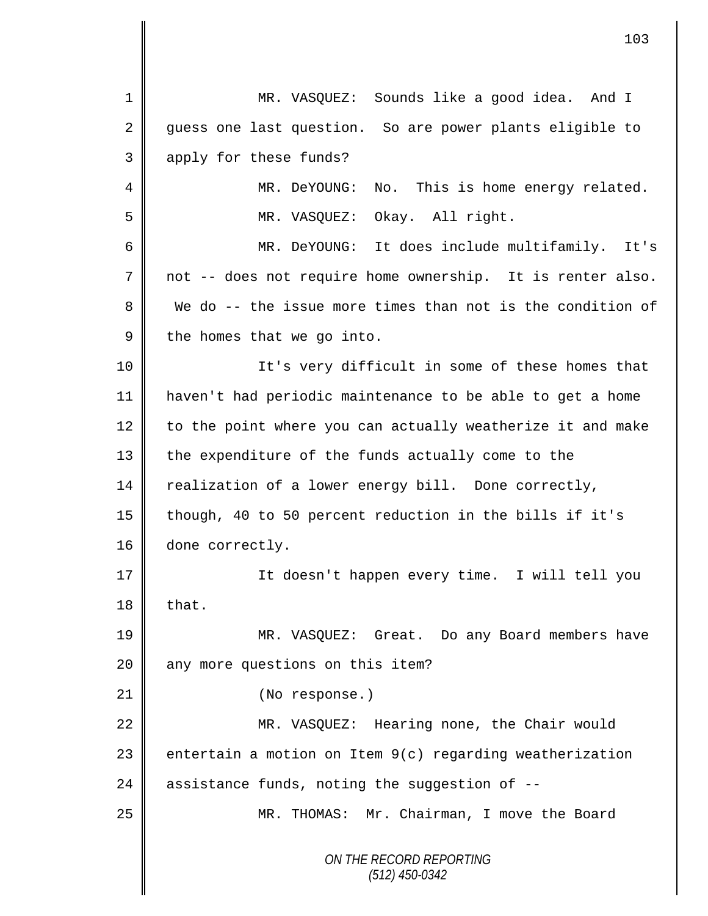*ON THE RECORD REPORTING (512) 450-0342* 1 MR. VASQUEZ: Sounds like a good idea. And I 2 guess one last question. So are power plants eligible to 3 apply for these funds? 4 || MR. DeYOUNG: No. This is home energy related. 5 MR. VASQUEZ: Okay. All right. 6 MR. DeYOUNG: It does include multifamily. It's 7 not -- does not require home ownership. It is renter also. 8 We do -- the issue more times than not is the condition of  $9 \parallel$  the homes that we go into. 10 || It's very difficult in some of these homes that 11 haven't had periodic maintenance to be able to get a home  $12$  to the point where you can actually weatherize it and make 13 | the expenditure of the funds actually come to the 14 realization of a lower energy bill. Done correctly, 15 though, 40 to 50 percent reduction in the bills if it's 16 done correctly. 17 It doesn't happen every time. I will tell you  $18$  | that. 19 MR. VASQUEZ: Great. Do any Board members have 20 any more questions on this item? 21 || (No response.) 22 MR. VASQUEZ: Hearing none, the Chair would 23  $\parallel$  entertain a motion on Item  $9(c)$  regarding weatherization 24  $\parallel$  assistance funds, noting the suggestion of --25 MR. THOMAS: Mr. Chairman, I move the Board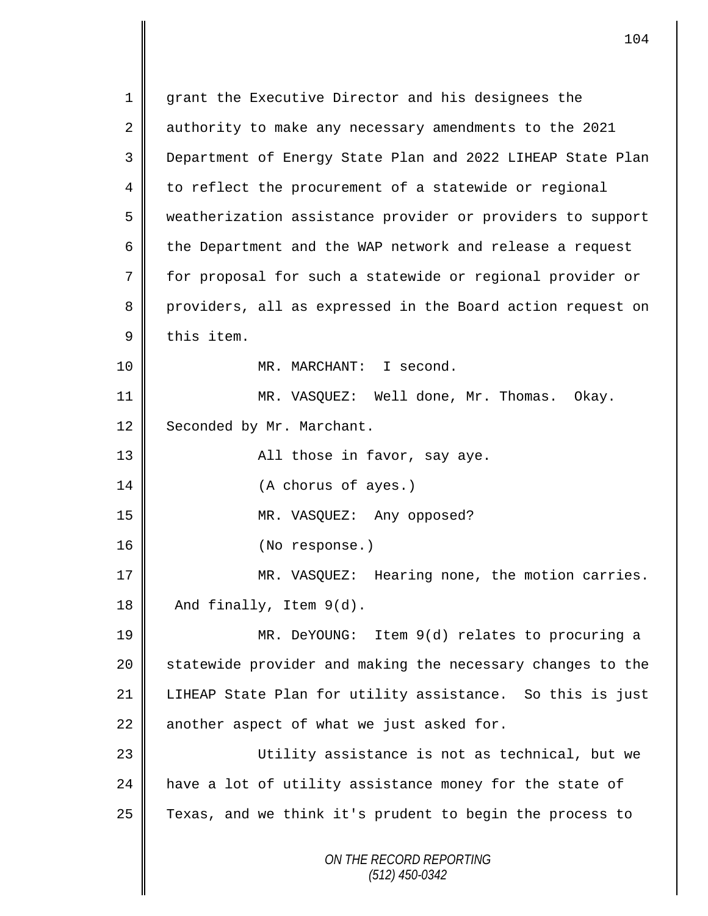*ON THE RECORD REPORTING (512) 450-0342* 1 grant the Executive Director and his designees the 2 authority to make any necessary amendments to the 2021 3 Department of Energy State Plan and 2022 LIHEAP State Plan 4 to reflect the procurement of a statewide or regional 5 weatherization assistance provider or providers to support 6 the Department and the WAP network and release a request 7 for proposal for such a statewide or regional provider or 8 providers, all as expressed in the Board action request on  $9 \parallel$  this item. 10 || MR. MARCHANT: I second. 11 MR. VASQUEZ: Well done, Mr. Thomas. Okay. 12 Seconded by Mr. Marchant. 13 All those in favor, say aye. 14 || (A chorus of ayes.) 15 MR. VASQUEZ: Any opposed? 16 || (No response.) 17 || MR. VASQUEZ: Hearing none, the motion carries.  $18$  | And finally, Item  $9(d)$ . 19 MR. DeYOUNG: Item 9(d) relates to procuring a 20 Statewide provider and making the necessary changes to the 21 LIHEAP State Plan for utility assistance. So this is just  $22$  another aspect of what we just asked for. 23 Utility assistance is not as technical, but we 24 have a lot of utility assistance money for the state of  $25$  Texas, and we think it's prudent to begin the process to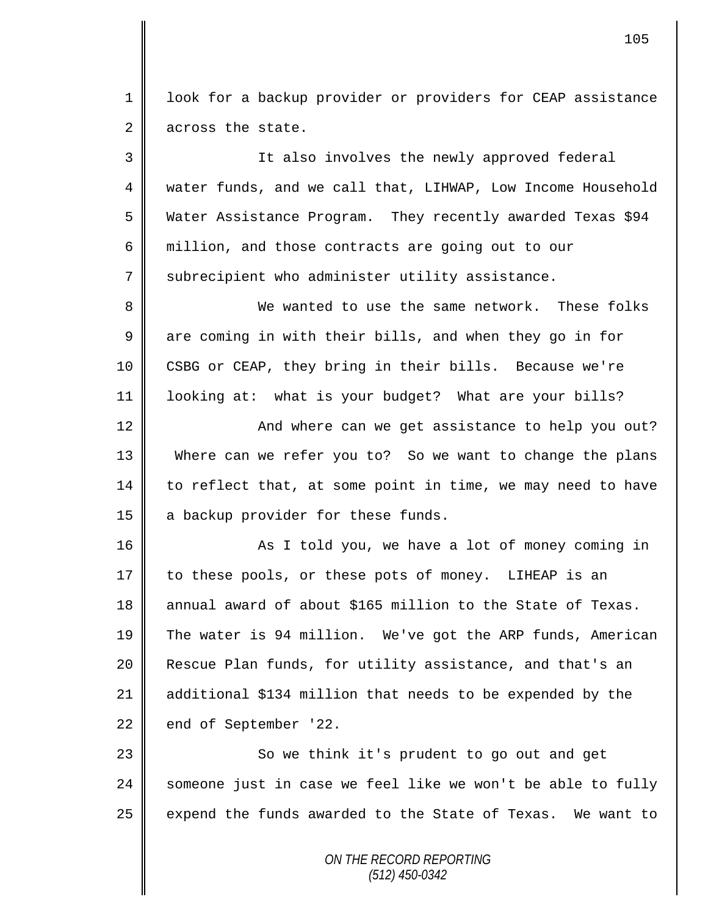1 | look for a backup provider or providers for CEAP assistance 2 across the state.

3 It also involves the newly approved federal 4 water funds, and we call that, LIHWAP, Low Income Household 5 Water Assistance Program. They recently awarded Texas \$94 6 million, and those contracts are going out to our 7 subrecipient who administer utility assistance. 8 We wanted to use the same network. These folks 9 || are coming in with their bills, and when they go in for 10 CSBG or CEAP, they bring in their bills. Because we're

11 looking at: what is your budget? What are your bills?

12 || And where can we get assistance to help you out? 13 Where can we refer you to? So we want to change the plans  $14$  to reflect that, at some point in time, we may need to have 15 a backup provider for these funds.

16 || As I told you, we have a lot of money coming in 17 to these pools, or these pots of money. LIHEAP is an 18 annual award of about \$165 million to the State of Texas. 19 The water is 94 million. We've got the ARP funds, American 20 **Rescue Plan funds, for utility assistance, and that's an** 21 additional \$134 million that needs to be expended by the 22 end of September '22.

23 || So we think it's prudent to go out and get 24  $\parallel$  someone just in case we feel like we won't be able to fully 25  $\parallel$  expend the funds awarded to the State of Texas. We want to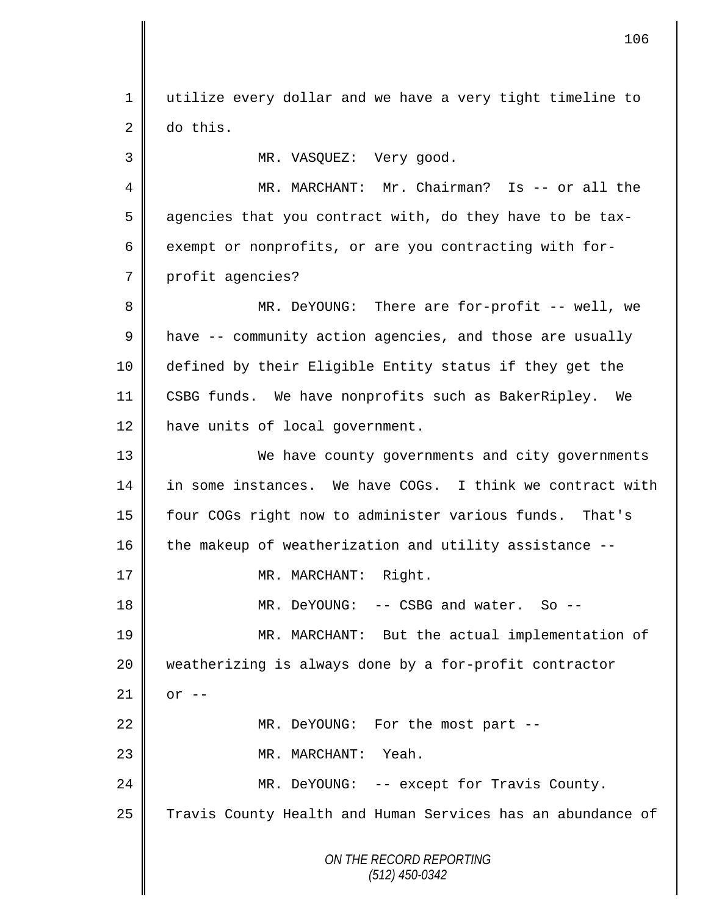*ON THE RECORD REPORTING (512) 450-0342* 1 utilize every dollar and we have a very tight timeline to  $2 \parallel$  do this. 3 || MR. VASQUEZ: Very good. 4 MR. MARCHANT: Mr. Chairman? Is -- or all the 5 agencies that you contract with, do they have to be tax-6 exempt or nonprofits, or are you contracting with for-7 profit agencies? 8 MR. DeYOUNG: There are for-profit -- well, we 9 | have -- community action agencies, and those are usually 10 defined by their Eligible Entity status if they get the 11 CSBG funds. We have nonprofits such as BakerRipley. We 12 have units of local government. 13 We have county governments and city governments 14 in some instances. We have COGs. I think we contract with 15 four COGs right now to administer various funds. That's 16 the makeup of weatherization and utility assistance --17 || MR. MARCHANT: Right. 18 || MR. DeYOUNG: -- CSBG and water. So --19 MR. MARCHANT: But the actual implementation of 20 weatherizing is always done by a for-profit contractor  $21$  | or  $-$ 22 || MR. DeYOUNG: For the most part --23 MR. MARCHANT: Yeah. 24 MR. DeYOUNG: -- except for Travis County. 25 Travis County Health and Human Services has an abundance of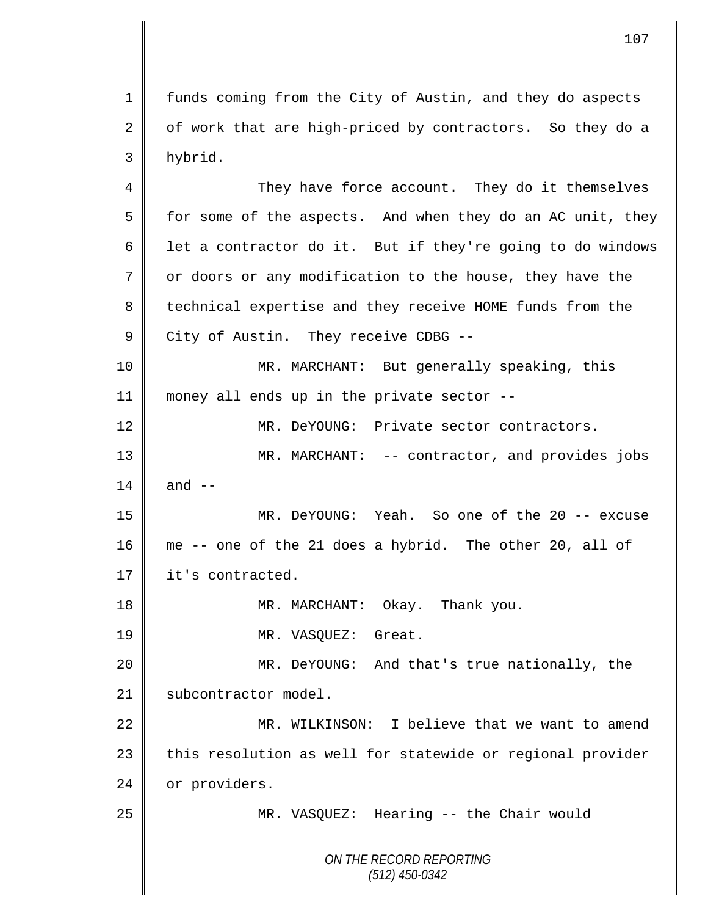1 | funds coming from the City of Austin, and they do aspects 2  $\parallel$  of work that are high-priced by contractors. So they do a 3 hybrid.

4 They have force account. They do it themselves  $5 \parallel$  for some of the aspects. And when they do an AC unit, they 6 | let a contractor do it. But if they're going to do windows 7 | or doors or any modification to the house, they have the 8 technical expertise and they receive HOME funds from the 9 City of Austin. They receive CDBG --10 MR. MARCHANT: But generally speaking, this 11 || money all ends up in the private sector --12 MR. DeYOUNG: Private sector contractors. 13 MR. MARCHANT: -- contractor, and provides jobs 14  $\parallel$  and  $\parallel$  -15 MR. DeYOUNG: Yeah. So one of the 20 -- excuse 16 me -- one of the 21 does a hybrid. The other 20, all of 17 **it's** contracted. 18 || MR. MARCHANT: Okay. Thank you. 19 | MR. VASQUEZ: Great. 20 MR. DeYOUNG: And that's true nationally, the 21 | subcontractor model. 22 MR. WILKINSON: I believe that we want to amend 23 | this resolution as well for statewide or regional provider 24 | or providers. 25 MR. VASQUEZ: Hearing -- the Chair would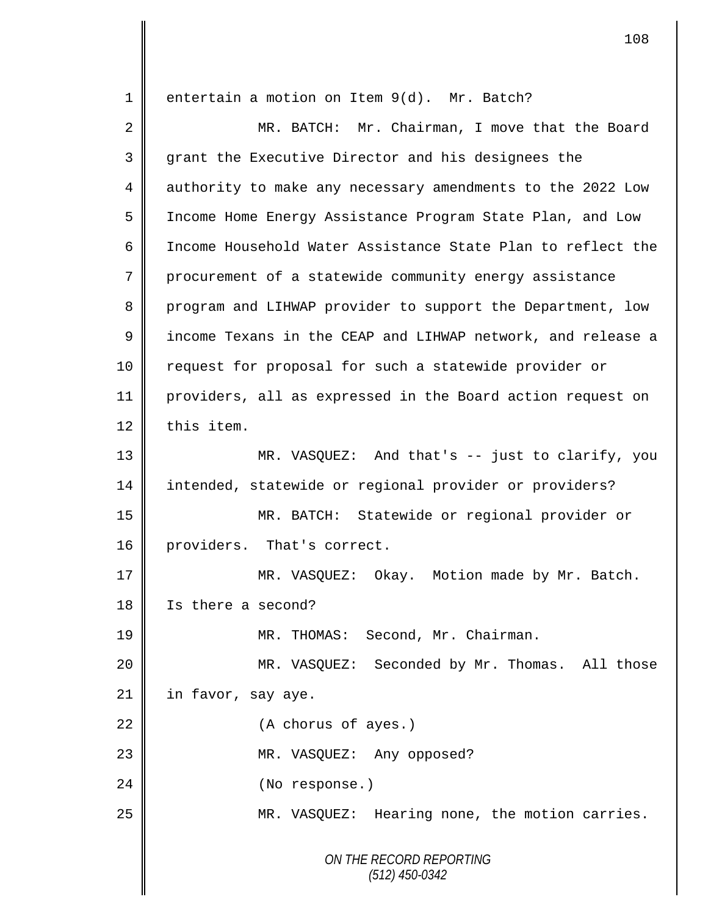*ON THE RECORD REPORTING (512) 450-0342* 1 || entertain a motion on Item 9(d). Mr. Batch? 2 MR. BATCH: Mr. Chairman, I move that the Board 3 || grant the Executive Director and his designees the 4 authority to make any necessary amendments to the 2022 Low 5 Income Home Energy Assistance Program State Plan, and Low 6 Income Household Water Assistance State Plan to reflect the 7 procurement of a statewide community energy assistance 8 program and LIHWAP provider to support the Department, low 9 | income Texans in the CEAP and LIHWAP network, and release a 10 || request for proposal for such a statewide provider or 11 providers, all as expressed in the Board action request on  $12 \parallel$  this item. 13 MR. VASQUEZ: And that's -- just to clarify, you 14 intended, statewide or regional provider or providers? 15 MR. BATCH: Statewide or regional provider or 16 providers. That's correct. 17 | MR. VASQUEZ: Okay. Motion made by Mr. Batch. 18 Is there a second? 19 || MR. THOMAS: Second, Mr. Chairman. 20 MR. VASQUEZ: Seconded by Mr. Thomas. All those  $21$  in favor, say aye. 22 (A chorus of ayes.) 23 || MR. VASQUEZ: Any opposed? 24 || (No response.) 25 || MR. VASQUEZ: Hearing none, the motion carries.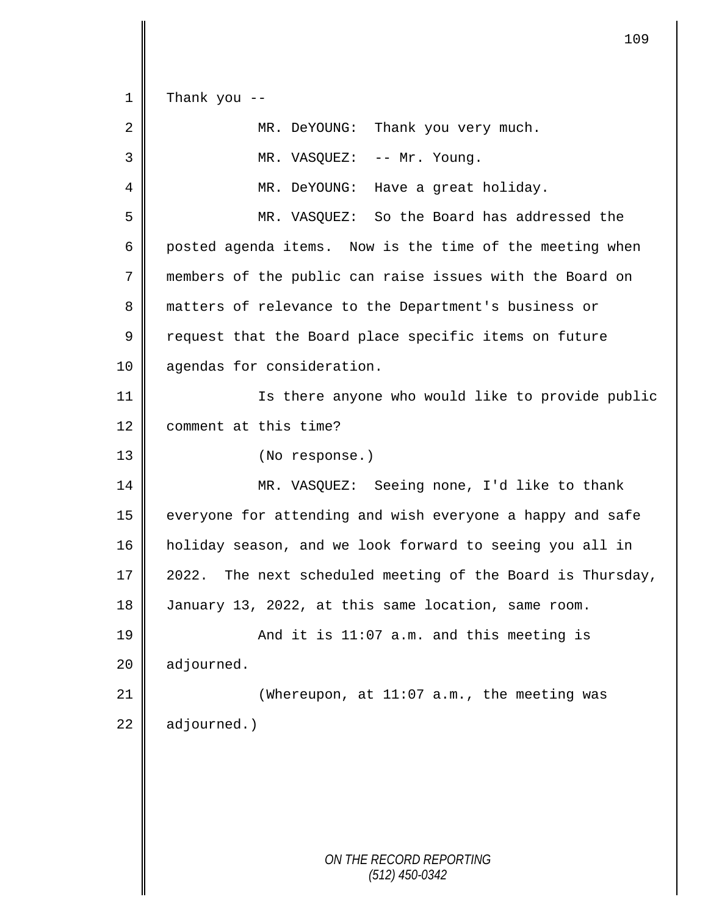*ON THE RECORD REPORTING (512) 450-0342*  $1 \parallel$  Thank you --2 MR. DeYOUNG: Thank you very much. 3 || MR. VASQUEZ: -- Mr. Young. 4 MR. DeYOUNG: Have a great holiday. 5 MR. VASQUEZ: So the Board has addressed the 6 posted agenda items. Now is the time of the meeting when 7 members of the public can raise issues with the Board on 8 matters of relevance to the Department's business or  $9 \parallel$  request that the Board place specific items on future 10 | agendas for consideration. 11 Is there anyone who would like to provide public 12 | comment at this time? 13 || (No response.) 14 MR. VASQUEZ: Seeing none, I'd like to thank 15 | everyone for attending and wish everyone a happy and safe 16 holiday season, and we look forward to seeing you all in 17  $\parallel$  2022. The next scheduled meeting of the Board is Thursday, 18 January 13, 2022, at this same location, same room. 19 || And it is 11:07 a.m. and this meeting is  $20$  adjourned. 21 || (Whereupon, at 11:07 a.m., the meeting was 22 adjourned.)

109